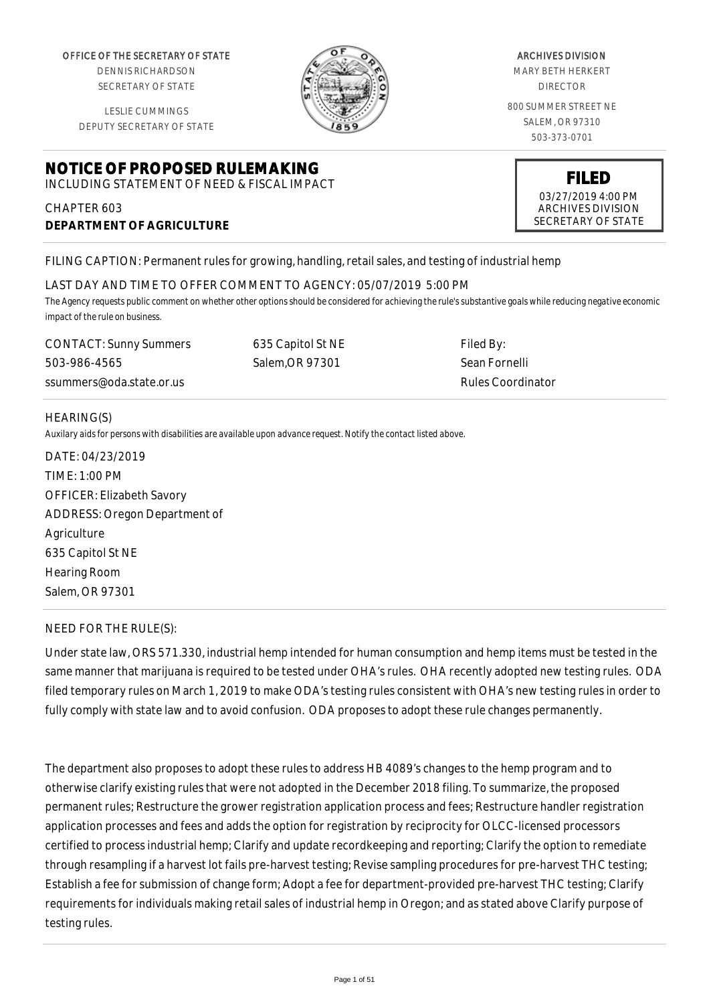OFFICE OF THE SECRETARY OF STATE

DENNIS RICHARDSON SECRETARY OF STATE

LESLIE CUMMINGS DEPUTY SECRETARY OF STATE

# **NOTICE OF PROPOSED RULEMAKING**

INCLUDING STATEMENT OF NEED & FISCAL IMPACT

# CHAPTER 603 **DEPARTMENT OF AGRICULTURE**

FILING CAPTION: Permanent rules for growing, handling, retail sales, and testing of industrial hemp

#### LAST DAY AND TIME TO OFFER COMMENT TO AGENCY: 05/07/2019 5:00 PM

*The Agency requests public comment on whether other options should be considered for achieving the rule's substantive goals while reducing negative economic impact of the rule on business.*

CONTACT: Sunny Summers 503-986-4565 ssummers@oda.state.or.us

635 Capitol St NE Salem,OR 97301

Filed By: Sean Fornelli Rules Coordinator

#### HEARING(S)

*Auxilary aids for persons with disabilities are available upon advance request. Notify the contact listed above.*

DATE: 04/23/2019 TIME: 1:00 PM OFFICER: Elizabeth Savory ADDRESS: Oregon Department of Agriculture 635 Capitol St NE Hearing Room Salem, OR 97301

#### NEED FOR THE RULE(S):

Under state law, ORS 571.330, industrial hemp intended for human consumption and hemp items must be tested in the same manner that marijuana is required to be tested under OHA's rules. OHA recently adopted new testing rules. ODA filed temporary rules on March 1, 2019 to make ODA's testing rules consistent with OHA's new testing rules in order to fully comply with state law and to avoid confusion. ODA proposes to adopt these rule changes permanently.

The department also proposes to adopt these rules to address HB 4089's changes to the hemp program and to otherwise clarify existing rules that were not adopted in the December 2018 filing. To summarize, the proposed permanent rules; Restructure the grower registration application process and fees; Restructure handler registration application processes and fees and adds the option for registration by reciprocity for OLCC-licensed processors certified to process industrial hemp; Clarify and update recordkeeping and reporting; Clarify the option to remediate through resampling if a harvest lot fails pre-harvest testing; Revise sampling procedures for pre-harvest THC testing; Establish a fee for submission of change form; Adopt a fee for department-provided pre-harvest THC testing; Clarify requirements for individuals making retail sales of industrial hemp in Oregon; and as stated above Clarify purpose of testing rules.

MARY BETH HERKERT DIRECTOR

800 SUMMER STREET NE SALEM, OR 97310 503-373-0701

> **FILED** 03/27/2019 4:00 PM ARCHIVES DIVISION SECRETARY OF STATE

ARCHIVES DIVISION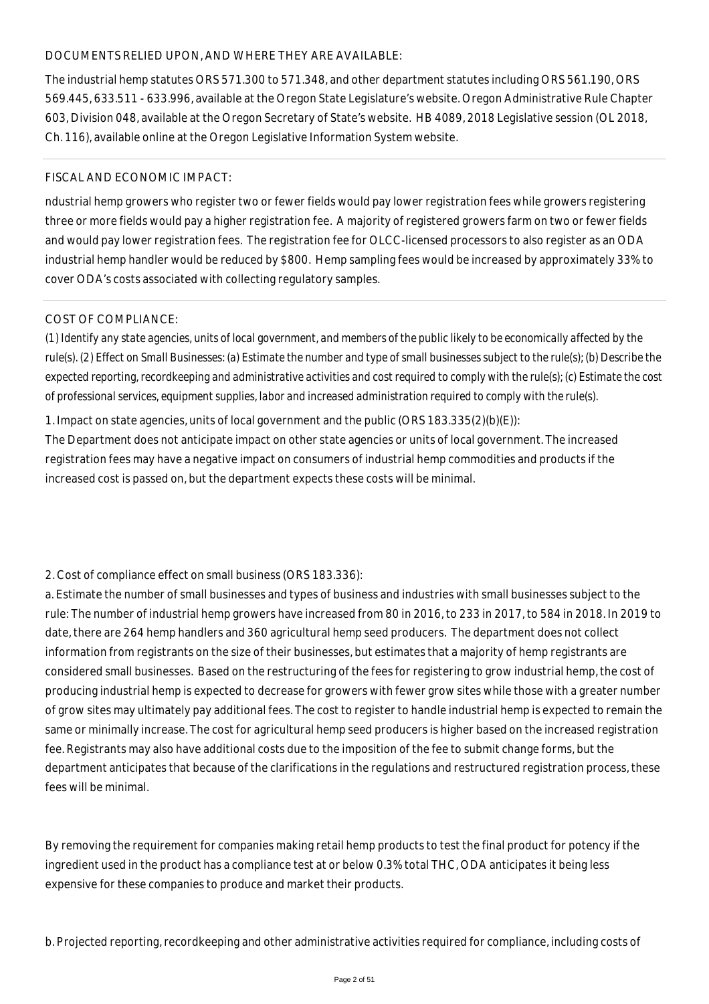#### DOCUMENTS RELIED UPON, AND WHERE THEY ARE AVAILABLE:

The industrial hemp statutes ORS 571.300 to 571.348, and other department statutes including ORS 561.190, ORS 569.445, 633.511 - 633.996, available at the Oregon State Legislature's website. Oregon Administrative Rule Chapter 603, Division 048, available at the Oregon Secretary of State's website. HB 4089, 2018 Legislative session (OL 2018, Ch. 116), available online at the Oregon Legislative Information System website.

#### FISCAL AND ECONOMIC IMPACT:

ndustrial hemp growers who register two or fewer fields would pay lower registration fees while growers registering three or more fields would pay a higher registration fee. A majority of registered growers farm on two or fewer fields and would pay lower registration fees. The registration fee for OLCC-licensed processors to also register as an ODA industrial hemp handler would be reduced by \$800. Hemp sampling fees would be increased by approximately 33% to cover ODA's costs associated with collecting regulatory samples.

#### COST OF COMPLIANCE:

*(1) Identify any state agencies, units of local government, and members of the public likely to be economically affected by the rule(s). (2) Effect on Small Businesses: (a) Estimate the number and type of small businesses subject to the rule(s); (b) Describe the expected reporting, recordkeeping and administrative activities and cost required to comply with the rule(s); (c) Estimate the cost of professional services, equipment supplies, labor and increased administration required to comply with the rule(s).*

1. Impact on state agencies, units of local government and the public (ORS 183.335(2)(b)(E)):

The Department does not anticipate impact on other state agencies or units of local government. The increased registration fees may have a negative impact on consumers of industrial hemp commodities and products if the increased cost is passed on, but the department expects these costs will be minimal.

#### 2. Cost of compliance effect on small business (ORS 183.336):

a. Estimate the number of small businesses and types of business and industries with small businesses subject to the rule: The number of industrial hemp growers have increased from 80 in 2016, to 233 in 2017, to 584 in 2018. In 2019 to date, there are 264 hemp handlers and 360 agricultural hemp seed producers. The department does not collect information from registrants on the size of their businesses, but estimates that a majority of hemp registrants are considered small businesses. Based on the restructuring of the fees for registering to grow industrial hemp, the cost of producing industrial hemp is expected to decrease for growers with fewer grow sites while those with a greater number of grow sites may ultimately pay additional fees. The cost to register to handle industrial hemp is expected to remain the same or minimally increase. The cost for agricultural hemp seed producers is higher based on the increased registration fee. Registrants may also have additional costs due to the imposition of the fee to submit change forms, but the department anticipates that because of the clarifications in the regulations and restructured registration process, these fees will be minimal.

By removing the requirement for companies making retail hemp products to test the final product for potency if the ingredient used in the product has a compliance test at or below 0.3% total THC, ODA anticipates it being less expensive for these companies to produce and market their products.

b. Projected reporting, recordkeeping and other administrative activities required for compliance, including costs of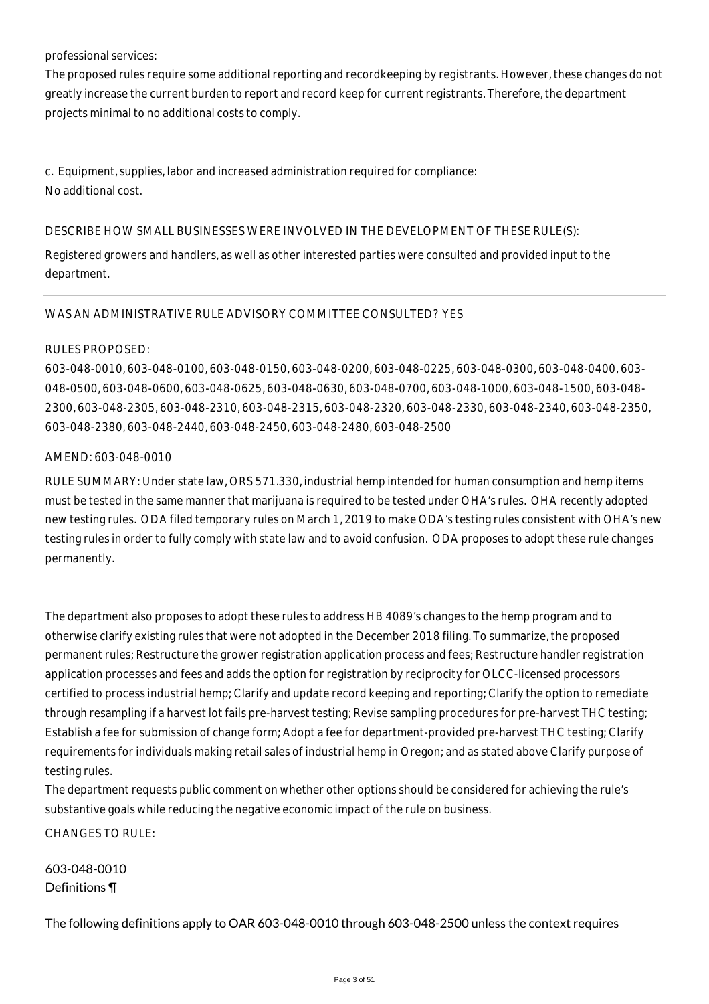#### professional services:

The proposed rules require some additional reporting and recordkeeping by registrants. However, these changes do not greatly increase the current burden to report and record keep for current registrants. Therefore, the department projects minimal to no additional costs to comply.

c. Equipment, supplies, labor and increased administration required for compliance: No additional cost.

#### DESCRIBE HOW SMALL BUSINESSES WERE INVOLVED IN THE DEVELOPMENT OF THESE RULE(S):

Registered growers and handlers, as well as other interested parties were consulted and provided input to the department.

#### WAS AN ADMINISTRATIVE RULE ADVISORY COMMITTEE CONSULTED? YES

#### RULES PROPOSED:

603-048-0010, 603-048-0100, 603-048-0150, 603-048-0200, 603-048-0225, 603-048-0300, 603-048-0400, 603- 048-0500, 603-048-0600, 603-048-0625, 603-048-0630, 603-048-0700, 603-048-1000, 603-048-1500, 603-048- 2300, 603-048-2305, 603-048-2310, 603-048-2315, 603-048-2320, 603-048-2330, 603-048-2340, 603-048-2350, 603-048-2380, 603-048-2440, 603-048-2450, 603-048-2480, 603-048-2500

#### AMEND: 603-048-0010

RULE SUMMARY: Under state law, ORS 571.330, industrial hemp intended for human consumption and hemp items must be tested in the same manner that marijuana is required to be tested under OHA's rules. OHA recently adopted new testing rules. ODA filed temporary rules on March 1, 2019 to make ODA's testing rules consistent with OHA's new testing rules in order to fully comply with state law and to avoid confusion. ODA proposes to adopt these rule changes permanently.

The department also proposes to adopt these rules to address HB 4089's changes to the hemp program and to otherwise clarify existing rules that were not adopted in the December 2018 filing. To summarize, the proposed permanent rules; Restructure the grower registration application process and fees; Restructure handler registration application processes and fees and adds the option for registration by reciprocity for OLCC-licensed processors certified to process industrial hemp; Clarify and update record keeping and reporting; Clarify the option to remediate through resampling if a harvest lot fails pre-harvest testing; Revise sampling procedures for pre-harvest THC testing; Establish a fee for submission of change form; Adopt a fee for department-provided pre-harvest THC testing; Clarify requirements for individuals making retail sales of industrial hemp in Oregon; and as stated above Clarify purpose of testing rules.

The department requests public comment on whether other options should be considered for achieving the rule's substantive goals while reducing the negative economic impact of the rule on business.

CHANGES TO RULE:

603-048-0010 Definitions ¶

The following definitions apply to OAR 603-048-0010 through 603-048-2500 unless the context requires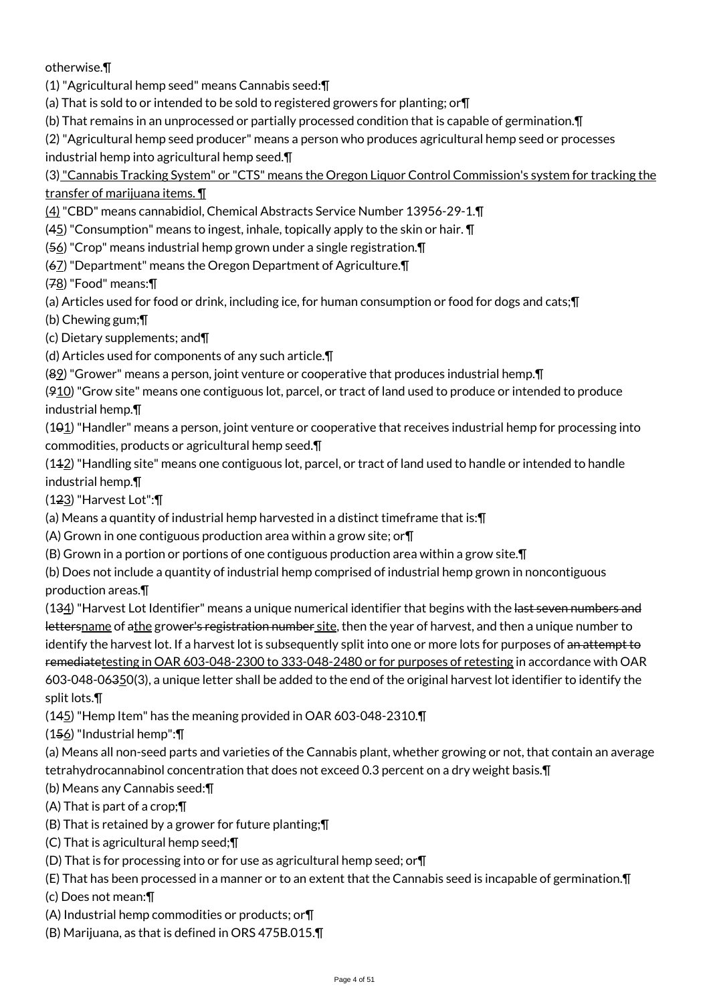otherwise.¶

(1) "Agricultural hemp seed" means Cannabis seed:¶

(a) That is sold to or intended to be sold to registered growers for planting; or¶

(b) That remains in an unprocessed or partially processed condition that is capable of germination.¶

(2) "Agricultural hemp seed producer" means a person who produces agricultural hemp seed or processes

industrial hemp into agricultural hemp seed.¶

(3) "Cannabis Tracking System" or "CTS" means the Oregon Liquor Control Commission's system for tracking the transfer of marijuana items. ¶

(4) "CBD" means cannabidiol, Chemical Abstracts Service Number 13956-29-1.¶

 $(45)$  "Consumption" means to ingest, inhale, topically apply to the skin or hair.  $\P$ 

(56) "Crop" means industrial hemp grown under a single registration.¶

(67) "Department" means the Oregon Department of Agriculture.¶

(78) "Food" means:¶

(a) Articles used for food or drink, including ice, for human consumption or food for dogs and cats;¶

(b) Chewing gum;¶

(c) Dietary supplements; and¶

(d) Articles used for components of any such article.¶

(89) "Grower" means a person, joint venture or cooperative that produces industrial hemp.¶

 $(910)$  "Grow site" means one contiguous lot, parcel, or tract of land used to produce or intended to produce industrial hemp.¶

 $(101)$  "Handler" means a person, joint venture or cooperative that receives industrial hemp for processing into commodities, products or agricultural hemp seed.¶

(112) "Handling site" means one contiguous lot, parcel, or tract of land used to handle or intended to handle industrial hemp.¶

(123) "Harvest Lot":¶

(a) Means a quantity of industrial hemp harvested in a distinct timeframe that is:¶

(A) Grown in one contiguous production area within a grow site; or¶

(B) Grown in a portion or portions of one contiguous production area within a grow site.¶

(b) Does not include a quantity of industrial hemp comprised of industrial hemp grown in noncontiguous production areas.¶

(134) "Harvest Lot Identifier" means a unique numerical identifier that begins with the last seven numbers and lettersname of athe grower's registration number site, then the year of harvest, and then a unique number to identify the harvest lot. If a harvest lot is subsequently split into one or more lots for purposes of an attempt to remediatetesting in OAR 603-048-2300 to 333-048-2480 or for purposes of retesting in accordance with OAR 603-048-06350(3), a unique letter shall be added to the end of the original harvest lot identifier to identify the split lots.¶

(145) "Hemp Item" has the meaning provided in OAR 603-048-2310.¶

(156) "Industrial hemp":¶

(a) Means all non-seed parts and varieties of the Cannabis plant, whether growing or not, that contain an average tetrahydrocannabinol concentration that does not exceed 0.3 percent on a dry weight basis.¶

(b) Means any Cannabis seed:¶

(A) That is part of a crop;¶

(B) That is retained by a grower for future planting;¶

(C) That is agricultural hemp seed;¶

(D) That is for processing into or for use as agricultural hemp seed; or¶

(E) That has been processed in a manner or to an extent that the Cannabis seed is incapable of germination.¶

(c) Does not mean:¶

(A) Industrial hemp commodities or products; or¶

(B) Marijuana, as that is defined in ORS 475B.015.¶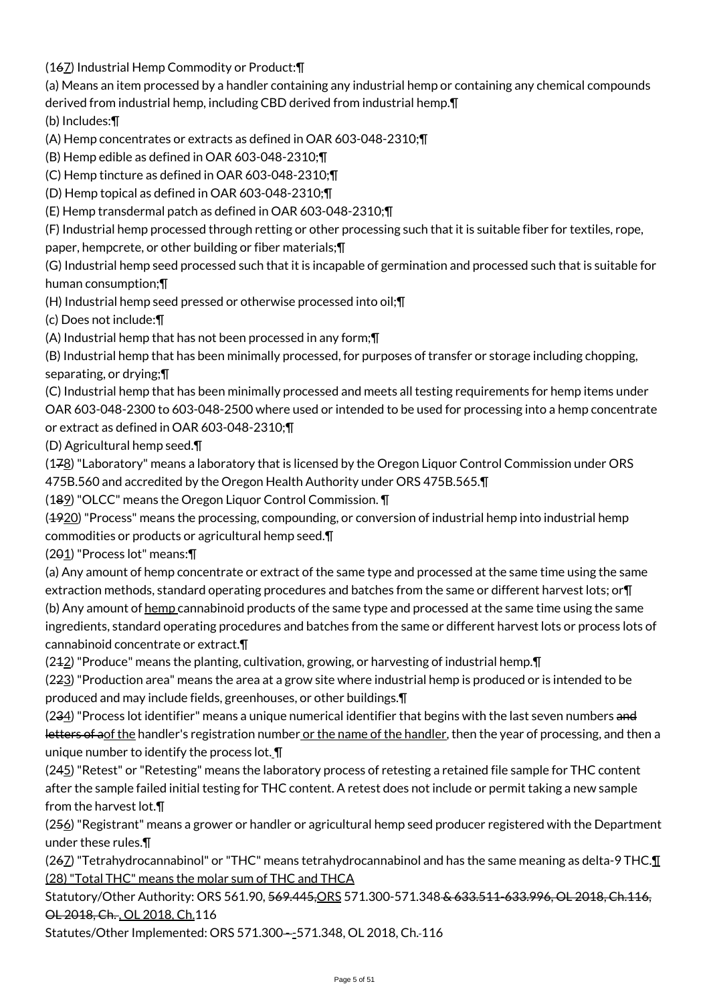(167) Industrial Hemp Commodity or Product:¶

(a) Means an item processed by a handler containing any industrial hemp or containing any chemical compounds

derived from industrial hemp, including CBD derived from industrial hemp.¶

(b) Includes:¶

(A) Hemp concentrates or extracts as defined in OAR 603-048-2310;¶

(B) Hemp edible as defined in OAR 603-048-2310;¶

(C) Hemp tincture as defined in OAR 603-048-2310;¶

(D) Hemp topical as defined in OAR 603-048-2310;¶

(E) Hemp transdermal patch as defined in OAR 603-048-2310;¶

(F) Industrial hemp processed through retting or other processing such that it is suitable fiber for textiles, rope,

paper, hempcrete, or other building or fiber materials;¶

(G) Industrial hemp seed processed such that it is incapable of germination and processed such that is suitable for human consumption;¶

(H) Industrial hemp seed pressed or otherwise processed into oil;¶

(c) Does not include:¶

(A) Industrial hemp that has not been processed in any form;¶

(B) Industrial hemp that has been minimally processed, for purposes of transfer or storage including chopping, separating, or drying;¶

(C) Industrial hemp that has been minimally processed and meets all testing requirements for hemp items under OAR 603-048-2300 to 603-048-2500 where used or intended to be used for processing into a hemp concentrate or extract as defined in OAR 603-048-2310;¶

(D) Agricultural hemp seed.¶

(178) "Laboratory" means a laboratory that is licensed by the Oregon Liquor Control Commission under ORS 475B.560 and accredited by the Oregon Health Authority under ORS 475B.565.¶

(189) "OLCC" means the Oregon Liquor Control Commission. ¶

(1920) "Process" means the processing, compounding, or conversion of industrial hemp into industrial hemp commodities or products or agricultural hemp seed.¶

(201) "Process lot" means:¶

(a) Any amount of hemp concentrate or extract of the same type and processed at the same time using the same extraction methods, standard operating procedures and batches from the same or different harvest lots; or¶ (b) Any amount of hemp cannabinoid products of the same type and processed at the same time using the same ingredients, standard operating procedures and batches from the same or different harvest lots or process lots of cannabinoid concentrate or extract.¶

 $(242)$  "Produce" means the planting, cultivation, growing, or harvesting of industrial hemp.  $\P$ 

(223) "Production area" means the area at a grow site where industrial hemp is produced or is intended to be produced and may include fields, greenhouses, or other buildings.¶

(234) "Process lot identifier" means a unique numerical identifier that begins with the last seven numbers and letters of aof the handler's registration number or the name of the handler, then the year of processing, and then a unique number to identify the process lot. ¶

(245) "Retest" or "Retesting" means the laboratory process of retesting a retained file sample for THC content after the sample failed initial testing for THC content. A retest does not include or permit taking a new sample from the harvest lot.¶

(256) "Registrant" means a grower or handler or agricultural hemp seed producer registered with the Department under these rules.¶

(267) "Tetrahydrocannabinol" or "THC" means tetrahydrocannabinol and has the same meaning as delta-9 THC.¶ (28) "Total THC" means the molar sum of THC and THCA

Statutory/Other Authority: ORS 561.90, 569.445, ORS 571.300-571.348 & 633.511-633.996, OL 2018, Ch.116, OL 2018, Ch. , OL 2018, Ch.116

Statutes/Other Implemented: ORS 571.300--571.348, OL 2018, Ch.-116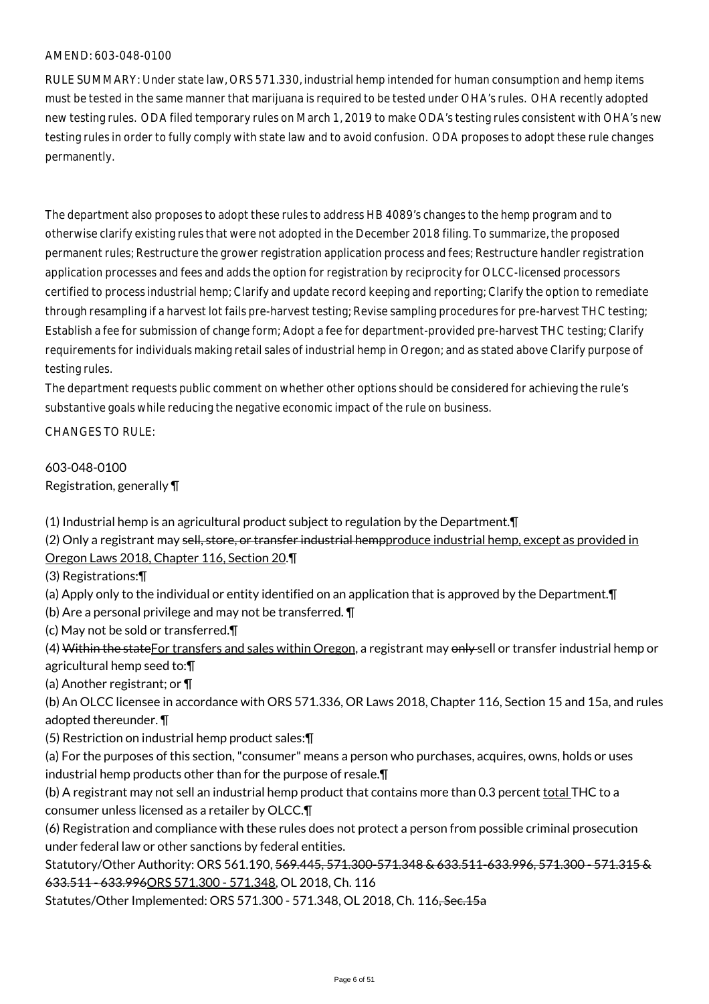RULE SUMMARY: Under state law, ORS 571.330, industrial hemp intended for human consumption and hemp items must be tested in the same manner that marijuana is required to be tested under OHA's rules. OHA recently adopted new testing rules. ODA filed temporary rules on March 1, 2019 to make ODA's testing rules consistent with OHA's new testing rules in order to fully comply with state law and to avoid confusion. ODA proposes to adopt these rule changes permanently.

The department also proposes to adopt these rules to address HB 4089's changes to the hemp program and to otherwise clarify existing rules that were not adopted in the December 2018 filing. To summarize, the proposed permanent rules; Restructure the grower registration application process and fees; Restructure handler registration application processes and fees and adds the option for registration by reciprocity for OLCC-licensed processors certified to process industrial hemp; Clarify and update record keeping and reporting; Clarify the option to remediate through resampling if a harvest lot fails pre-harvest testing; Revise sampling procedures for pre-harvest THC testing; Establish a fee for submission of change form; Adopt a fee for department-provided pre-harvest THC testing; Clarify requirements for individuals making retail sales of industrial hemp in Oregon; and as stated above Clarify purpose of testing rules.

The department requests public comment on whether other options should be considered for achieving the rule's substantive goals while reducing the negative economic impact of the rule on business.

CHANGES TO RULE:

603-048-0100 Registration, generally ¶

(1) Industrial hemp is an agricultural product subject to regulation by the Department.¶

(2) Only a registrant may sell, store, or transfer industrial hempproduce industrial hemp, except as provided in Oregon Laws 2018, Chapter 116, Section 20.¶

(3) Registrations:¶

(a) Apply only to the individual or entity identified on an application that is approved by the Department.¶

(b) Are a personal privilege and may not be transferred. ¶

(c) May not be sold or transferred.¶

(4) Within the state For transfers and sales within Oregon, a registrant may only sell or transfer industrial hemp or agricultural hemp seed to:¶

(a) Another registrant; or ¶

(b) An OLCC licensee in accordance with ORS 571.336, OR Laws 2018, Chapter 116, Section 15 and 15a, and rules adopted thereunder. ¶

(5) Restriction on industrial hemp product sales:¶

(a) For the purposes of this section, "consumer" means a person who purchases, acquires, owns, holds or uses industrial hemp products other than for the purpose of resale.¶

(b) A registrant may not sell an industrial hemp product that contains more than 0.3 percent total THC to a consumer unless licensed as a retailer by OLCC.¶

(6) Registration and compliance with these rules does not protect a person from possible criminal prosecution under federal law or other sanctions by federal entities.

Statutory/Other Authority: ORS 561.190, 569.445, 571.300-571.348 & 633.511-633.996, 571.300 - 571.315 & 633.511 - 633.996ORS 571.300 - 571.348, OL 2018, Ch. 116

Statutes/Other Implemented: ORS 571.300 - 571.348, OL 2018, Ch. 116, Sec.15a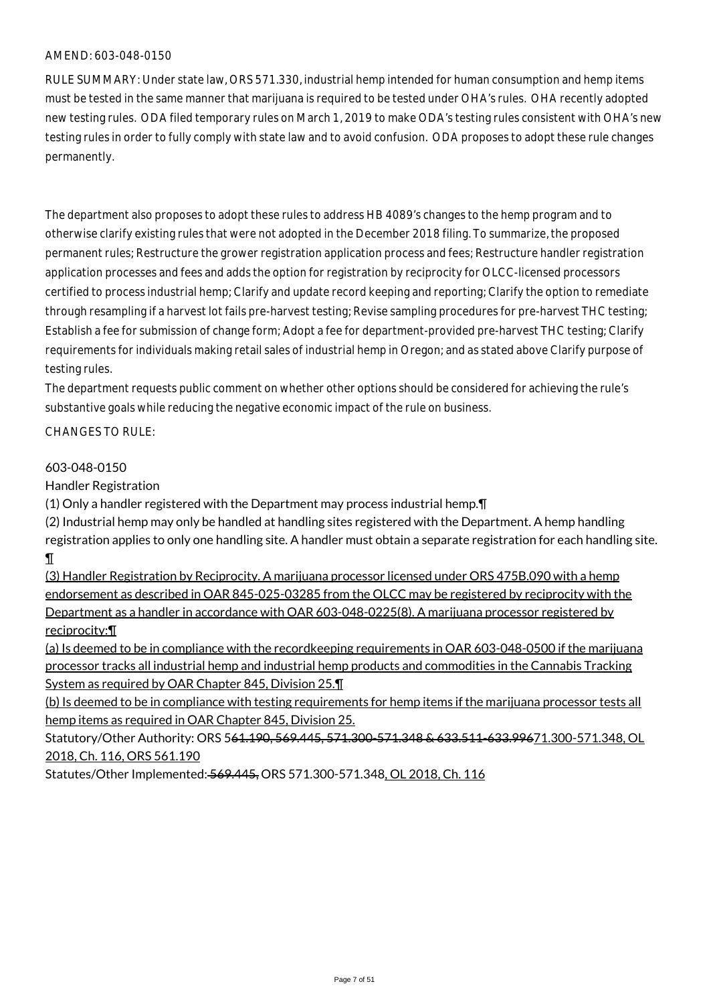RULE SUMMARY: Under state law, ORS 571.330, industrial hemp intended for human consumption and hemp items must be tested in the same manner that marijuana is required to be tested under OHA's rules. OHA recently adopted new testing rules. ODA filed temporary rules on March 1, 2019 to make ODA's testing rules consistent with OHA's new testing rules in order to fully comply with state law and to avoid confusion. ODA proposes to adopt these rule changes permanently.

The department also proposes to adopt these rules to address HB 4089's changes to the hemp program and to otherwise clarify existing rules that were not adopted in the December 2018 filing. To summarize, the proposed permanent rules; Restructure the grower registration application process and fees; Restructure handler registration application processes and fees and adds the option for registration by reciprocity for OLCC-licensed processors certified to process industrial hemp; Clarify and update record keeping and reporting; Clarify the option to remediate through resampling if a harvest lot fails pre-harvest testing; Revise sampling procedures for pre-harvest THC testing; Establish a fee for submission of change form; Adopt a fee for department-provided pre-harvest THC testing; Clarify requirements for individuals making retail sales of industrial hemp in Oregon; and as stated above Clarify purpose of testing rules.

The department requests public comment on whether other options should be considered for achieving the rule's substantive goals while reducing the negative economic impact of the rule on business.

CHANGES TO RULE:

#### 603-048-0150

Handler Registration

(1) Only a handler registered with the Department may process industrial hemp.¶

(2) Industrial hemp may only be handled at handling sites registered with the Department. A hemp handling registration applies to only one handling site. A handler must obtain a separate registration for each handling site. ¶

(3) Handler Registration by Reciprocity. A marijuana processor licensed under ORS 475B.090 with a hemp endorsement as described in OAR 845-025-03285 from the OLCC may be registered by reciprocity with the Department as a handler in accordance with OAR 603-048-0225(8). A marijuana processor registered by reciprocity:¶

(a) Is deemed to be in compliance with the recordkeeping requirements in OAR 603-048-0500 if the marijuana processor tracks all industrial hemp and industrial hemp products and commodities in the Cannabis Tracking System as required by OAR Chapter 845, Division 25.¶

(b) Is deemed to be in compliance with testing requirements for hemp items if the marijuana processor tests all hemp items as required in OAR Chapter 845, Division 25.

Statutory/Other Authority: ORS 561.190, 569.445, 571.300-571.348 & 633.511-633.99671.300-571.348, OL 2018, Ch. 116, ORS 561.190

Statutes/Other Implemented: 569.445, ORS 571.300-571.348, OL 2018, Ch. 116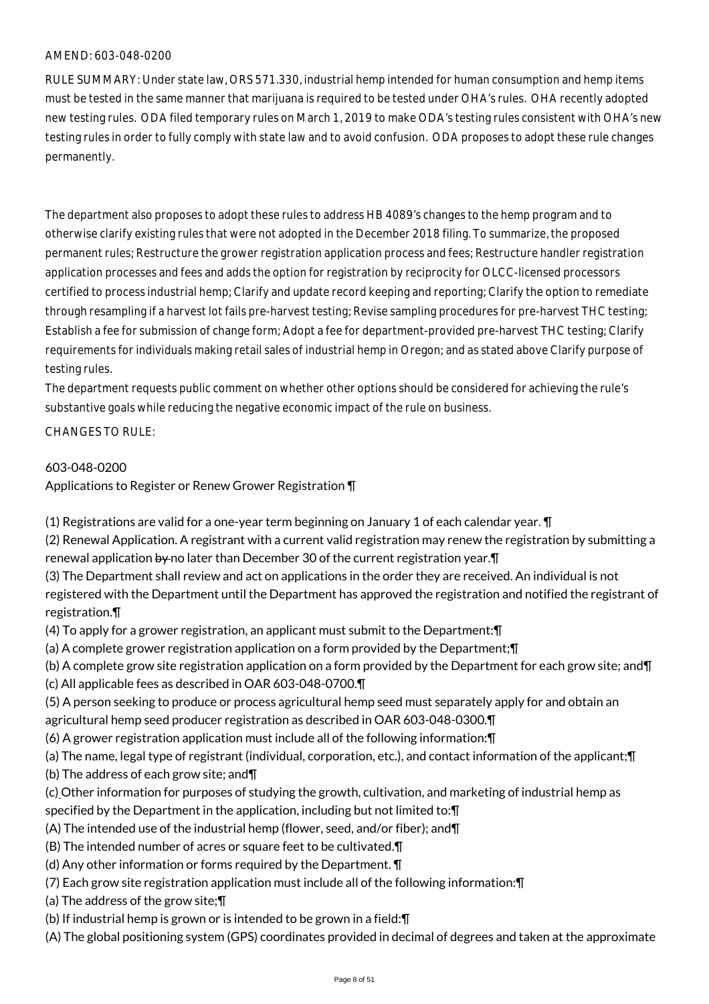RULE SUMMARY: Under state law, ORS 571.330, industrial hemp intended for human consumption and hemp items must be tested in the same manner that marijuana is required to be tested under OHA's rules. OHA recently adopted new testing rules. ODA filed temporary rules on March 1, 2019 to make ODA's testing rules consistent with OHA's new testing rules in order to fully comply with state law and to avoid confusion. ODA proposes to adopt these rule changes permanently.

The department also proposes to adopt these rules to address HB 4089's changes to the hemp program and to otherwise clarify existing rules that were not adopted in the December 2018 filing. To summarize, the proposed permanent rules; Restructure the grower registration application process and fees; Restructure handler registration application processes and fees and adds the option for registration by reciprocity for OLCC-licensed processors certified to process industrial hemp; Clarify and update record keeping and reporting; Clarify the option to remediate through resampling if a harvest lot fails pre-harvest testing; Revise sampling procedures for pre-harvest THC testing; Establish a fee for submission of change form; Adopt a fee for department-provided pre-harvest THC testing; Clarify requirements for individuals making retail sales of industrial hemp in Oregon; and as stated above Clarify purpose of testing rules.

The department requests public comment on whether other options should be considered for achieving the rule's substantive goals while reducing the negative economic impact of the rule on business.

#### CHANGES TO RULE:

#### 603-048-0200

Applications to Register or Renew Grower Registration ¶

(1) Registrations are valid for a one-year term beginning on January 1 of each calendar year. ¶

(2) Renewal Application. A registrant with a current valid registration may renew the registration by submitting a renewal application  $\frac{1}{2}$  of later than December 30 of the current registration year.  $\P$ 

- (3) The Department shall review and act on applications in the order they are received. An individual is not registered with the Department until the Department has approved the registration and notified the registrant of registration.¶
- (4) To apply for a grower registration, an applicant must submit to the Department:¶
- (a) A complete grower registration application on a form provided by the Department;¶
- (b) A complete grow site registration application on a form provided by the Department for each grow site; and¶
- (c) All applicable fees as described in OAR 603-048-0700.¶
- (5) A person seeking to produce or process agricultural hemp seed must separately apply for and obtain an agricultural hemp seed producer registration as described in OAR 603-048-0300.¶
- (6) A grower registration application must include all of the following information:¶
- (a) The name, legal type of registrant (individual, corporation, etc.), and contact information of the applicant;¶
- (b) The address of each grow site; and¶
- (c) Other information for purposes of studying the growth, cultivation, and marketing of industrial hemp as specified by the Department in the application, including but not limited to:¶
- (A) The intended use of the industrial hemp (flower, seed, and/or fiber); and¶
- (B) The intended number of acres or square feet to be cultivated.¶
- (d) Any other information or forms required by the Department. ¶
- (7) Each grow site registration application must include all of the following information:¶
- (a) The address of the grow site;¶
- (b) If industrial hemp is grown or is intended to be grown in a field:¶
- (A) The global positioning system (GPS) coordinates provided in decimal of degrees and taken at the approximate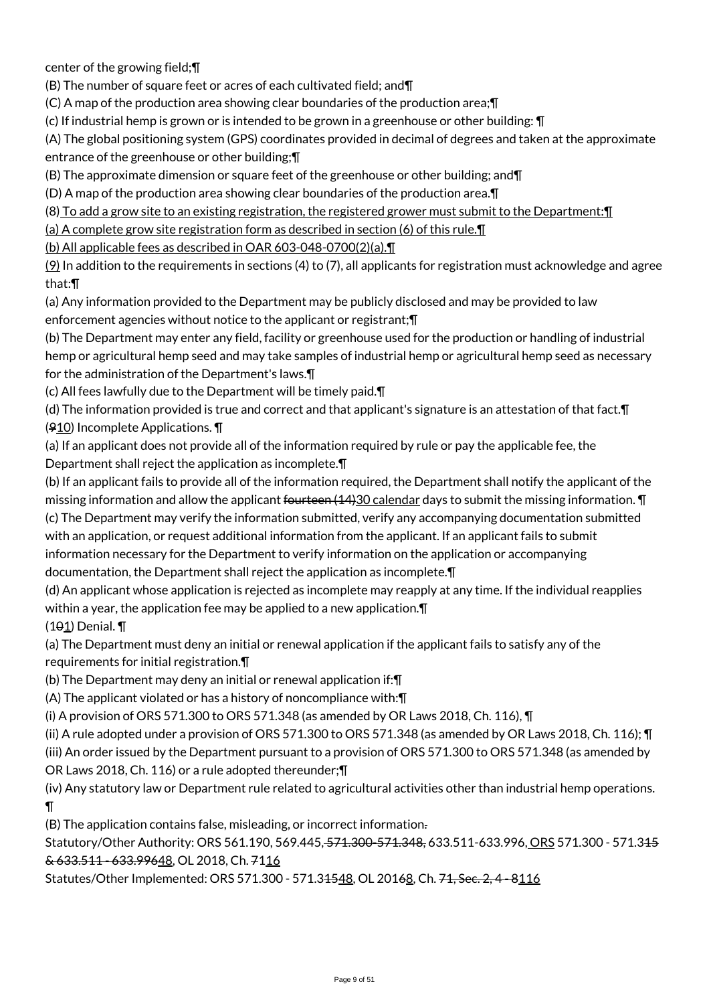center of the growing field;¶

(B) The number of square feet or acres of each cultivated field; and¶

(C) A map of the production area showing clear boundaries of the production area;¶

(c) If industrial hemp is grown or is intended to be grown in a greenhouse or other building: ¶

(A) The global positioning system (GPS) coordinates provided in decimal of degrees and taken at the approximate entrance of the greenhouse or other building;¶

(B) The approximate dimension or square feet of the greenhouse or other building; and¶

(D) A map of the production area showing clear boundaries of the production area.¶

(8) To add a grow site to an existing registration, the registered grower must submit to the Department:¶

(a) A complete grow site registration form as described in section (6) of this rule.¶

(b) All applicable fees as described in OAR 603-048-0700(2)(a).¶

 $(9)$  In addition to the requirements in sections (4) to (7), all applicants for registration must acknowledge and agree that:¶

(a) Any information provided to the Department may be publicly disclosed and may be provided to law enforcement agencies without notice to the applicant or registrant;¶

(b) The Department may enter any field, facility or greenhouse used for the production or handling of industrial hemp or agricultural hemp seed and may take samples of industrial hemp or agricultural hemp seed as necessary for the administration of the Department's laws.¶

(c) All fees lawfully due to the Department will be timely paid.¶

(d) The information provided is true and correct and that applicant's signature is an attestation of that fact.¶ (910) Incomplete Applications. ¶

(a) If an applicant does not provide all of the information required by rule or pay the applicable fee, the Department shall reject the application as incomplete.¶

(b) If an applicant fails to provide all of the information required, the Department shall notify the applicant of the missing information and allow the applicant fourteen (14)30 calendar days to submit the missing information. **T** (c) The Department may verify the information submitted, verify any accompanying documentation submitted with an application, or request additional information from the applicant. If an applicant fails to submit information necessary for the Department to verify information on the application or accompanying documentation, the Department shall reject the application as incomplete.¶

(d) An applicant whose application is rejected as incomplete may reapply at any time. If the individual reapplies within a year, the application fee may be applied to a new application. The (101) Denial. ¶

(a) The Department must deny an initial or renewal application if the applicant fails to satisfy any of the requirements for initial registration.¶

(b) The Department may deny an initial or renewal application if:¶

(A) The applicant violated or has a history of noncompliance with:¶

(i) A provision of ORS 571.300 to ORS 571.348 (as amended by OR Laws 2018, Ch. 116),  $\P$ 

(ii) A rule adopted under a provision of ORS 571.300 to ORS 571.348 (as amended by OR Laws 2018, Ch. 116); ¶

(iii) An order issued by the Department pursuant to a provision of ORS 571.300 to ORS 571.348 (as amended by

OR Laws 2018, Ch. 116) or a rule adopted thereunder;¶

(iv) Any statutory law or Department rule related to agricultural activities other than industrial hemp operations.  $\P$ 

(B) The application contains false, misleading, or incorrect information.

Statutory/Other Authority: ORS 561.190, 569.445, 571.300-571.348, 633.511-633.996, ORS 571.300 - 571.315 & 633.511 - 633.99648, OL 2018, Ch. 7116

Statutes/Other Implemented: ORS 571.300 - 571.34548, OL 20168, Ch. 71, Sec. 2, 4 - 8116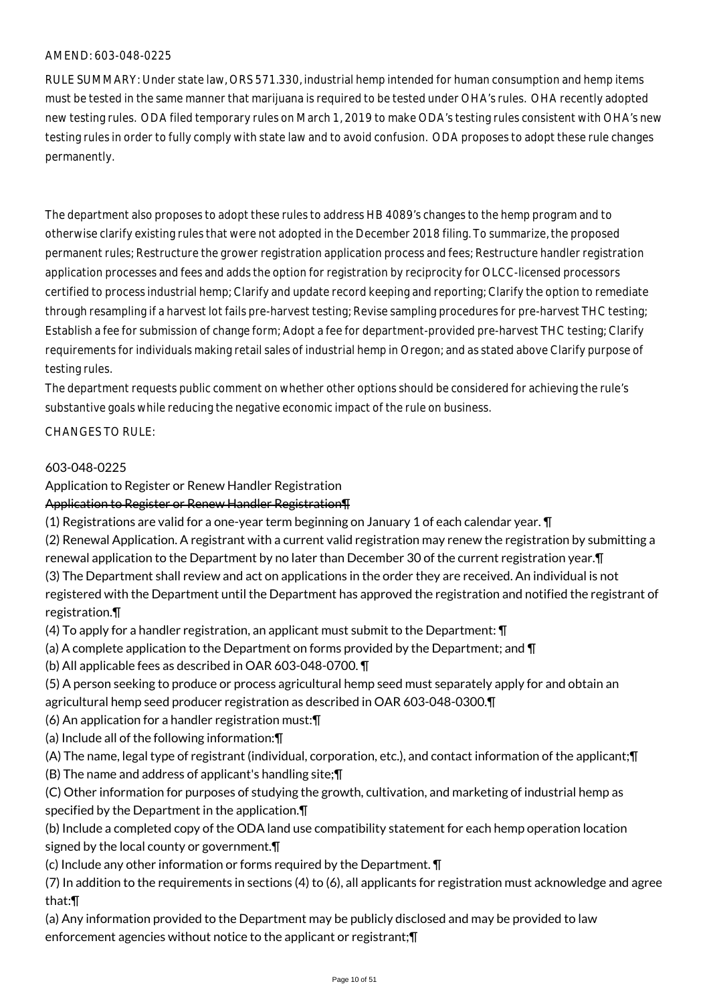RULE SUMMARY: Under state law, ORS 571.330, industrial hemp intended for human consumption and hemp items must be tested in the same manner that marijuana is required to be tested under OHA's rules. OHA recently adopted new testing rules. ODA filed temporary rules on March 1, 2019 to make ODA's testing rules consistent with OHA's new testing rules in order to fully comply with state law and to avoid confusion. ODA proposes to adopt these rule changes permanently.

The department also proposes to adopt these rules to address HB 4089's changes to the hemp program and to otherwise clarify existing rules that were not adopted in the December 2018 filing. To summarize, the proposed permanent rules; Restructure the grower registration application process and fees; Restructure handler registration application processes and fees and adds the option for registration by reciprocity for OLCC-licensed processors certified to process industrial hemp; Clarify and update record keeping and reporting; Clarify the option to remediate through resampling if a harvest lot fails pre-harvest testing; Revise sampling procedures for pre-harvest THC testing; Establish a fee for submission of change form; Adopt a fee for department-provided pre-harvest THC testing; Clarify requirements for individuals making retail sales of industrial hemp in Oregon; and as stated above Clarify purpose of testing rules.

The department requests public comment on whether other options should be considered for achieving the rule's substantive goals while reducing the negative economic impact of the rule on business.

#### CHANGES TO RULE:

#### 603-048-0225

#### Application to Register or Renew Handler Registration

#### Application to Register or Renew Handler Registration¶

(1) Registrations are valid for a one-year term beginning on January 1 of each calendar year. ¶

(2) Renewal Application. A registrant with a current valid registration may renew the registration by submitting a renewal application to the Department by no later than December 30 of the current registration year.¶ (3) The Department shall review and act on applications in the order they are received. An individual is not

registered with the Department until the Department has approved the registration and notified the registrant of registration.¶

- (4) To apply for a handler registration, an applicant must submit to the Department: ¶
- (a) A complete application to the Department on forms provided by the Department; and ¶
- (b) All applicable fees as described in OAR 603-048-0700. ¶
- (5) A person seeking to produce or process agricultural hemp seed must separately apply for and obtain an agricultural hemp seed producer registration as described in OAR 603-048-0300.¶
- (6) An application for a handler registration must:¶
- (a) Include all of the following information:¶
- (A) The name, legal type of registrant (individual, corporation, etc.), and contact information of the applicant;¶
- (B) The name and address of applicant's handling site;¶
- (C) Other information for purposes of studying the growth, cultivation, and marketing of industrial hemp as specified by the Department in the application.¶
- (b) Include a completed copy of the ODA land use compatibility statement for each hemp operation location signed by the local county or government.¶
- (c) Include any other information or forms required by the Department. ¶
- (7) In addition to the requirements in sections (4) to (6), all applicants for registration must acknowledge and agree that:¶
- (a) Any information provided to the Department may be publicly disclosed and may be provided to law enforcement agencies without notice to the applicant or registrant;¶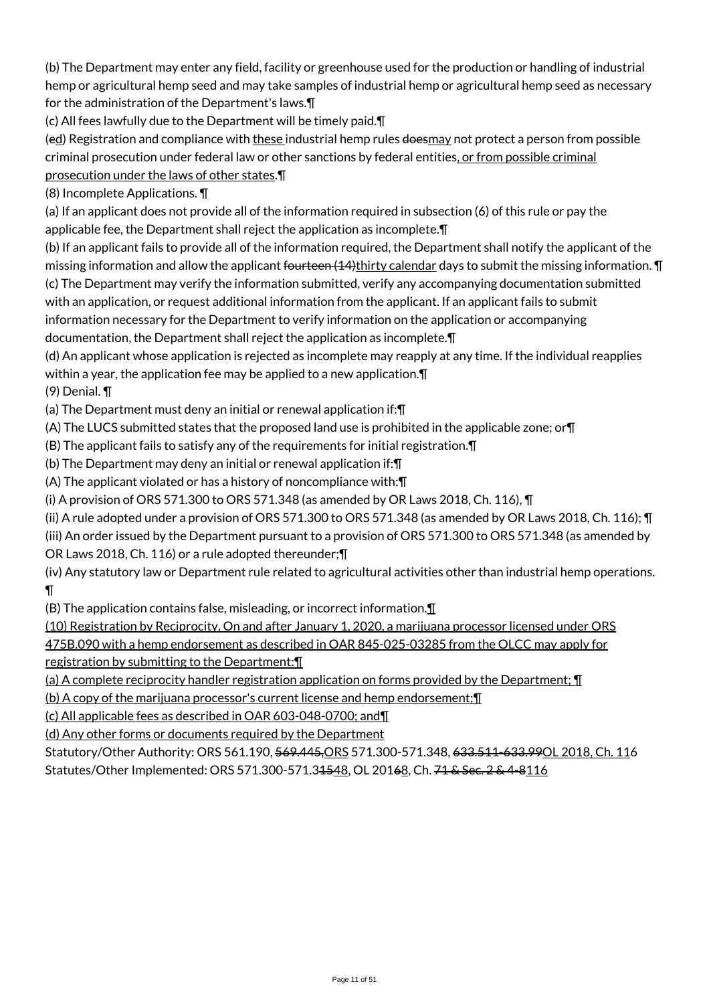(b) The Department may enter any field, facility or greenhouse used for the production or handling of industrial hemp or agricultural hemp seed and may take samples of industrial hemp or agricultural hemp seed as necessary for the administration of the Department's laws.¶

(c) All fees lawfully due to the Department will be timely paid.¶

(ed) Registration and compliance with these industrial hemp rules doesmay not protect a person from possible criminal prosecution under federal law or other sanctions by federal entities, or from possible criminal prosecution under the laws of other states.¶

(8) Incomplete Applications. ¶

(a) If an applicant does not provide all of the information required in subsection (6) of this rule or pay the applicable fee, the Department shall reject the application as incomplete.¶

(b) If an applicant fails to provide all of the information required, the Department shall notify the applicant of the missing information and allow the applicant fourteen (14)thirty calendar days to submit the missing information.  $\P$ (c) The Department may verify the information submitted, verify any accompanying documentation submitted with an application, or request additional information from the applicant. If an applicant fails to submit

information necessary for the Department to verify information on the application or accompanying documentation, the Department shall reject the application as incomplete.¶

(d) An applicant whose application is rejected as incomplete may reapply at any time. If the individual reapplies within a year, the application fee may be applied to a new application.¶

(9) Denial. ¶

(a) The Department must deny an initial or renewal application if:¶

(A) The LUCS submitted states that the proposed land use is prohibited in the applicable zone; or¶

(B) The applicant fails to satisfy any of the requirements for initial registration.¶

(b) The Department may deny an initial or renewal application if:¶

(A) The applicant violated or has a history of noncompliance with:¶

(i) A provision of ORS 571.300 to ORS 571.348 (as amended by OR Laws 2018, Ch. 116),  $\P$ 

- (ii) A rule adopted under a provision of ORS 571.300 to ORS 571.348 (as amended by OR Laws 2018, Ch. 116); ¶
- (iii) An order issued by the Department pursuant to a provision of ORS 571.300 to ORS 571.348 (as amended by OR Laws 2018, Ch. 116) or a rule adopted thereunder;¶

(iv) Any statutory law or Department rule related to agricultural activities other than industrial hemp operations.  $\P$ 

(B) The application contains false, misleading, or incorrect information.¶

(10) Registration by Reciprocity. On and after January 1, 2020, a marijuana processor licensed under ORS 475B.090 with a hemp endorsement as described in OAR 845-025-03285 from the OLCC may apply for registration by submitting to the Department:¶

(a) A complete reciprocity handler registration application on forms provided by the Department; ¶

(b) A copy of the marijuana processor's current license and hemp endorsement;¶

(c) All applicable fees as described in OAR 603-048-0700; and¶

(d) Any other forms or documents required by the Department

Statutory/Other Authority: ORS 561.190, 569.445,ORS 571.300-571.348, 633.511-633.99OL 2018, Ch. 116 Statutes/Other Implemented: ORS 571.300-571.34548, OL 20168, Ch. 71 & Sec. 2 & 4-8116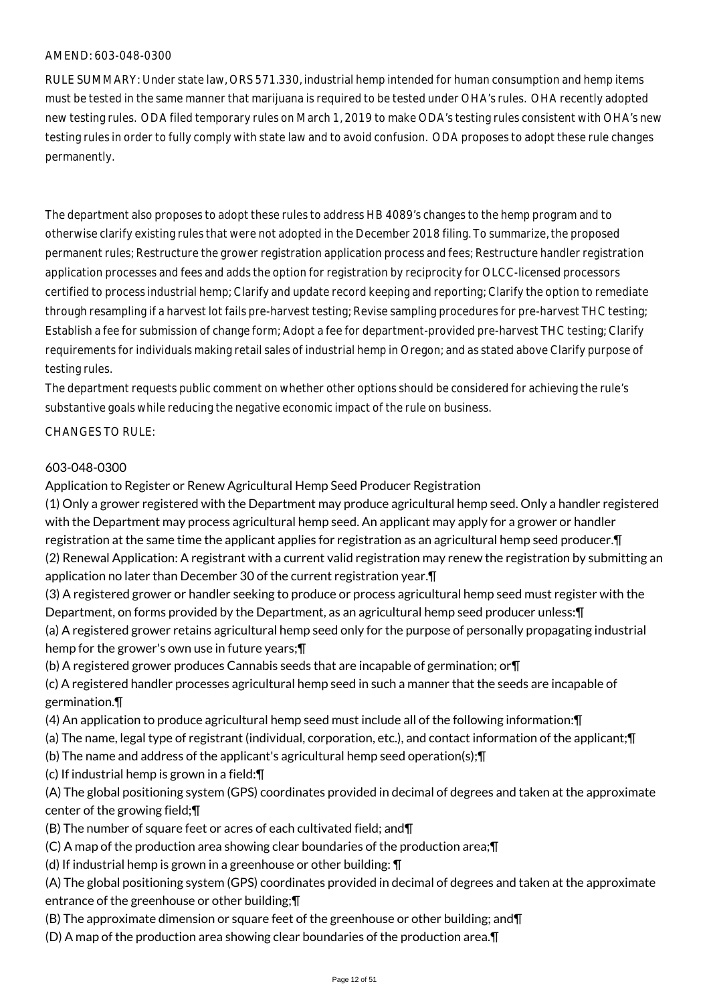RULE SUMMARY: Under state law, ORS 571.330, industrial hemp intended for human consumption and hemp items must be tested in the same manner that marijuana is required to be tested under OHA's rules. OHA recently adopted new testing rules. ODA filed temporary rules on March 1, 2019 to make ODA's testing rules consistent with OHA's new testing rules in order to fully comply with state law and to avoid confusion. ODA proposes to adopt these rule changes permanently.

The department also proposes to adopt these rules to address HB 4089's changes to the hemp program and to otherwise clarify existing rules that were not adopted in the December 2018 filing. To summarize, the proposed permanent rules; Restructure the grower registration application process and fees; Restructure handler registration application processes and fees and adds the option for registration by reciprocity for OLCC-licensed processors certified to process industrial hemp; Clarify and update record keeping and reporting; Clarify the option to remediate through resampling if a harvest lot fails pre-harvest testing; Revise sampling procedures for pre-harvest THC testing; Establish a fee for submission of change form; Adopt a fee for department-provided pre-harvest THC testing; Clarify requirements for individuals making retail sales of industrial hemp in Oregon; and as stated above Clarify purpose of testing rules.

The department requests public comment on whether other options should be considered for achieving the rule's substantive goals while reducing the negative economic impact of the rule on business.

#### CHANGES TO RULE:

#### 603-048-0300

Application to Register or Renew Agricultural Hemp Seed Producer Registration

(1) Only a grower registered with the Department may produce agricultural hemp seed. Only a handler registered with the Department may process agricultural hemp seed. An applicant may apply for a grower or handler registration at the same time the applicant applies for registration as an agricultural hemp seed producer.¶ (2) Renewal Application: A registrant with a current valid registration may renew the registration by submitting an application no later than December 30 of the current registration year.¶

(3) A registered grower or handler seeking to produce or process agricultural hemp seed must register with the Department, on forms provided by the Department, as an agricultural hemp seed producer unless:¶ (a) A registered grower retains agricultural hemp seed only for the purpose of personally propagating industrial

hemp for the grower's own use in future years;¶

(b) A registered grower produces Cannabis seeds that are incapable of germination; or¶

(c) A registered handler processes agricultural hemp seed in such a manner that the seeds are incapable of germination.¶

(4) An application to produce agricultural hemp seed must include all of the following information:¶

- (a) The name, legal type of registrant (individual, corporation, etc.), and contact information of the applicant;¶
- (b) The name and address of the applicant's agricultural hemp seed operation(s);¶
- (c) If industrial hemp is grown in a field:¶

(A) The global positioning system (GPS) coordinates provided in decimal of degrees and taken at the approximate center of the growing field;¶

- (B) The number of square feet or acres of each cultivated field; and¶
- (C) A map of the production area showing clear boundaries of the production area;¶
- (d) If industrial hemp is grown in a greenhouse or other building: ¶

(A) The global positioning system (GPS) coordinates provided in decimal of degrees and taken at the approximate entrance of the greenhouse or other building;¶

- (B) The approximate dimension or square feet of the greenhouse or other building; and¶
- (D) A map of the production area showing clear boundaries of the production area.¶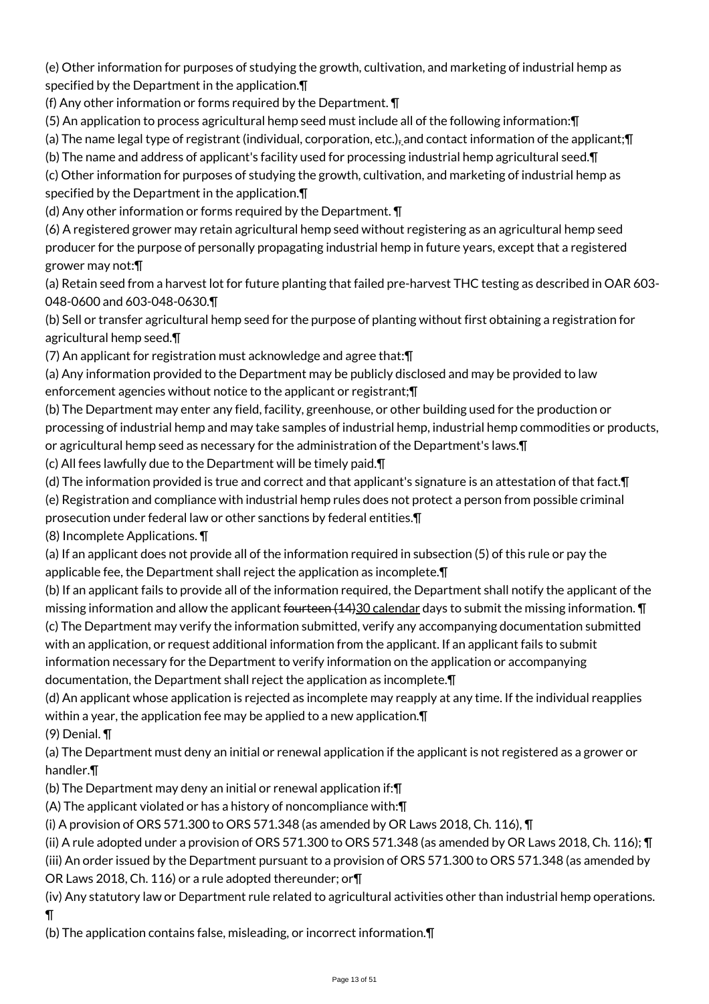(e) Other information for purposes of studying the growth, cultivation, and marketing of industrial hemp as specified by the Department in the application.¶

(f) Any other information or forms required by the Department. ¶

(5) An application to process agricultural hemp seed must include all of the following information:¶

(a) The name legal type of registrant (individual, corporation, etc.), and contact information of the applicant;¶

(b) The name and address of applicant's facility used for processing industrial hemp agricultural seed.¶

(c) Other information for purposes of studying the growth, cultivation, and marketing of industrial hemp as specified by the Department in the application.¶

(d) Any other information or forms required by the Department. ¶

(6) A registered grower may retain agricultural hemp seed without registering as an agricultural hemp seed producer for the purpose of personally propagating industrial hemp in future years, except that a registered grower may not:¶

(a) Retain seed from a harvest lot for future planting that failed pre-harvest THC testing as described in OAR 603- 048-0600 and 603-048-0630.¶

(b) Sell or transfer agricultural hemp seed for the purpose of planting without first obtaining a registration for agricultural hemp seed.¶

(7) An applicant for registration must acknowledge and agree that:¶

(a) Any information provided to the Department may be publicly disclosed and may be provided to law enforcement agencies without notice to the applicant or registrant;¶

(b) The Department may enter any field, facility, greenhouse, or other building used for the production or processing of industrial hemp and may take samples of industrial hemp, industrial hemp commodities or products, or agricultural hemp seed as necessary for the administration of the Department's laws.¶

(c) All fees lawfully due to the Department will be timely paid.¶

(d) The information provided is true and correct and that applicant's signature is an attestation of that fact.¶

(e) Registration and compliance with industrial hemp rules does not protect a person from possible criminal

prosecution under federal law or other sanctions by federal entities.¶

(8) Incomplete Applications. ¶

(a) If an applicant does not provide all of the information required in subsection (5) of this rule or pay the applicable fee, the Department shall reject the application as incomplete.¶

(b) If an applicant fails to provide all of the information required, the Department shall notify the applicant of the missing information and allow the applicant <del>fourteen (14)</del>30 calendar days to submit the missing information.  $\P$ (c) The Department may verify the information submitted, verify any accompanying documentation submitted with an application, or request additional information from the applicant. If an applicant fails to submit information necessary for the Department to verify information on the application or accompanying documentation, the Department shall reject the application as incomplete.¶

(d) An applicant whose application is rejected as incomplete may reapply at any time. If the individual reapplies within a year, the application fee may be applied to a new application.  $\P$ 

(9) Denial. ¶

(a) The Department must deny an initial or renewal application if the applicant is not registered as a grower or handler.¶

(b) The Department may deny an initial or renewal application if:¶

(A) The applicant violated or has a history of noncompliance with:¶

(i) A provision of ORS 571.300 to ORS 571.348 (as amended by OR Laws 2018, Ch. 116),  $\P$ 

(ii) A rule adopted under a provision of ORS 571.300 to ORS 571.348 (as amended by OR Laws 2018, Ch. 116); ¶ (iii) An order issued by the Department pursuant to a provision of ORS 571.300 to ORS 571.348 (as amended by

OR Laws 2018, Ch. 116) or a rule adopted thereunder; or¶

(iv) Any statutory law or Department rule related to agricultural activities other than industrial hemp operations.  $\P$ 

(b) The application contains false, misleading, or incorrect information.¶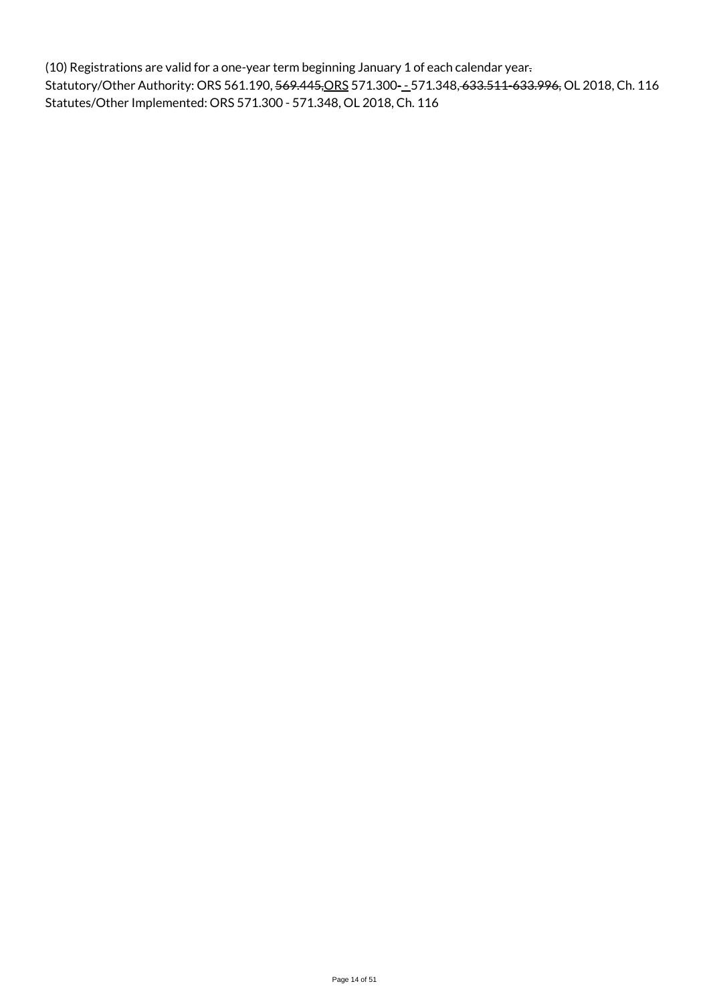(10) Registrations are valid for a one-year term beginning January 1 of each calendar year. Statutory/Other Authority: ORS 561.190, 569.445, ORS 571.300-1571.348, 633.511-633.996, OL 2018, Ch. 116 Statutes/Other Implemented: ORS 571.300 - 571.348, OL 2018, Ch. 116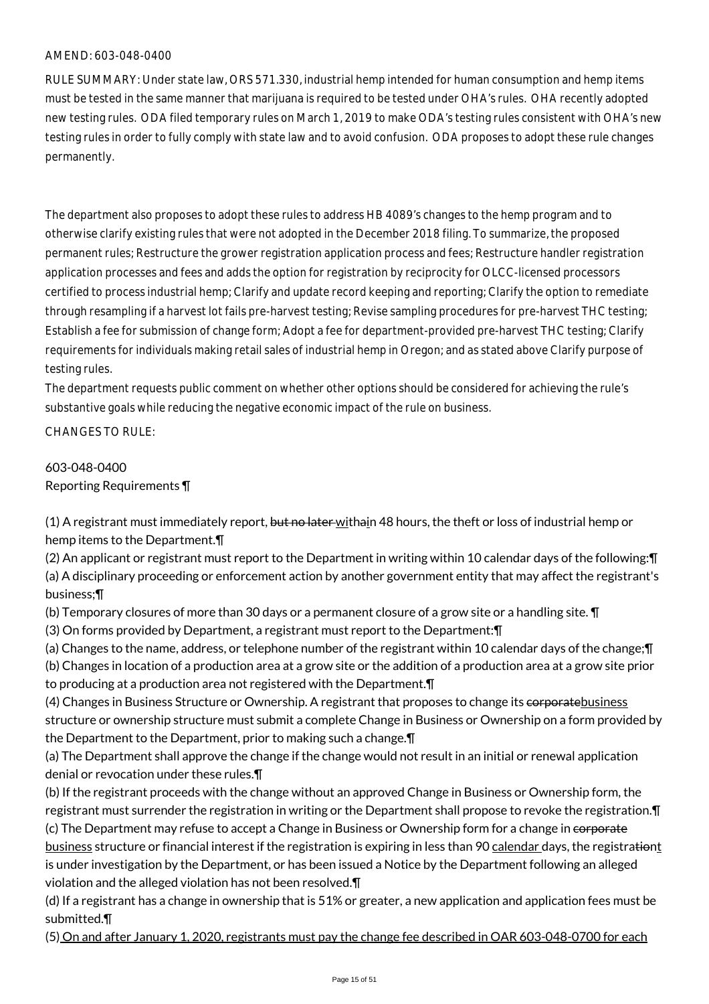RULE SUMMARY: Under state law, ORS 571.330, industrial hemp intended for human consumption and hemp items must be tested in the same manner that marijuana is required to be tested under OHA's rules. OHA recently adopted new testing rules. ODA filed temporary rules on March 1, 2019 to make ODA's testing rules consistent with OHA's new testing rules in order to fully comply with state law and to avoid confusion. ODA proposes to adopt these rule changes permanently.

The department also proposes to adopt these rules to address HB 4089's changes to the hemp program and to otherwise clarify existing rules that were not adopted in the December 2018 filing. To summarize, the proposed permanent rules; Restructure the grower registration application process and fees; Restructure handler registration application processes and fees and adds the option for registration by reciprocity for OLCC-licensed processors certified to process industrial hemp; Clarify and update record keeping and reporting; Clarify the option to remediate through resampling if a harvest lot fails pre-harvest testing; Revise sampling procedures for pre-harvest THC testing; Establish a fee for submission of change form; Adopt a fee for department-provided pre-harvest THC testing; Clarify requirements for individuals making retail sales of industrial hemp in Oregon; and as stated above Clarify purpose of testing rules.

The department requests public comment on whether other options should be considered for achieving the rule's substantive goals while reducing the negative economic impact of the rule on business.

CHANGES TO RULE:

# 603-048-0400 Reporting Requirements ¶

(1) A registrant must immediately report, but no later withain 48 hours, the theft or loss of industrial hemp or hemp items to the Department.¶

(2) An applicant or registrant must report to the Department in writing within 10 calendar days of the following:¶ (a) A disciplinary proceeding or enforcement action by another government entity that may affect the registrant's business;¶

(b) Temporary closures of more than 30 days or a permanent closure of a grow site or a handling site. ¶

(3) On forms provided by Department, a registrant must report to the Department:¶

(a) Changes to the name, address, or telephone number of the registrant within 10 calendar days of the change;¶ (b) Changes in location of a production area at a grow site or the addition of a production area at a grow site prior to producing at a production area not registered with the Department.¶

(4) Changes in Business Structure or Ownership. A registrant that proposes to change its corporatebusiness structure or ownership structure must submit a complete Change in Business or Ownership on a form provided by the Department to the Department, prior to making such a change.¶

(a) The Department shall approve the change if the change would not result in an initial or renewal application denial or revocation under these rules.¶

(b) If the registrant proceeds with the change without an approved Change in Business or Ownership form, the registrant must surrender the registration in writing or the Department shall propose to revoke the registration.¶ (c) The Department may refuse to accept a Change in Business or Ownership form for a change in corporate business structure or financial interest if the registration is expiring in less than 90 calendar days, the registrationt is under investigation by the Department, or has been issued a Notice by the Department following an alleged violation and the alleged violation has not been resolved.¶

(d) If a registrant has a change in ownership that is 51% or greater, a new application and application fees must be submitted.¶

(5) On and after January 1, 2020, registrants must pay the change fee described in OAR 603-048-0700 for each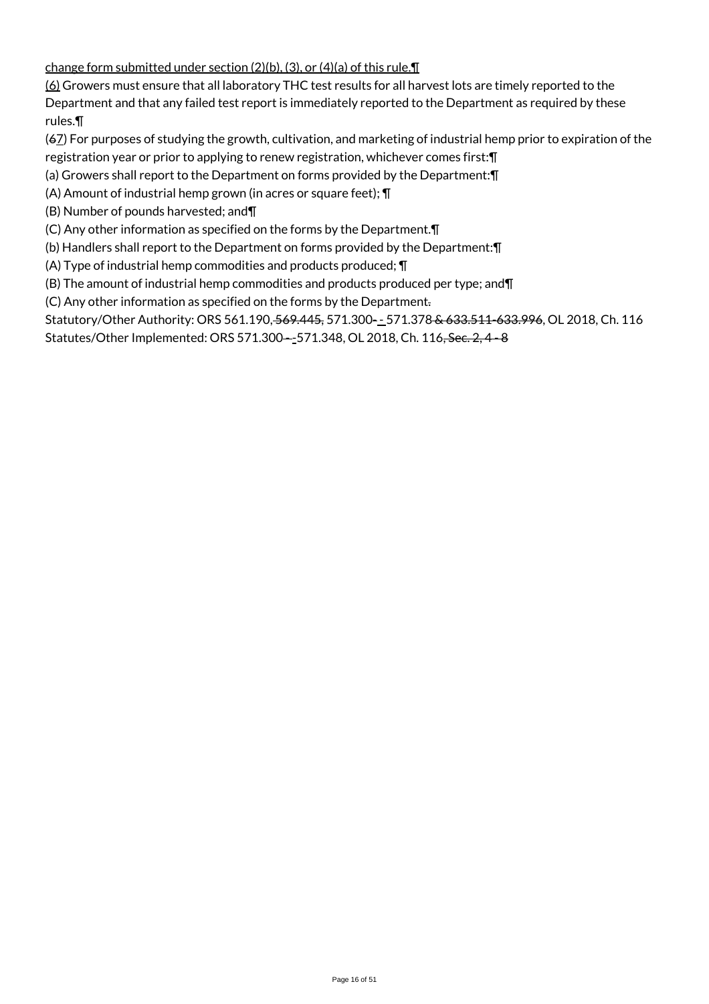change form submitted under section (2)(b), (3), or (4)(a) of this rule.¶

(6) Growers must ensure that all laboratory THC test results for all harvest lots are timely reported to the

Department and that any failed test report is immediately reported to the Department as required by these rules.¶

(67) For purposes of studying the growth, cultivation, and marketing of industrial hemp prior to expiration of the registration year or prior to applying to renew registration, whichever comes first:¶

(a) Growers shall report to the Department on forms provided by the Department:¶

(A) Amount of industrial hemp grown (in acres or square feet); ¶

(B) Number of pounds harvested; and¶

(C) Any other information as specified on the forms by the Department.¶

(b) Handlers shall report to the Department on forms provided by the Department:¶

(A) Type of industrial hemp commodities and products produced; ¶

(B) The amount of industrial hemp commodities and products produced per type; and¶

(C) Any other information as specified on the forms by the Department.

Statutory/Other Authority: ORS 561.190, 569.445, 571.300-\_571.378 & 633.511-633.996, OL 2018, Ch. 116 Statutes/Other Implemented: ORS 571.300—-571.348, OL 2018, Ch. 116, Sec. 2, 4 - 8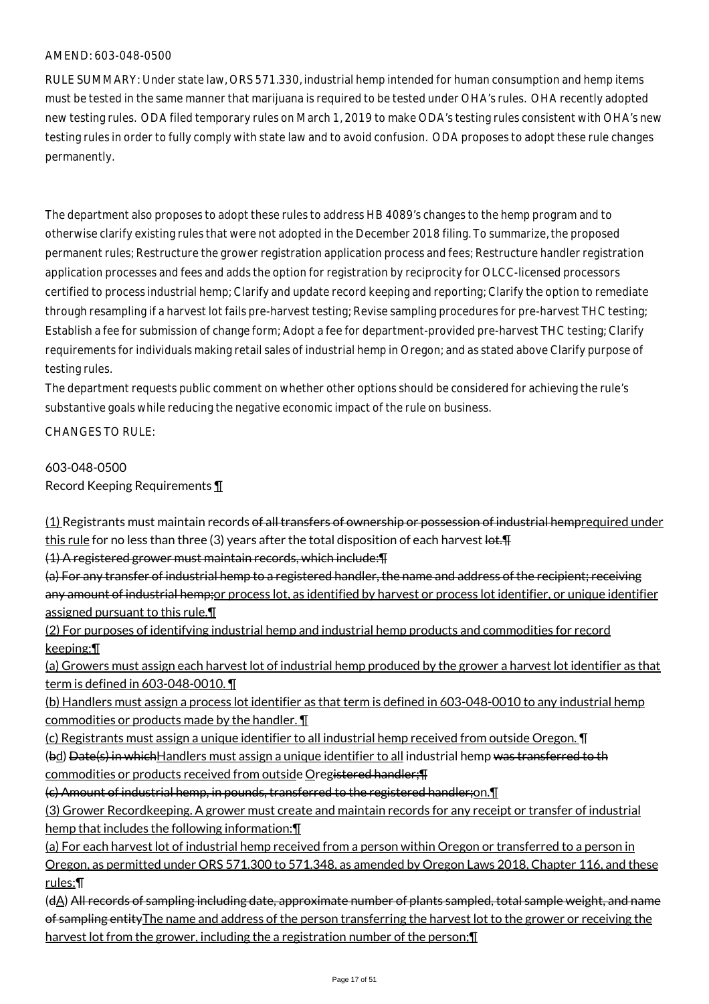RULE SUMMARY: Under state law, ORS 571.330, industrial hemp intended for human consumption and hemp items must be tested in the same manner that marijuana is required to be tested under OHA's rules. OHA recently adopted new testing rules. ODA filed temporary rules on March 1, 2019 to make ODA's testing rules consistent with OHA's new testing rules in order to fully comply with state law and to avoid confusion. ODA proposes to adopt these rule changes permanently.

The department also proposes to adopt these rules to address HB 4089's changes to the hemp program and to otherwise clarify existing rules that were not adopted in the December 2018 filing. To summarize, the proposed permanent rules; Restructure the grower registration application process and fees; Restructure handler registration application processes and fees and adds the option for registration by reciprocity for OLCC-licensed processors certified to process industrial hemp; Clarify and update record keeping and reporting; Clarify the option to remediate through resampling if a harvest lot fails pre-harvest testing; Revise sampling procedures for pre-harvest THC testing; Establish a fee for submission of change form; Adopt a fee for department-provided pre-harvest THC testing; Clarify requirements for individuals making retail sales of industrial hemp in Oregon; and as stated above Clarify purpose of testing rules.

The department requests public comment on whether other options should be considered for achieving the rule's substantive goals while reducing the negative economic impact of the rule on business.

CHANGES TO RULE:

# 603-048-0500

Record Keeping Requirements ¶

(1) Registrants must maintain records of all transfers of ownership or possession of industrial hemprequired under this rule for no less than three (3) years after the total disposition of each harvest  $let.$ 

(1) A registered grower must maintain records, which include:¶

(a) For any transfer of industrial hemp to a registered handler, the name and address of the recipient; receiving any amount of industrial hemp; or process lot, as identified by harvest or process lot identifier, or unique identifier assigned pursuant to this rule.¶

(2) For purposes of identifying industrial hemp and industrial hemp products and commodities for record keeping:¶

(a) Growers must assign each harvest lot of industrial hemp produced by the grower a harvest lot identifier as that term is defined in 603-048-0010. ¶

(b) Handlers must assign a process lot identifier as that term is defined in 603-048-0010 to any industrial hemp commodities or products made by the handler. ¶

(c) Registrants must assign a unique identifier to all industrial hemp received from outside Oregon. ¶

(bd) Date(s) in which Handlers must assign a unique identifier to all industrial hemp was transferred to th commodities or products received from outside Oregistered handler;¶

(c) Amount of industrial hemp, in pounds, transferred to the registered handler;on.¶

(3) Grower Recordkeeping. A grower must create and maintain records for any receipt or transfer of industrial hemp that includes the following information:¶

(a) For each harvest lot of industrial hemp received from a person within Oregon or transferred to a person in Oregon, as permitted under ORS 571.300 to 571.348, as amended by Oregon Laws 2018, Chapter 116, and these rules:¶

(dA) All records of sampling including date, approximate number of plants sampled, total sample weight, and name of sampling entity The name and address of the person transferring the harvest lot to the grower or receiving the harvest lot from the grower, including the a registration number of the person;¶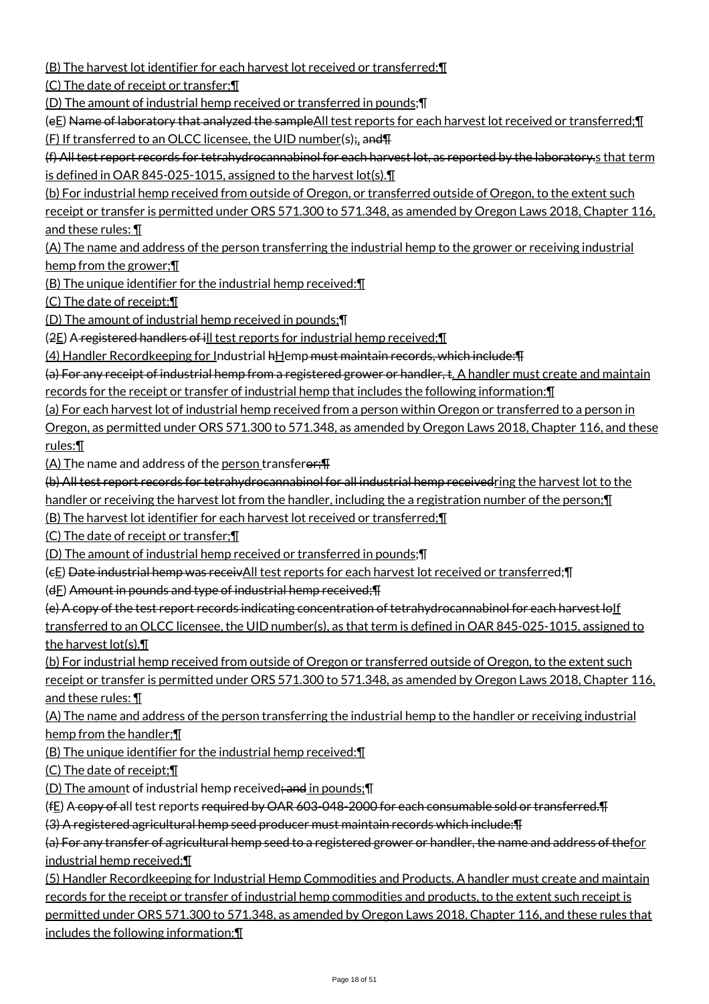(B) The harvest lot identifier for each harvest lot received or transferred;¶

(C) The date of receipt or transfer;¶

(D) The amount of industrial hemp received or transferred in pounds;¶

(eE) Name of laboratory that analyzed the sampleAll test reports for each harvest lot received or transferred;¶ (F) If transferred to an OLCC licensee, the UID number(s);, and¶

(f) All test report records for tetrahydrocannabinol for each harvest lot, as reported by the laboratory.s that term is defined in OAR 845-025-1015, assigned to the harvest lot(s).¶

(b) For industrial hemp received from outside of Oregon, or transferred outside of Oregon, to the extent such receipt or transfer is permitted under ORS 571.300 to 571.348, as amended by Oregon Laws 2018, Chapter 116, and these rules: ¶

(A) The name and address of the person transferring the industrial hemp to the grower or receiving industrial hemp from the grower;¶

(B) The unique identifier for the industrial hemp received:¶

(C) The date of receipt;¶

(D) The amount of industrial hemp received in pounds;¶

(2E) A registered handlers of ill test reports for industrial hemp received;¶

(4) Handler Recordkeeping for Industrial hHemp must maintain records, which include:¶

(a) For any receipt of industrial hemp from a registered grower or handler, t. A handler must create and maintain

records for the receipt or transfer of industrial hemp that includes the following information:¶

(a) For each harvest lot of industrial hemp received from a person within Oregon or transferred to a person in

Oregon, as permitted under ORS 571.300 to 571.348, as amended by Oregon Laws 2018, Chapter 116, and these rules:¶

(A) The name and address of the person transferer: $\P$ 

(b) All test report records for tetrahydrocannabinol for all industrial hemp receivedring the harvest lot to the

handler or receiving the harvest lot from the handler, including the a registration number of the person; [[1]

(B) The harvest lot identifier for each harvest lot received or transferred;¶

(C) The date of receipt or transfer;¶

(D) The amount of industrial hemp received or transferred in pounds;¶

(cE) Date industrial hemp was receivAll test reports for each harvest lot received or transferred;¶

 $(dE)$  Amount in pounds and type of industrial hemp received; $\P$ 

(e) A copy of the test report records indicating concentration of tetrahydrocannabinol for each harvest loIf transferred to an OLCC licensee, the UID number(s), as that term is defined in OAR 845-025-1015, assigned to the harvest lot(s).¶

(b) For industrial hemp received from outside of Oregon or transferred outside of Oregon, to the extent such receipt or transfer is permitted under ORS 571.300 to 571.348, as amended by Oregon Laws 2018, Chapter 116, and these rules: ¶

(A) The name and address of the person transferring the industrial hemp to the handler or receiving industrial hemp from the handler;¶

(B) The unique identifier for the industrial hemp received:¶

(C) The date of receipt;¶

(D) The amount of industrial hemp received; and in pounds; []

(fE) A copy of all test reports required by OAR 603-048-2000 for each consumable sold or transferred.¶

(3) A registered agricultural hemp seed producer must maintain records which include:¶

(a) For any transfer of agricultural hemp seed to a registered grower or handler, the name and address of thefor industrial hemp received;¶

(5) Handler Recordkeeping for Industrial Hemp Commodities and Products. A handler must create and maintain records for the receipt or transfer of industrial hemp commodities and products, to the extent such receipt is permitted under ORS 571.300 to 571.348, as amended by Oregon Laws 2018, Chapter 116, and these rules that includes the following information:¶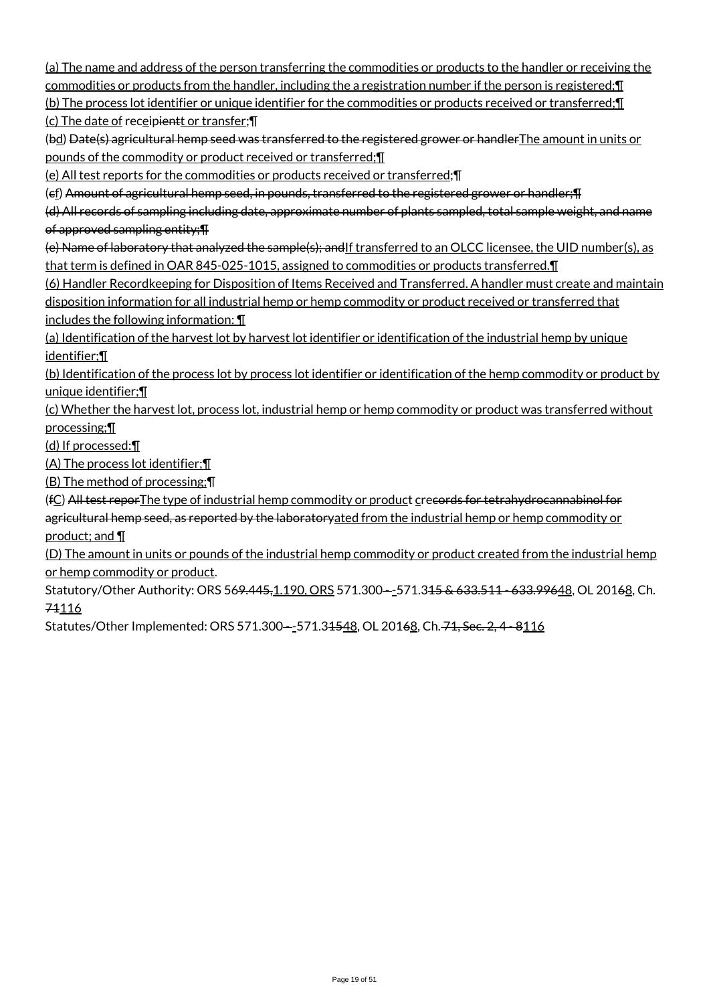(a) The name and address of the person transferring the commodities or products to the handler or receiving the commodities or products from the handler, including the a registration number if the person is registered;¶

(b) The process lot identifier or unique identifier for the commodities or products received or transferred;¶ (c) The date of receipientt or transfer; \[

(bd) Date(s) agricultural hemp seed was transferred to the registered grower or handlerThe amount in units or pounds of the commodity or product received or transferred;¶

(e) All test reports for the commodities or products received or transferred;¶

(cf) Amount of agricultural hemp seed, in pounds, transferred to the registered grower or handler;¶

(d) All records of sampling including date, approximate number of plants sampled, total sample weight, and name of approved sampling entity;¶

(e) Name of laboratory that analyzed the sample(s); and If transferred to an OLCC licensee, the UID number(s), as that term is defined in OAR 845-025-1015, assigned to commodities or products transferred.¶

(6) Handler Recordkeeping for Disposition of Items Received and Transferred. A handler must create and maintain disposition information for all industrial hemp or hemp commodity or product received or transferred that includes the following information: ¶

(a) Identification of the harvest lot by harvest lot identifier or identification of the industrial hemp by unique identifier;¶

(b) Identification of the process lot by process lot identifier or identification of the hemp commodity or product by unique identifier;¶

(c) Whether the harvest lot, process lot, industrial hemp or hemp commodity or product was transferred without processing;¶

(d) If processed:¶

(A) The process lot identifier;¶

(B) The method of processing;¶

(fC) All test reporThe type of industrial hemp commodity or product crecords for tetrahydrocannabinol for agricultural hemp seed, as reported by the laboratoryated from the industrial hemp or hemp commodity or product; and ¶

(D) The amount in units or pounds of the industrial hemp commodity or product created from the industrial hemp or hemp commodity or product.

Statutory/Other Authority: ORS 56<del>9.445, 1.190, ORS 571.300 - -</del>571.3<del>15 & 633.511 - 633.99648</del>, OL 201<del>68</del>, Ch. 74116

Statutes/Other Implemented: ORS 571.300--571.34548, OL 20168, Ch. 71, Sec. 2, 4 - 8116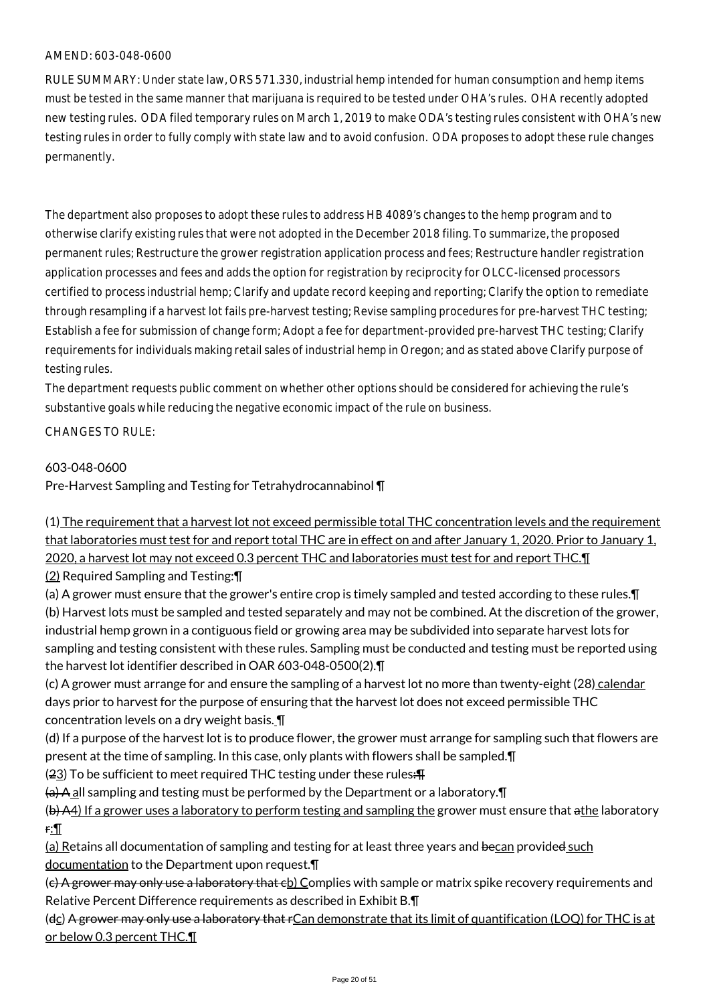RULE SUMMARY: Under state law, ORS 571.330, industrial hemp intended for human consumption and hemp items must be tested in the same manner that marijuana is required to be tested under OHA's rules. OHA recently adopted new testing rules. ODA filed temporary rules on March 1, 2019 to make ODA's testing rules consistent with OHA's new testing rules in order to fully comply with state law and to avoid confusion. ODA proposes to adopt these rule changes permanently.

The department also proposes to adopt these rules to address HB 4089's changes to the hemp program and to otherwise clarify existing rules that were not adopted in the December 2018 filing. To summarize, the proposed permanent rules; Restructure the grower registration application process and fees; Restructure handler registration application processes and fees and adds the option for registration by reciprocity for OLCC-licensed processors certified to process industrial hemp; Clarify and update record keeping and reporting; Clarify the option to remediate through resampling if a harvest lot fails pre-harvest testing; Revise sampling procedures for pre-harvest THC testing; Establish a fee for submission of change form; Adopt a fee for department-provided pre-harvest THC testing; Clarify requirements for individuals making retail sales of industrial hemp in Oregon; and as stated above Clarify purpose of testing rules.

The department requests public comment on whether other options should be considered for achieving the rule's substantive goals while reducing the negative economic impact of the rule on business.

CHANGES TO RULE:

#### 603-048-0600

Pre-Harvest Sampling and Testing for Tetrahydrocannabinol ¶

(1) The requirement that a harvest lot not exceed permissible total THC concentration levels and the requirement that laboratories must test for and report total THC are in effect on and after January 1, 2020. Prior to January 1, 2020, a harvest lot may not exceed 0.3 percent THC and laboratories must test for and report THC.¶

(2) Required Sampling and Testing:¶

(a) A grower must ensure that the grower's entire crop is timely sampled and tested according to these rules.¶ (b) Harvest lots must be sampled and tested separately and may not be combined. At the discretion of the grower, industrial hemp grown in a contiguous field or growing area may be subdivided into separate harvest lots for sampling and testing consistent with these rules. Sampling must be conducted and testing must be reported using the harvest lot identifier described in OAR 603-048-0500(2).¶

(c) A grower must arrange for and ensure the sampling of a harvest lot no more than twenty-eight (28) calendar days prior to harvest for the purpose of ensuring that the harvest lot does not exceed permissible THC concentration levels on a dry weight basis. ¶

(d) If a purpose of the harvest lot is to produce flower, the grower must arrange for sampling such that flowers are present at the time of sampling. In this case, only plants with flowers shall be sampled.¶

 $(23)$  To be sufficient to meet required THC testing under these rules: $\text{H}$ 

 $(a)$  A all sampling and testing must be performed by the Department or a laboratory.  $\P$ 

(b) A4) If a grower uses a laboratory to perform testing and sampling the grower must ensure that athe laboratory r:¶

(a) Retains all documentation of sampling and testing for at least three years and becan provided such documentation to the Department upon request.¶

(c) A grower may only use a laboratory that cb) Complies with sample or matrix spike recovery requirements and Relative Percent Difference requirements as described in Exhibit B.¶

(dc) A grower may only use a laboratory that rCan demonstrate that its limit of quantification (LOQ) for THC is at or below 0.3 percent THC.¶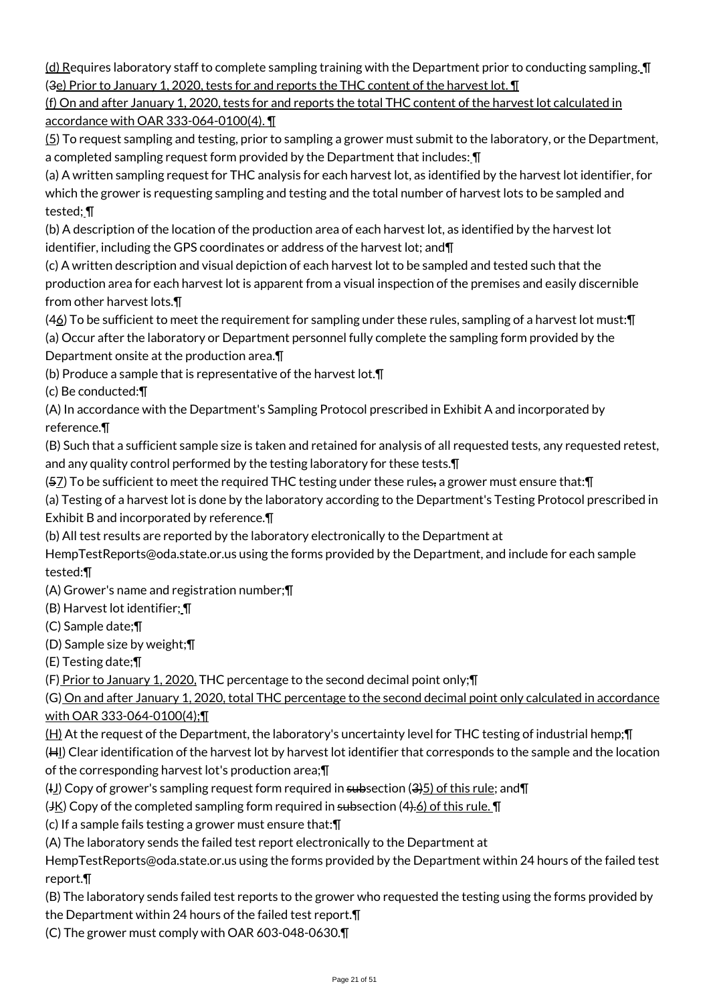(d) Requires laboratory staff to complete sampling training with the Department prior to conducting sampling. ¶ (3e) Prior to January 1, 2020, tests for and reports the THC content of the harvest lot. ¶

(f) On and after January 1, 2020, tests for and reports the total THC content of the harvest lot calculated in accordance with OAR 333-064-0100(4). ¶

(5) To request sampling and testing, prior to sampling a grower must submit to the laboratory, or the Department, a completed sampling request form provided by the Department that includes: ¶

(a) A written sampling request for THC analysis for each harvest lot, as identified by the harvest lot identifier, for which the grower is requesting sampling and testing and the total number of harvest lots to be sampled and tested; ¶

(b) A description of the location of the production area of each harvest lot, as identified by the harvest lot identifier, including the GPS coordinates or address of the harvest lot; and¶

(c) A written description and visual depiction of each harvest lot to be sampled and tested such that the production area for each harvest lot is apparent from a visual inspection of the premises and easily discernible from other harvest lots.¶

(46) To be sufficient to meet the requirement for sampling under these rules, sampling of a harvest lot must:¶

(a) Occur after the laboratory or Department personnel fully complete the sampling form provided by the Department onsite at the production area.¶

(b) Produce a sample that is representative of the harvest lot.¶

(c) Be conducted:¶

(A) In accordance with the Department's Sampling Protocol prescribed in Exhibit A and incorporated by reference.¶

(B) Such that a sufficient sample size is taken and retained for analysis of all requested tests, any requested retest, and any quality control performed by the testing laboratory for these tests.¶

(57) To be sufficient to meet the required THC testing under these rules, a grower must ensure that:¶

(a) Testing of a harvest lot is done by the laboratory according to the Department's Testing Protocol prescribed in Exhibit B and incorporated by reference.¶

(b) All test results are reported by the laboratory electronically to the Department at

HempTestReports@oda.state.or.us using the forms provided by the Department, and include for each sample tested:¶

(A) Grower's name and registration number;¶

(B) Harvest lot identifier; ¶

(C) Sample date;¶

(D) Sample size by weight;¶

(E) Testing date;¶

(F) Prior to January 1, 2020, THC percentage to the second decimal point only;¶

(G) On and after January 1, 2020, total THC percentage to the second decimal point only calculated in accordance with OAR 333-064-0100(4);¶

(H) At the request of the Department, the laboratory's uncertainty level for THC testing of industrial hemp;¶

(HI) Clear identification of the harvest lot by harvest lot identifier that corresponds to the sample and the location

of the corresponding harvest lot's production area;¶

 $(H_1)$  Copy of grower's sampling request form required in subsection  $(3)$  of this rule; and  $\P$ 

 $(HK)$  Copy of the completed sampling form required in subsection  $(4).6$  of this rule.  $\P$ 

(c) If a sample fails testing a grower must ensure that:¶

(A) The laboratory sends the failed test report electronically to the Department at

HempTestReports@oda.state.or.us using the forms provided by the Department within 24 hours of the failed test report.¶

(B) The laboratory sends failed test reports to the grower who requested the testing using the forms provided by the Department within 24 hours of the failed test report.¶

(C) The grower must comply with OAR 603-048-0630.¶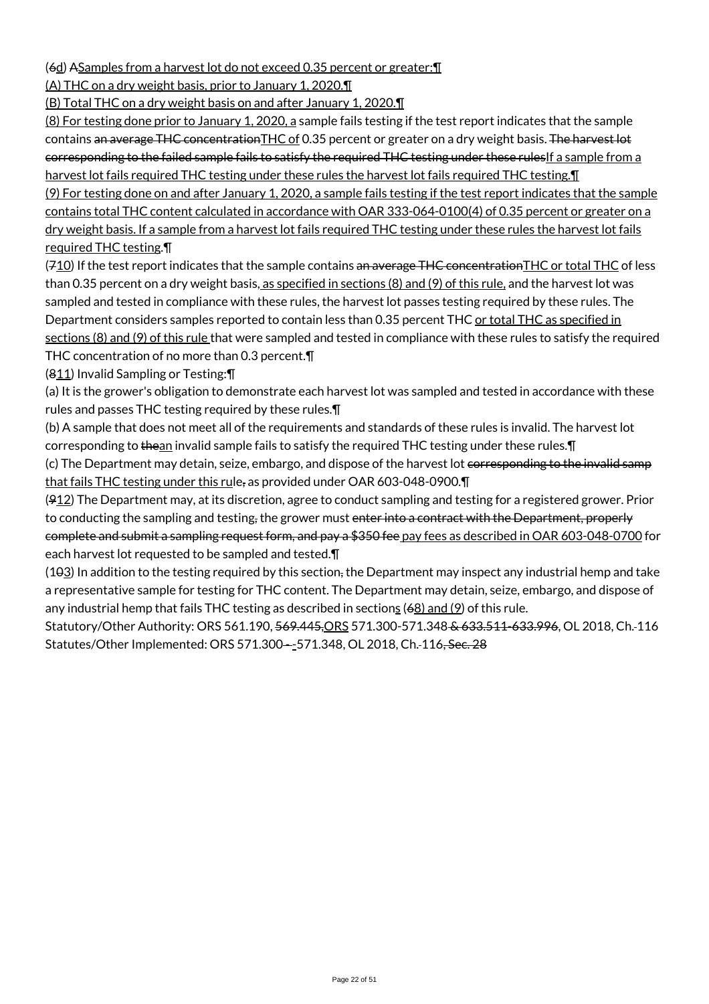(6d) ASamples from a harvest lot do not exceed 0.35 percent or greater:¶

(A) THC on a dry weight basis, prior to January 1, 2020.¶

(B) Total THC on a dry weight basis on and after January 1, 2020.¶

(8) For testing done prior to January 1, 2020, a sample fails testing if the test report indicates that the sample contains an average THC concentration THC of 0.35 percent or greater on a dry weight basis. The harvest lot corresponding to the failed sample fails to satisfy the required THC testing under these rulesIf a sample from a harvest lot fails required THC testing under these rules the harvest lot fails required THC testing. I

(9) For testing done on and after January 1, 2020, a sample fails testing if the test report indicates that the sample contains total THC content calculated in accordance with OAR 333-064-0100(4) of 0.35 percent or greater on a dry weight basis. If a sample from a harvest lot fails required THC testing under these rules the harvest lot fails required THC testing.¶

 $(710)$  If the test report indicates that the sample contains an average THC concentration THC or total THC of less than 0.35 percent on a dry weight basis, as specified in sections (8) and (9) of this rule, and the harvest lot was sampled and tested in compliance with these rules, the harvest lot passes testing required by these rules. The Department considers samples reported to contain less than 0.35 percent THC or total THC as specified in sections (8) and (9) of this rule that were sampled and tested in compliance with these rules to satisfy the required THC concentration of no more than 0.3 percent.¶

(811) Invalid Sampling or Testing:¶

(a) It is the grower's obligation to demonstrate each harvest lot was sampled and tested in accordance with these rules and passes THC testing required by these rules.¶

(b) A sample that does not meet all of the requirements and standards of these rules is invalid. The harvest lot corresponding to thean invalid sample fails to satisfy the required THC testing under these rules. T

(c) The Department may detain, seize, embargo, and dispose of the harvest lot corresponding to the invalid samp that fails THC testing under this rule, as provided under OAR 603-048-0900.¶

 $(912)$  The Department may, at its discretion, agree to conduct sampling and testing for a registered grower. Prior to conducting the sampling and testing, the grower must enter into a contract with the Department, properly complete and submit a sampling request form, and pay a \$350 fee pay fees as described in OAR 603-048-0700 for each harvest lot requested to be sampled and tested.¶

(103) In addition to the testing required by this section, the Department may inspect any industrial hemp and take a representative sample for testing for THC content. The Department may detain, seize, embargo, and dispose of any industrial hemp that fails THC testing as described in sections (68) and (9) of this rule.

Statutory/Other Authority: ORS 561.190, 569.445,ORS 571.300-571.348 & 633.511-633.996, OL 2018, Ch. 116 Statutes/Other Implemented: ORS 571.300--571.348, OL 2018, Ch. 116, Sec. 28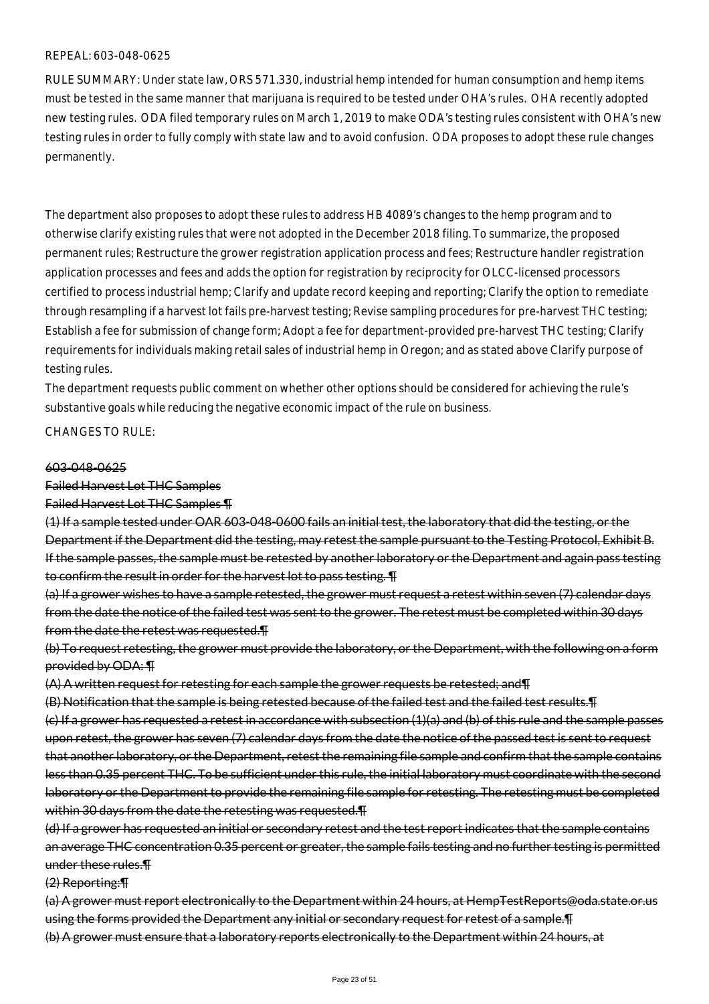#### REPEAL: 603-048-0625

RULE SUMMARY: Under state law, ORS 571.330, industrial hemp intended for human consumption and hemp items must be tested in the same manner that marijuana is required to be tested under OHA's rules. OHA recently adopted new testing rules. ODA filed temporary rules on March 1, 2019 to make ODA's testing rules consistent with OHA's new testing rules in order to fully comply with state law and to avoid confusion. ODA proposes to adopt these rule changes permanently.

The department also proposes to adopt these rules to address HB 4089's changes to the hemp program and to otherwise clarify existing rules that were not adopted in the December 2018 filing. To summarize, the proposed permanent rules; Restructure the grower registration application process and fees; Restructure handler registration application processes and fees and adds the option for registration by reciprocity for OLCC-licensed processors certified to process industrial hemp; Clarify and update record keeping and reporting; Clarify the option to remediate through resampling if a harvest lot fails pre-harvest testing; Revise sampling procedures for pre-harvest THC testing; Establish a fee for submission of change form; Adopt a fee for department-provided pre-harvest THC testing; Clarify requirements for individuals making retail sales of industrial hemp in Oregon; and as stated above Clarify purpose of testing rules.

The department requests public comment on whether other options should be considered for achieving the rule's substantive goals while reducing the negative economic impact of the rule on business.

CHANGES TO RULE:

#### 603-048-0625

#### Failed Harvest Lot THC Samples

Failed Harvest Lot THC Samples ¶

(1) If a sample tested under OAR 603-048-0600 fails an initial test, the laboratory that did the testing, or the Department if the Department did the testing, may retest the sample pursuant to the Testing Protocol, Exhibit B. If the sample passes, the sample must be retested by another laboratory or the Department and again pass testing to confirm the result in order for the harvest lot to pass testing. **T** 

(a) If a grower wishes to have a sample retested, the grower must request a retest within seven (7) calendar days from the date the notice of the failed test was sent to the grower. The retest must be completed within 30 days from the date the retest was requested.¶

(b) To request retesting, the grower must provide the laboratory, or the Department, with the following on a form provided by ODA: ¶

(A) A written request for retesting for each sample the grower requests be retested; and¶

(B) Notification that the sample is being retested because of the failed test and the failed test results.¶ (c) If a grower has requested a retest in accordance with subsection (1)(a) and (b) of this rule and the sample passes upon retest, the grower has seven (7) calendar days from the date the notice of the passed test is sent to request that another laboratory, or the Department, retest the remaining file sample and confirm that the sample contains less than 0.35 percent THC. To be sufficient under this rule, the initial laboratory must coordinate with the second laboratory or the Department to provide the remaining file sample for retesting. The retesting must be completed within 30 days from the date the retesting was requested. The

(d) If a grower has requested an initial or secondary retest and the test report indicates that the sample contains an average THC concentration 0.35 percent or greater, the sample fails testing and no further testing is permitted under these rules.¶

(2) Reporting:¶

(a) A grower must report electronically to the Department within 24 hours, at HempTestReports@oda.state.or.us using the forms provided the Department any initial or secondary request for retest of a sample. [1] (b) A grower must ensure that a laboratory reports electronically to the Department within 24 hours, at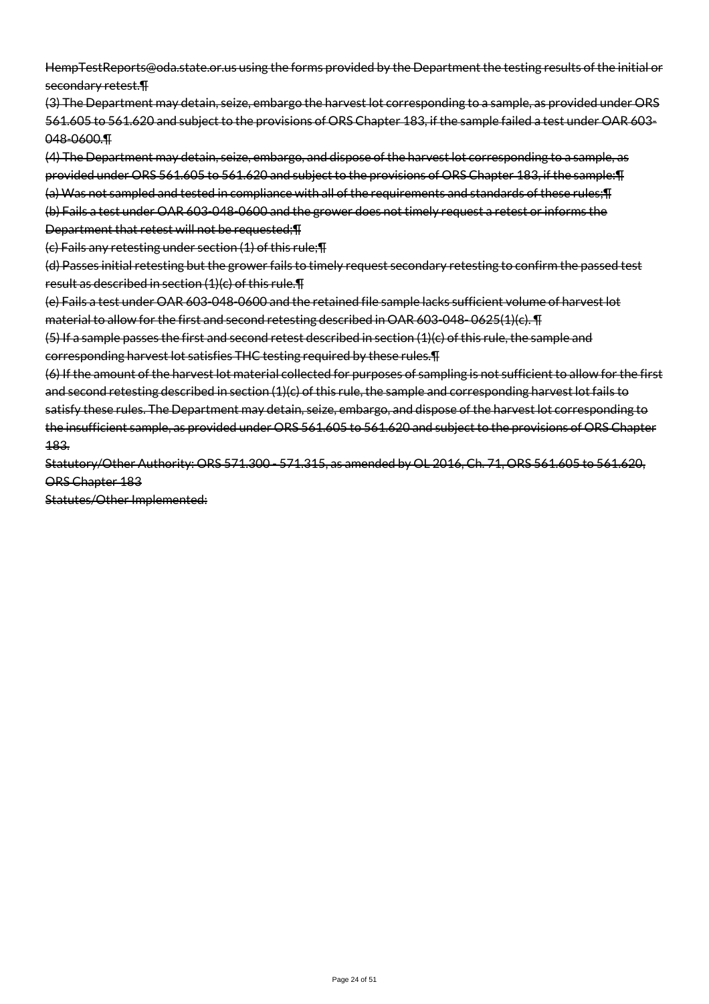HempTestReports@oda.state.or.us using the forms provided by the Department the testing results of the initial or secondary retest.¶

(3) The Department may detain, seize, embargo the harvest lot corresponding to a sample, as provided under ORS 561.605 to 561.620 and subject to the provisions of ORS Chapter 183, if the sample failed a test under OAR 603- 048-0600.¶

(4) The Department may detain, seize, embargo, and dispose of the harvest lot corresponding to a sample, as provided under ORS 561.605 to 561.620 and subject to the provisions of ORS Chapter 183, if the sample:¶ (a) Was not sampled and tested in compliance with all of the requirements and standards of these rules;¶

(b) Fails a test under OAR 603-048-0600 and the grower does not timely request a retest or informs the Department that retest will not be requested;¶

(c) Fails any retesting under section (1) of this rule;¶

(d) Passes initial retesting but the grower fails to timely request secondary retesting to confirm the passed test result as described in section (1)(c) of this rule.¶

(e) Fails a test under OAR 603-048-0600 and the retained file sample lacks sufficient volume of harvest lot material to allow for the first and second retesting described in OAR 603-048- 0625(1)(c). ¶

 $(5)$  If a sample passes the first and second retest described in section  $(1)(c)$  of this rule, the sample and corresponding harvest lot satisfies THC testing required by these rules.¶

(6) If the amount of the harvest lot material collected for purposes of sampling is not sufficient to allow for the first and second retesting described in section (1)(c) of this rule, the sample and corresponding harvest lot fails to satisfy these rules. The Department may detain, seize, embargo, and dispose of the harvest lot corresponding to the insufficient sample, as provided under ORS 561.605 to 561.620 and subject to the provisions of ORS Chapter 183.

Statutory/Other Authority: ORS 571.300 - 571.315, as amended by OL 2016, Ch. 71, ORS 561.605 to 561.620, ORS Chapter 183

Statutes/Other Implemented: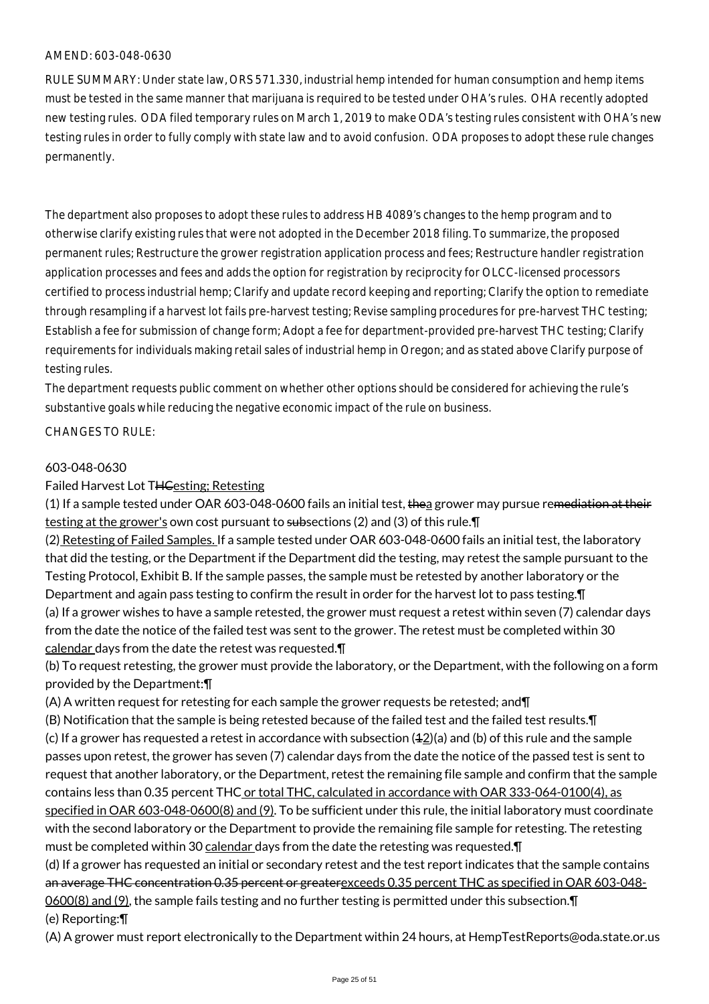RULE SUMMARY: Under state law, ORS 571.330, industrial hemp intended for human consumption and hemp items must be tested in the same manner that marijuana is required to be tested under OHA's rules. OHA recently adopted new testing rules. ODA filed temporary rules on March 1, 2019 to make ODA's testing rules consistent with OHA's new testing rules in order to fully comply with state law and to avoid confusion. ODA proposes to adopt these rule changes permanently.

The department also proposes to adopt these rules to address HB 4089's changes to the hemp program and to otherwise clarify existing rules that were not adopted in the December 2018 filing. To summarize, the proposed permanent rules; Restructure the grower registration application process and fees; Restructure handler registration application processes and fees and adds the option for registration by reciprocity for OLCC-licensed processors certified to process industrial hemp; Clarify and update record keeping and reporting; Clarify the option to remediate through resampling if a harvest lot fails pre-harvest testing; Revise sampling procedures for pre-harvest THC testing; Establish a fee for submission of change form; Adopt a fee for department-provided pre-harvest THC testing; Clarify requirements for individuals making retail sales of industrial hemp in Oregon; and as stated above Clarify purpose of testing rules.

The department requests public comment on whether other options should be considered for achieving the rule's substantive goals while reducing the negative economic impact of the rule on business.

#### CHANGES TO RULE:

#### 603-048-0630

Failed Harvest Lot THCesting; Retesting

 $(1)$  If a sample tested under OAR 603-048-0600 fails an initial test, thea grower may pursue remediation at their testing at the grower's own cost pursuant to subsections (2) and (3) of this rule.¶

(2) Retesting of Failed Samples. If a sample tested under OAR 603-048-0600 fails an initial test, the laboratory that did the testing, or the Department if the Department did the testing, may retest the sample pursuant to the Testing Protocol, Exhibit B. If the sample passes, the sample must be retested by another laboratory or the Department and again pass testing to confirm the result in order for the harvest lot to pass testing.¶

(a) If a grower wishes to have a sample retested, the grower must request a retest within seven (7) calendar days from the date the notice of the failed test was sent to the grower. The retest must be completed within 30 calendar days from the date the retest was requested.¶

(b) To request retesting, the grower must provide the laboratory, or the Department, with the following on a form provided by the Department:¶

(A) A written request for retesting for each sample the grower requests be retested; and¶

(B) Notification that the sample is being retested because of the failed test and the failed test results.¶  $(c)$  If a grower has requested a retest in accordance with subsection  $(42)(a)$  and  $(b)$  of this rule and the sample passes upon retest, the grower has seven (7) calendar days from the date the notice of the passed test is sent to request that another laboratory, or the Department, retest the remaining file sample and confirm that the sample contains less than 0.35 percent THC or total THC, calculated in accordance with OAR 333-064-0100(4), as specified in OAR 603-048-0600(8) and (9). To be sufficient under this rule, the initial laboratory must coordinate with the second laboratory or the Department to provide the remaining file sample for retesting. The retesting must be completed within 30 calendar days from the date the retesting was requested.  $\P$ 

(d) If a grower has requested an initial or secondary retest and the test report indicates that the sample contains an average THC concentration 0.35 percent or greaterexceeds 0.35 percent THC as specified in OAR 603-048-0600(8) and (9), the sample fails testing and no further testing is permitted under this subsection.¶ (e) Reporting:¶

(A) A grower must report electronically to the Department within 24 hours, at HempTestReports@oda.state.or.us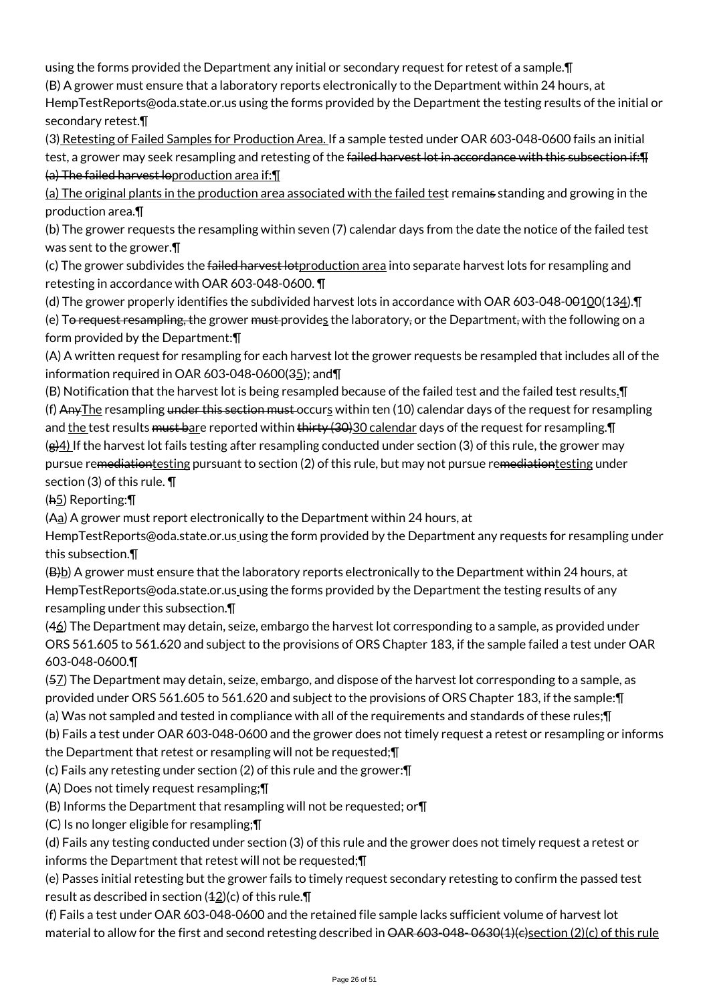using the forms provided the Department any initial or secondary request for retest of a sample.¶

(B) A grower must ensure that a laboratory reports electronically to the Department within 24 hours, at

HempTestReports@oda.state.or.us using the forms provided by the Department the testing results of the initial or secondary retest.¶

(3) Retesting of Failed Samples for Production Area. If a sample tested under OAR 603-048-0600 fails an initial test, a grower may seek resampling and retesting of the failed harvest lot in accordance with this subsection if: T (a) The failed harvest loproduction area if:¶

(a) The original plants in the production area associated with the failed test remains standing and growing in the production area.¶

(b) The grower requests the resampling within seven (7) calendar days from the date the notice of the failed test was sent to the grower.¶

(c) The grower subdivides the failed harvest lot production area into separate harvest lots for resampling and retesting in accordance with OAR 603-048-0600. ¶

(d) The grower properly identifies the subdivided harvest lots in accordance with OAR 603-048-00100(134). [I]

(e) T<del>o request resampling, t</del>he grower <del>must</del> provides the laboratory, or the Department, with the following on a form provided by the Department:¶

(A) A written request for resampling for each harvest lot the grower requests be resampled that includes all of the information required in OAR 603-048-0600(35); and¶

(B) Notification that the harvest lot is being resampled because of the failed test and the failed test results.¶ (f) Any The resampling under this section must occurs within ten (10) calendar days of the request for resampling and the test results must bare reported within thirty (30)30 calendar days of the request for resampling. In  $(g)4$ ) If the harvest lot fails testing after resampling conducted under section (3) of this rule, the grower may pursue remediationtesting pursuant to section (2) of this rule, but may not pursue remediationtesting under section (3) of this rule. ¶

(h5) Reporting:¶

(Aa) A grower must report electronically to the Department within 24 hours, at

HempTestReports@oda.state.or.us using the form provided by the Department any requests for resampling under this subsection.¶

 $(B)$ b) A grower must ensure that the laboratory reports electronically to the Department within 24 hours, at HempTestReports@oda.state.or.us using the forms provided by the Department the testing results of any resampling under this subsection.¶

(46) The Department may detain, seize, embargo the harvest lot corresponding to a sample, as provided under ORS 561.605 to 561.620 and subject to the provisions of ORS Chapter 183, if the sample failed a test under OAR 603-048-0600.¶

(57) The Department may detain, seize, embargo, and dispose of the harvest lot corresponding to a sample, as provided under ORS 561.605 to 561.620 and subject to the provisions of ORS Chapter 183, if the sample:¶

(a) Was not sampled and tested in compliance with all of the requirements and standards of these rules;¶

(b) Fails a test under OAR 603-048-0600 and the grower does not timely request a retest or resampling or informs the Department that retest or resampling will not be requested;¶

(c) Fails any retesting under section (2) of this rule and the grower:¶

(A) Does not timely request resampling;¶

(B) Informs the Department that resampling will not be requested; or¶

(C) Is no longer eligible for resampling;¶

(d) Fails any testing conducted under section (3) of this rule and the grower does not timely request a retest or informs the Department that retest will not be requested;¶

(e) Passes initial retesting but the grower fails to timely request secondary retesting to confirm the passed test result as described in section  $(42)(c)$  of this rule. $\P$ 

(f) Fails a test under OAR 603-048-0600 and the retained file sample lacks sufficient volume of harvest lot material to allow for the first and second retesting described in OAR 603-048-0630(1)(e)section (2)(c) of this rule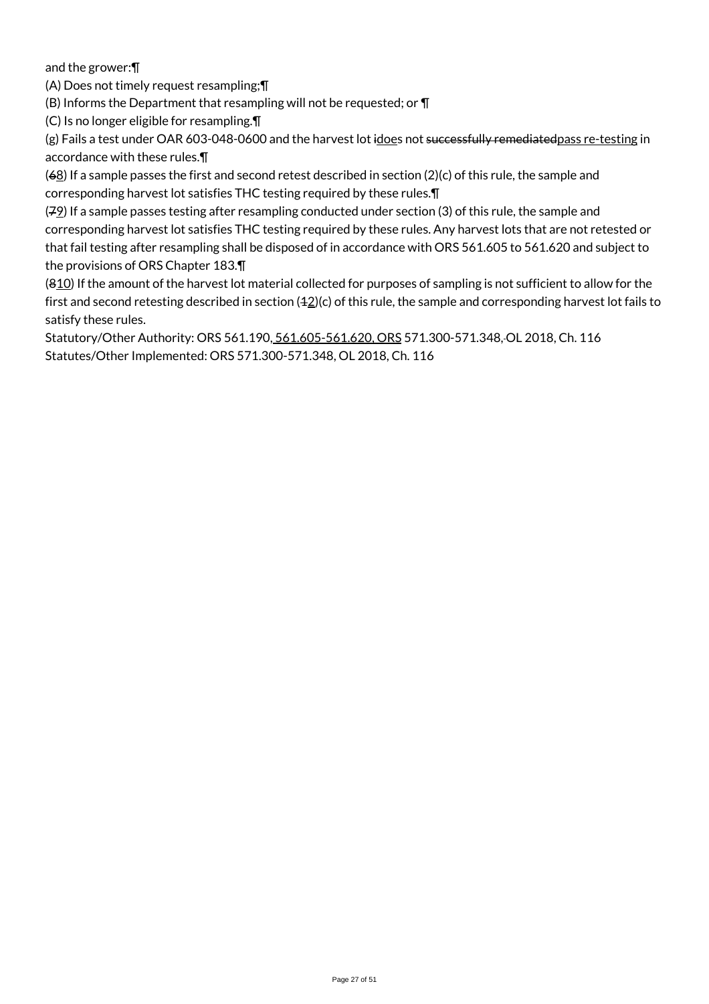and the grower:¶

(A) Does not timely request resampling;¶

(B) Informs the Department that resampling will not be requested; or ¶

(C) Is no longer eligible for resampling.¶

(g) Fails a test under OAR 603-048-0600 and the harvest lot idoes not successfully remediatedpass re-testing in accordance with these rules.¶

 $(68)$  If a sample passes the first and second retest described in section (2)(c) of this rule, the sample and corresponding harvest lot satisfies THC testing required by these rules.¶

 $(72)$  If a sample passes testing after resampling conducted under section (3) of this rule, the sample and corresponding harvest lot satisfies THC testing required by these rules. Any harvest lots that are not retested or that fail testing after resampling shall be disposed of in accordance with ORS 561.605 to 561.620 and subject to the provisions of ORS Chapter 183.¶

(810) If the amount of the harvest lot material collected for purposes of sampling is not sufficient to allow for the first and second retesting described in section  $(42)(c)$  of this rule, the sample and corresponding harvest lot fails to satisfy these rules.

Statutory/Other Authority: ORS 561.190, 561.605-561.620, ORS 571.300-571.348, OL 2018, Ch. 116 Statutes/Other Implemented: ORS 571.300-571.348, OL 2018, Ch. 116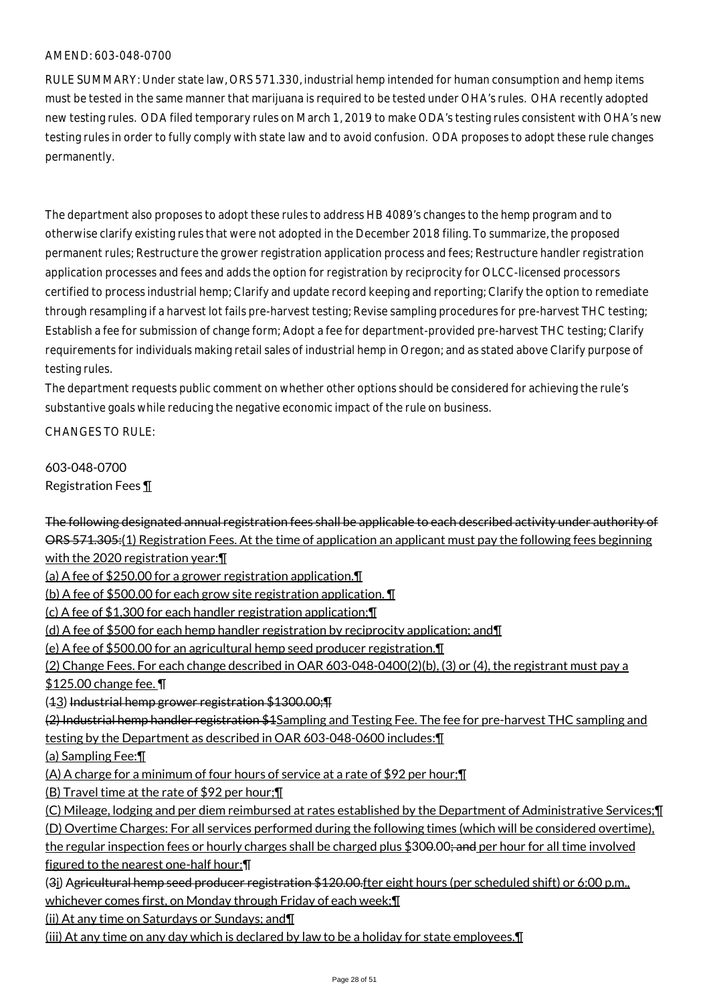RULE SUMMARY: Under state law, ORS 571.330, industrial hemp intended for human consumption and hemp items must be tested in the same manner that marijuana is required to be tested under OHA's rules. OHA recently adopted new testing rules. ODA filed temporary rules on March 1, 2019 to make ODA's testing rules consistent with OHA's new testing rules in order to fully comply with state law and to avoid confusion. ODA proposes to adopt these rule changes permanently.

The department also proposes to adopt these rules to address HB 4089's changes to the hemp program and to otherwise clarify existing rules that were not adopted in the December 2018 filing. To summarize, the proposed permanent rules; Restructure the grower registration application process and fees; Restructure handler registration application processes and fees and adds the option for registration by reciprocity for OLCC-licensed processors certified to process industrial hemp; Clarify and update record keeping and reporting; Clarify the option to remediate through resampling if a harvest lot fails pre-harvest testing; Revise sampling procedures for pre-harvest THC testing; Establish a fee for submission of change form; Adopt a fee for department-provided pre-harvest THC testing; Clarify requirements for individuals making retail sales of industrial hemp in Oregon; and as stated above Clarify purpose of testing rules.

The department requests public comment on whether other options should be considered for achieving the rule's substantive goals while reducing the negative economic impact of the rule on business.

CHANGES TO RULE:

603-048-0700 Registration Fees ¶

The following designated annual registration fees shall be applicable to each described activity under authority of ORS 571.305:(1) Registration Fees. At the time of application an applicant must pay the following fees beginning with the 2020 registration year:¶

(a) A fee of \$250.00 for a grower registration application.¶

(b) A fee of \$500.00 for each grow site registration application. ¶

(c) A fee of \$1,300 for each handler registration application;¶

(d) A fee of \$500 for each hemp handler registration by reciprocity application; and¶

(e) A fee of \$500.00 for an agricultural hemp seed producer registration.¶

(2) Change Fees. For each change described in OAR 603-048-0400(2)(b), (3) or (4), the registrant must pay a \$125.00 change fee. ¶

(13) Industrial hemp grower registration \$1300.00;¶

(2) Industrial hemp handler registration \$1Sampling and Testing Fee. The fee for pre-harvest THC sampling and testing by the Department as described in OAR 603-048-0600 includes:¶

(a) Sampling Fee:¶

(A) A charge for a minimum of four hours of service at a rate of \$92 per hour;¶

(B) Travel time at the rate of \$92 per hour;¶

(C) Mileage, lodging and per diem reimbursed at rates established by the Department of Administrative Services;¶

(D) Overtime Charges: For all services performed during the following times (which will be considered overtime), the regular inspection fees or hourly charges shall be charged plus \$300.00; and per hour for all time involved

figured to the nearest one-half hour:¶

(3i) Agricultural hemp seed producer registration \$120.00.fter eight hours (per scheduled shift) or 6:00 p.m.,

whichever comes first, on Monday through Friday of each week;¶

(ii) At any time on Saturdays or Sundays; and¶

(iii) At any time on any day which is declared by law to be a holiday for state employees.¶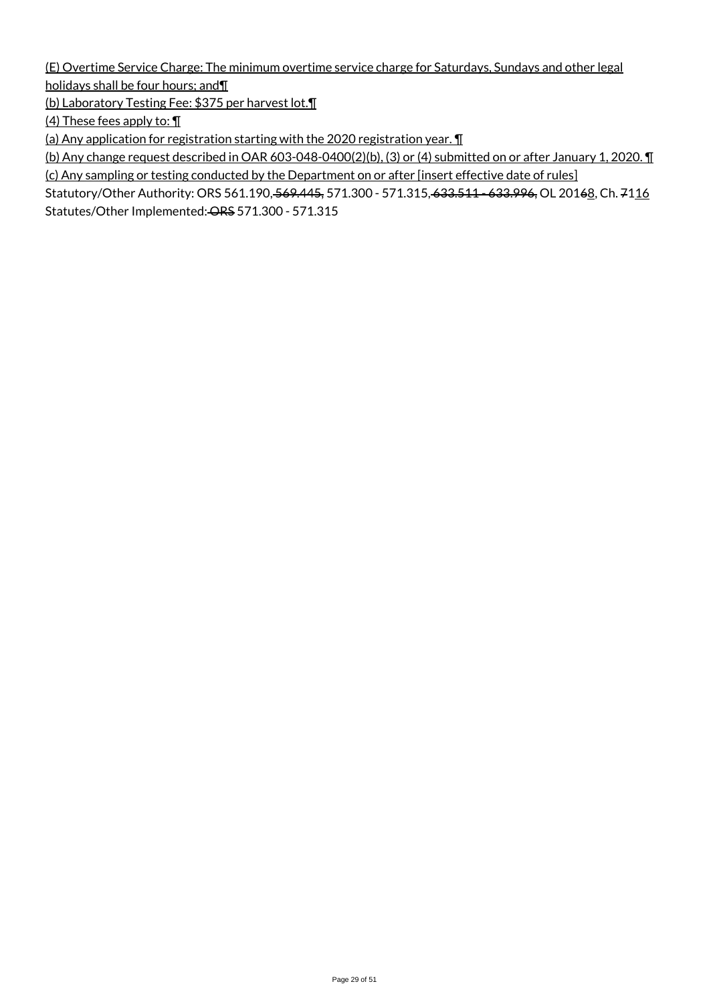(E) Overtime Service Charge: The minimum overtime service charge for Saturdays, Sundays and other legal holidays shall be four hours; and¶

(b) Laboratory Testing Fee: \$375 per harvest lot.¶

(4) These fees apply to: ¶

(a) Any application for registration starting with the 2020 registration year. ¶

(b) Any change request described in OAR 603-048-0400(2)(b), (3) or (4) submitted on or after January 1, 2020. ¶ (c) Any sampling or testing conducted by the Department on or after [insert effective date of rules]

Statutory/Other Authority: ORS 561.190, 569.445, 571.300 - 571.315, 633.511 - 633.996, OL 20168, Ch. 7116 Statutes/Other Implemented: ORS 571.300 - 571.315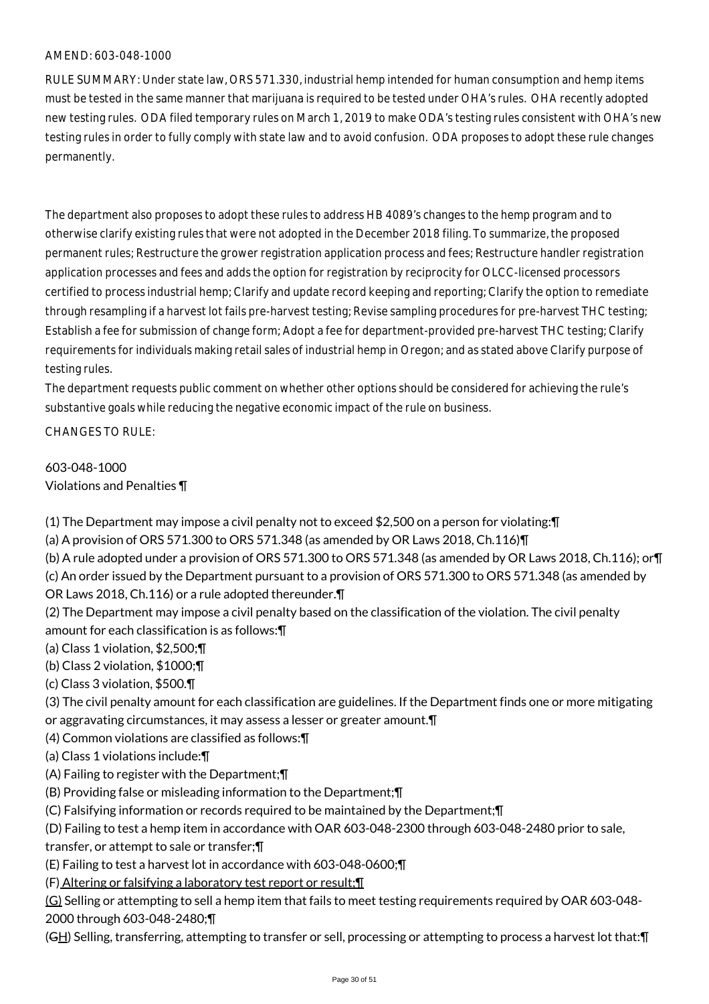RULE SUMMARY: Under state law, ORS 571.330, industrial hemp intended for human consumption and hemp items must be tested in the same manner that marijuana is required to be tested under OHA's rules. OHA recently adopted new testing rules. ODA filed temporary rules on March 1, 2019 to make ODA's testing rules consistent with OHA's new testing rules in order to fully comply with state law and to avoid confusion. ODA proposes to adopt these rule changes permanently.

The department also proposes to adopt these rules to address HB 4089's changes to the hemp program and to otherwise clarify existing rules that were not adopted in the December 2018 filing. To summarize, the proposed permanent rules; Restructure the grower registration application process and fees; Restructure handler registration application processes and fees and adds the option for registration by reciprocity for OLCC-licensed processors certified to process industrial hemp; Clarify and update record keeping and reporting; Clarify the option to remediate through resampling if a harvest lot fails pre-harvest testing; Revise sampling procedures for pre-harvest THC testing; Establish a fee for submission of change form; Adopt a fee for department-provided pre-harvest THC testing; Clarify requirements for individuals making retail sales of industrial hemp in Oregon; and as stated above Clarify purpose of testing rules.

The department requests public comment on whether other options should be considered for achieving the rule's substantive goals while reducing the negative economic impact of the rule on business.

CHANGES TO RULE:

603-048-1000 Violations and Penalties ¶

(1) The Department may impose a civil penalty not to exceed \$2,500 on a person for violating:¶

(a) A provision of ORS 571.300 to ORS 571.348 (as amended by OR Laws 2018, Ch.116)¶

(b) A rule adopted under a provision of ORS 571.300 to ORS 571.348 (as amended by OR Laws 2018, Ch.116); or¶

(c) An order issued by the Department pursuant to a provision of ORS 571.300 to ORS 571.348 (as amended by OR Laws 2018, Ch.116) or a rule adopted thereunder.¶

(2) The Department may impose a civil penalty based on the classification of the violation. The civil penalty amount for each classification is as follows:¶

- (a) Class 1 violation, \$2,500;¶
- (b) Class 2 violation, \$1000;¶
- (c) Class 3 violation, \$500.¶

(3) The civil penalty amount for each classification are guidelines. If the Department finds one or more mitigating or aggravating circumstances, it may assess a lesser or greater amount.¶

(4) Common violations are classified as follows:¶

(a) Class 1 violations include:¶

(A) Failing to register with the Department;¶

(B) Providing false or misleading information to the Department;¶

(C) Falsifying information or records required to be maintained by the Department;¶

(D) Failing to test a hemp item in accordance with OAR 603-048-2300 through 603-048-2480 prior to sale,

transfer, or attempt to sale or transfer;¶

(E) Failing to test a harvest lot in accordance with 603-048-0600;¶

(F) Altering or falsifying a laboratory test report or result;¶

(G) Selling or attempting to sell a hemp item that fails to meet testing requirements required by OAR 603-048-

2000 through 603-048-2480;¶

(GH) Selling, transferring, attempting to transfer or sell, processing or attempting to process a harvest lot that: $\Pi$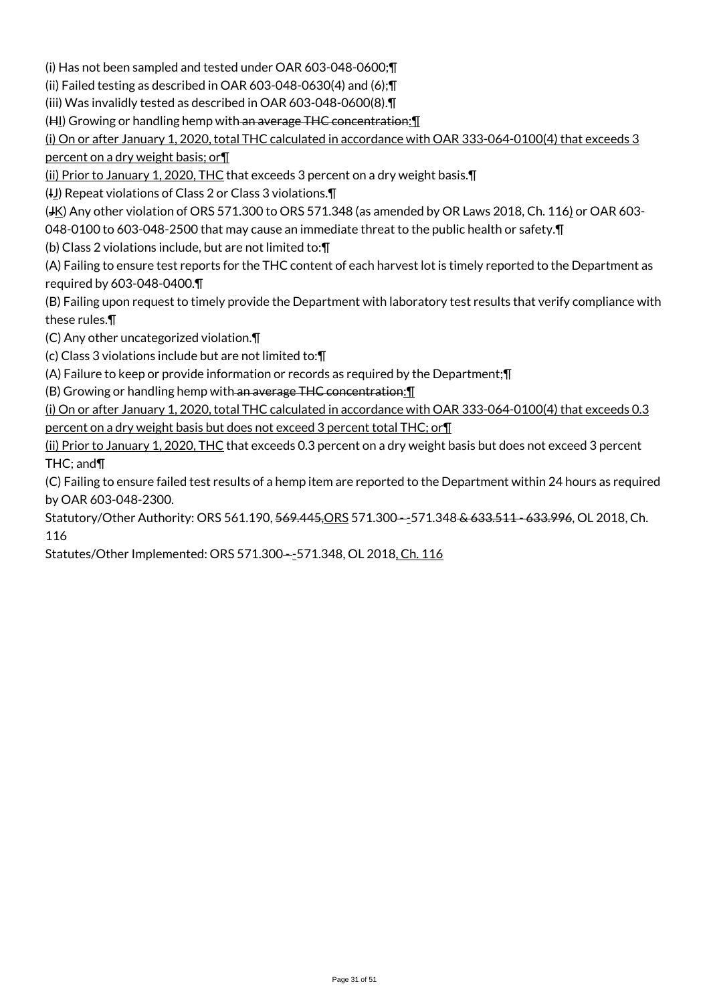(i) Has not been sampled and tested under OAR 603-048-0600;¶

(ii) Failed testing as described in OAR 603-048-0630(4) and (6);¶

(iii) Was invalidly tested as described in OAR 603-048-0600(8).¶

(HI) Growing or handling hemp with an average THC concentration: 1

(i) On or after January 1, 2020, total THC calculated in accordance with OAR 333-064-0100(4) that exceeds 3 percent on a dry weight basis; or¶

(ii) Prior to January 1, 2020, THC that exceeds 3 percent on a dry weight basis.¶

(IJ) Repeat violations of Class 2 or Class 3 violations. The

(JK) Any other violation of ORS 571.300 to ORS 571.348 (as amended by OR Laws 2018, Ch. 116) or OAR 603-

048-0100 to 603-048-2500 that may cause an immediate threat to the public health or safety.¶

(b) Class 2 violations include, but are not limited to:¶

(A) Failing to ensure test reports for the THC content of each harvest lot is timely reported to the Department as required by 603-048-0400.¶

(B) Failing upon request to timely provide the Department with laboratory test results that verify compliance with these rules.¶

(C) Any other uncategorized violation.¶

(c) Class 3 violations include but are not limited to:¶

(A) Failure to keep or provide information or records as required by the Department;¶

(B) Growing or handling hemp with an average THC concentration:¶

(i) On or after January 1, 2020, total THC calculated in accordance with OAR 333-064-0100(4) that exceeds 0.3

percent on a dry weight basis but does not exceed 3 percent total THC; or¶

(ii) Prior to January 1, 2020, THC that exceeds 0.3 percent on a dry weight basis but does not exceed 3 percent THC; and¶

(C) Failing to ensure failed test results of a hemp item are reported to the Department within 24 hours as required by OAR 603-048-2300.

Statutory/Other Authority: ORS 561.190, 569.445, ORS 571.300--- 571.348 & 633.511 - 633.996, OL 2018, Ch. 116

Statutes/Other Implemented: ORS 571.300--571.348, OL 2018, Ch. 116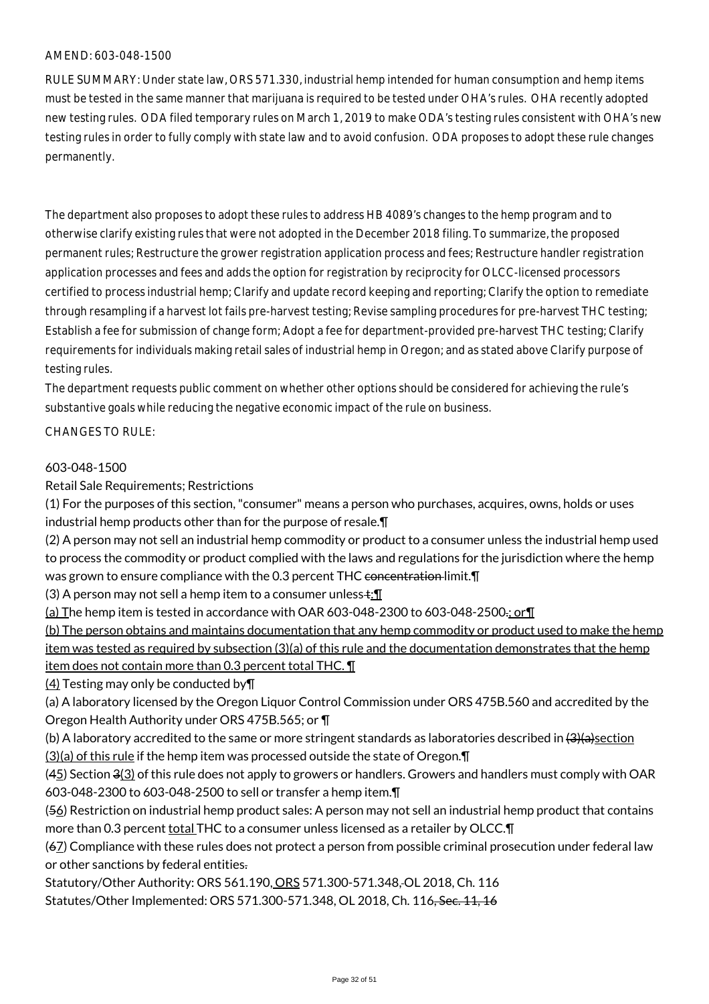RULE SUMMARY: Under state law, ORS 571.330, industrial hemp intended for human consumption and hemp items must be tested in the same manner that marijuana is required to be tested under OHA's rules. OHA recently adopted new testing rules. ODA filed temporary rules on March 1, 2019 to make ODA's testing rules consistent with OHA's new testing rules in order to fully comply with state law and to avoid confusion. ODA proposes to adopt these rule changes permanently.

The department also proposes to adopt these rules to address HB 4089's changes to the hemp program and to otherwise clarify existing rules that were not adopted in the December 2018 filing. To summarize, the proposed permanent rules; Restructure the grower registration application process and fees; Restructure handler registration application processes and fees and adds the option for registration by reciprocity for OLCC-licensed processors certified to process industrial hemp; Clarify and update record keeping and reporting; Clarify the option to remediate through resampling if a harvest lot fails pre-harvest testing; Revise sampling procedures for pre-harvest THC testing; Establish a fee for submission of change form; Adopt a fee for department-provided pre-harvest THC testing; Clarify requirements for individuals making retail sales of industrial hemp in Oregon; and as stated above Clarify purpose of testing rules.

The department requests public comment on whether other options should be considered for achieving the rule's substantive goals while reducing the negative economic impact of the rule on business.

#### CHANGES TO RULE:

#### 603-048-1500

Retail Sale Requirements; Restrictions

(1) For the purposes of this section, "consumer" means a person who purchases, acquires, owns, holds or uses industrial hemp products other than for the purpose of resale.¶

(2) A person may not sell an industrial hemp commodity or product to a consumer unless the industrial hemp used to process the commodity or product complied with the laws and regulations for the jurisdiction where the hemp was grown to ensure compliance with the 0.3 percent THC concentration limit. I

(3) A person may not sell a hemp item to a consumer unless $\pm$ : $\P$ 

(a) The hemp item is tested in accordance with OAR 603-048-2300 to 603-048-2500.; or¶

(b) The person obtains and maintains documentation that any hemp commodity or product used to make the hemp item was tested as required by subsection (3)(a) of this rule and the documentation demonstrates that the hemp item does not contain more than 0.3 percent total THC. ¶

(4) Testing may only be conducted by¶

(a) A laboratory licensed by the Oregon Liquor Control Commission under ORS 475B.560 and accredited by the Oregon Health Authority under ORS 475B.565; or ¶

(b) A laboratory accredited to the same or more stringent standards as laboratories described in  $\left(3\right)\theta$ 

(3)(a) of this rule if the hemp item was processed outside the state of Oregon.¶

 $(45)$  Section  $3(3)$  of this rule does not apply to growers or handlers. Growers and handlers must comply with OAR 603-048-2300 to 603-048-2500 to sell or transfer a hemp item.¶

(56) Restriction on industrial hemp product sales: A person may not sell an industrial hemp product that contains more than 0.3 percent total THC to a consumer unless licensed as a retailer by OLCC.¶

(67) Compliance with these rules does not protect a person from possible criminal prosecution under federal law or other sanctions by federal entities.

Statutory/Other Authority: ORS 561.190, ORS 571.300-571.348, OL 2018, Ch. 116 Statutes/Other Implemented: ORS 571.300-571.348, OL 2018, Ch. 116, Sec. 11, 16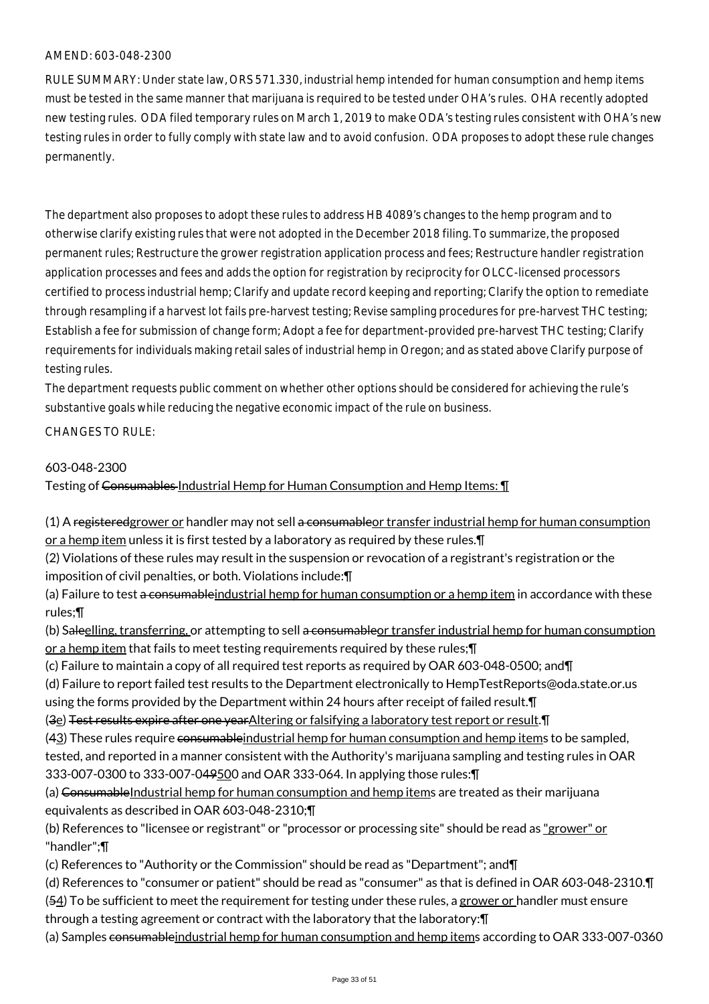RULE SUMMARY: Under state law, ORS 571.330, industrial hemp intended for human consumption and hemp items must be tested in the same manner that marijuana is required to be tested under OHA's rules. OHA recently adopted new testing rules. ODA filed temporary rules on March 1, 2019 to make ODA's testing rules consistent with OHA's new testing rules in order to fully comply with state law and to avoid confusion. ODA proposes to adopt these rule changes permanently.

The department also proposes to adopt these rules to address HB 4089's changes to the hemp program and to otherwise clarify existing rules that were not adopted in the December 2018 filing. To summarize, the proposed permanent rules; Restructure the grower registration application process and fees; Restructure handler registration application processes and fees and adds the option for registration by reciprocity for OLCC-licensed processors certified to process industrial hemp; Clarify and update record keeping and reporting; Clarify the option to remediate through resampling if a harvest lot fails pre-harvest testing; Revise sampling procedures for pre-harvest THC testing; Establish a fee for submission of change form; Adopt a fee for department-provided pre-harvest THC testing; Clarify requirements for individuals making retail sales of industrial hemp in Oregon; and as stated above Clarify purpose of testing rules.

The department requests public comment on whether other options should be considered for achieving the rule's substantive goals while reducing the negative economic impact of the rule on business.

#### CHANGES TO RULE:

#### 603-048-2300

Testing of Consumables Industrial Hemp for Human Consumption and Hemp Items:  $\P$ 

(1) A registeredgrower or handler may not sell a consumable or transfer industrial hemp for human consumption or a hemp item unless it is first tested by a laboratory as required by these rules.¶

(2) Violations of these rules may result in the suspension or revocation of a registrant's registration or the imposition of civil penalties, or both. Violations include:¶

(a) Failure to test a consumable industrial hemp for human consumption or a hemp item in accordance with these rules;¶

(b) Saleelling, transferring, or attempting to sell a consumable or transfer industrial hemp for human consumption or a hemp item that fails to meet testing requirements required by these rules;¶

(c) Failure to maintain a copy of all required test reports as required by OAR 603-048-0500; and¶

(d) Failure to report failed test results to the Department electronically to HempTestReports@oda.state.or.us using the forms provided by the Department within 24 hours after receipt of failed result.¶

(3e) Test results expire after one yearAltering or falsifying a laboratory test report or result.¶

(43) These rules require consumableindustrial hemp for human consumption and hemp items to be sampled, tested, and reported in a manner consistent with the Authority's marijuana sampling and testing rules in OAR 333-007-0300 to 333-007-049500 and OAR 333-064. In applying those rules:¶

(a) ConsumableIndustrial hemp for human consumption and hemp items are treated as their marijuana equivalents as described in OAR 603-048-2310;¶

(b) References to "licensee or registrant" or "processor or processing site" should be read as "grower" or "handler";¶

(c) References to "Authority or the Commission" should be read as "Department"; and¶

(d) References to "consumer or patient" should be read as "consumer" as that is defined in OAR 603-048-2310.¶

(54) To be sufficient to meet the requirement for testing under these rules, a grower or handler must ensure through a testing agreement or contract with the laboratory that the laboratory:¶

(a) Samples consumable industrial hemp for human consumption and hemp items according to OAR 333-007-0360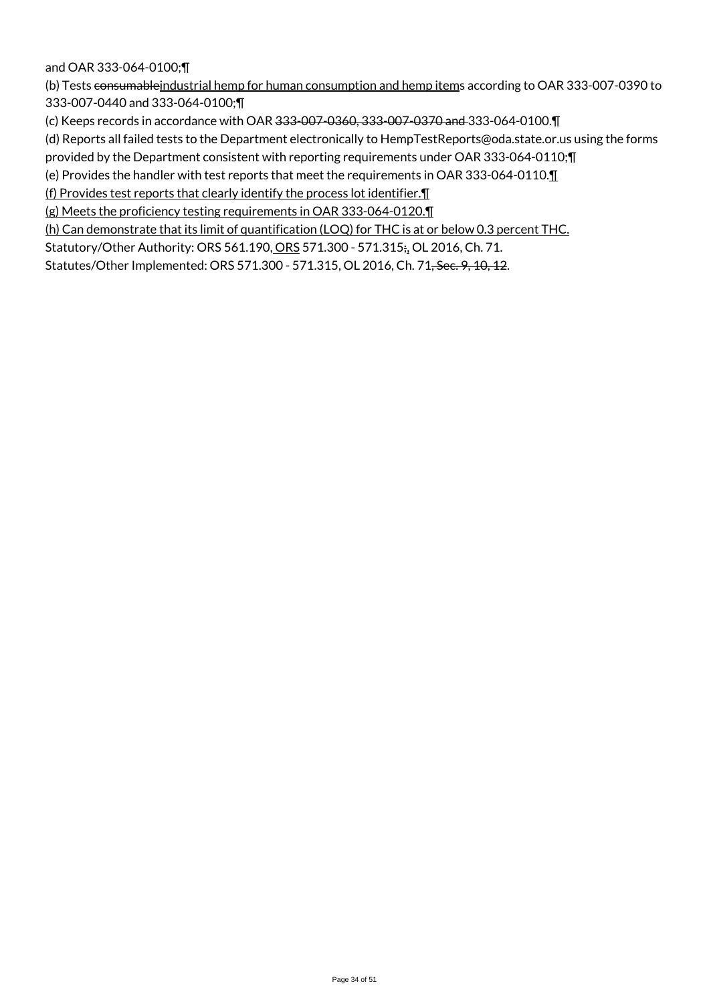#### and OAR 333-064-0100;¶

(b) Tests consumableindustrial hemp for human consumption and hemp items according to OAR 333-007-0390 to 333-007-0440 and 333-064-0100;¶

(c) Keeps records in accordance with OAR 333-007-0360, 333-007-0370 and 333-064-0100.¶

(d) Reports all failed tests to the Department electronically to HempTestReports@oda.state.or.us using the forms

provided by the Department consistent with reporting requirements under OAR 333-064-0110;¶

(e) Provides the handler with test reports that meet the requirements in OAR 333-064-0110.¶

(f) Provides test reports that clearly identify the process lot identifier.¶

(g) Meets the proficiency testing requirements in OAR 333-064-0120.¶

(h) Can demonstrate that its limit of quantification (LOQ) for THC is at or below 0.3 percent THC.

Statutory/Other Authority: ORS 561.190, ORS 571.300 - 571.315;, OL 2016, Ch. 71.

Statutes/Other Implemented: ORS 571.300 - 571.315, OL 2016, Ch. 71, Sec. 9, 10, 12.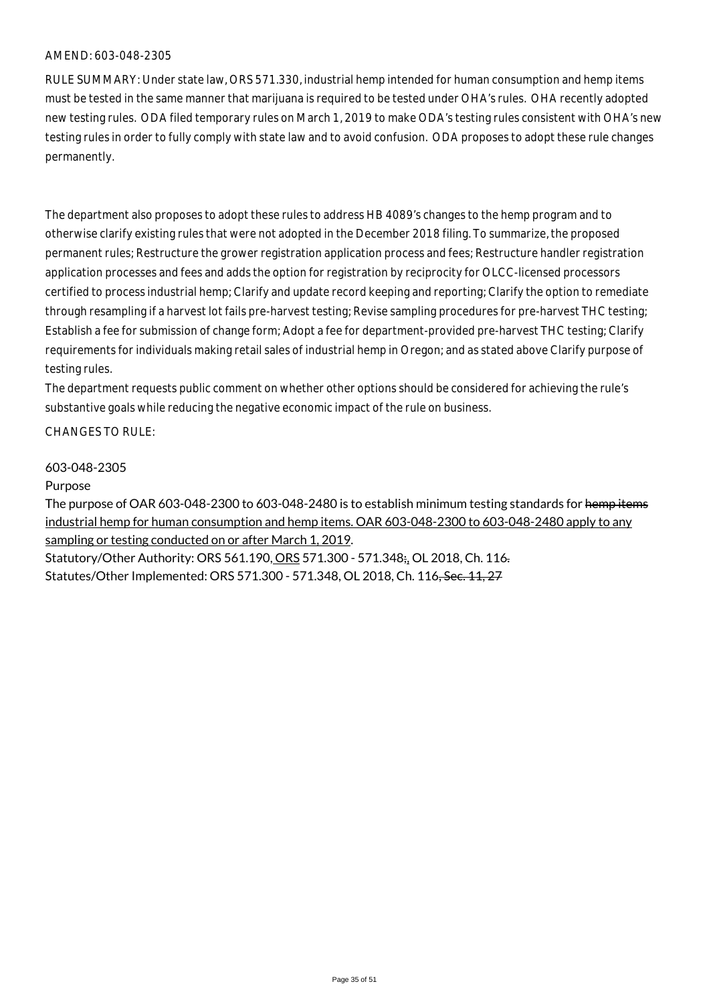RULE SUMMARY: Under state law, ORS 571.330, industrial hemp intended for human consumption and hemp items must be tested in the same manner that marijuana is required to be tested under OHA's rules. OHA recently adopted new testing rules. ODA filed temporary rules on March 1, 2019 to make ODA's testing rules consistent with OHA's new testing rules in order to fully comply with state law and to avoid confusion. ODA proposes to adopt these rule changes permanently.

The department also proposes to adopt these rules to address HB 4089's changes to the hemp program and to otherwise clarify existing rules that were not adopted in the December 2018 filing. To summarize, the proposed permanent rules; Restructure the grower registration application process and fees; Restructure handler registration application processes and fees and adds the option for registration by reciprocity for OLCC-licensed processors certified to process industrial hemp; Clarify and update record keeping and reporting; Clarify the option to remediate through resampling if a harvest lot fails pre-harvest testing; Revise sampling procedures for pre-harvest THC testing; Establish a fee for submission of change form; Adopt a fee for department-provided pre-harvest THC testing; Clarify requirements for individuals making retail sales of industrial hemp in Oregon; and as stated above Clarify purpose of testing rules.

The department requests public comment on whether other options should be considered for achieving the rule's substantive goals while reducing the negative economic impact of the rule on business.

CHANGES TO RULE:

#### 603-048-2305

#### Purpose

The purpose of OAR 603-048-2300 to 603-048-2480 is to establish minimum testing standards for hemp items industrial hemp for human consumption and hemp items. OAR 603-048-2300 to 603-048-2480 apply to any sampling or testing conducted on or after March 1, 2019.

Statutory/Other Authority: ORS 561.190, ORS 571.300 - 571.348;, OL 2018, Ch. 116. Statutes/Other Implemented: ORS 571.300 - 571.348, OL 2018, Ch. 116, Sec. 11, 27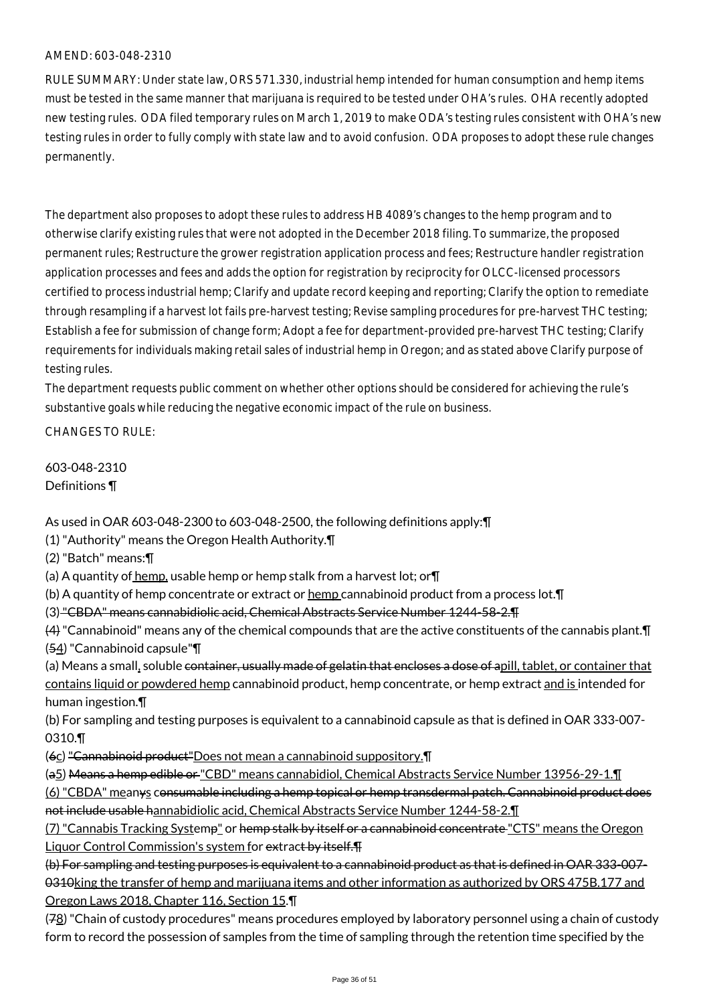RULE SUMMARY: Under state law, ORS 571.330, industrial hemp intended for human consumption and hemp items must be tested in the same manner that marijuana is required to be tested under OHA's rules. OHA recently adopted new testing rules. ODA filed temporary rules on March 1, 2019 to make ODA's testing rules consistent with OHA's new testing rules in order to fully comply with state law and to avoid confusion. ODA proposes to adopt these rule changes permanently.

The department also proposes to adopt these rules to address HB 4089's changes to the hemp program and to otherwise clarify existing rules that were not adopted in the December 2018 filing. To summarize, the proposed permanent rules; Restructure the grower registration application process and fees; Restructure handler registration application processes and fees and adds the option for registration by reciprocity for OLCC-licensed processors certified to process industrial hemp; Clarify and update record keeping and reporting; Clarify the option to remediate through resampling if a harvest lot fails pre-harvest testing; Revise sampling procedures for pre-harvest THC testing; Establish a fee for submission of change form; Adopt a fee for department-provided pre-harvest THC testing; Clarify requirements for individuals making retail sales of industrial hemp in Oregon; and as stated above Clarify purpose of testing rules.

The department requests public comment on whether other options should be considered for achieving the rule's substantive goals while reducing the negative economic impact of the rule on business.

CHANGES TO RULE:

603-048-2310 Definitions ¶

As used in OAR 603-048-2300 to 603-048-2500, the following definitions apply:¶

(1) "Authority" means the Oregon Health Authority.¶

(2) "Batch" means:¶

(a) A quantity of hemp, usable hemp or hemp stalk from a harvest lot; or $\P$ 

(b) A quantity of hemp concentrate or extract or hemp cannabinoid product from a process lot.¶

(3) "CBDA" means cannabidiolic acid, Chemical Abstracts Service Number 1244-58-2.¶

(4) "Cannabinoid" means any of the chemical compounds that are the active constituents of the cannabis plant.¶ (54) "Cannabinoid capsule"¶

(a) Means a small, soluble container, usually made of gelatin that encloses a dose of apill, tablet, or container that contains liquid or powdered hemp cannabinoid product, hemp concentrate, or hemp extract and is intended for human ingestion.¶

(b) For sampling and testing purposes is equivalent to a cannabinoid capsule as that is defined in OAR 333-007- 0310.¶

(6c) "Cannabinoid product"Does not mean a cannabinoid suppository.¶

(a5) Means a hemp edible or "CBD" means cannabidiol, Chemical Abstracts Service Number 13956-29-1.¶

(6) "CBDA" meanys consumable including a hemp topical or hemp transdermal patch. Cannabinoid product does not include usable hannabidiolic acid, Chemical Abstracts Service Number 1244-58-2.¶

(7) "Cannabis Tracking Systemp" or hemp stalk by itself or a cannabinoid concentrate "CTS" means the Oregon Liquor Control Commission's system for extract by itself.

(b) For sampling and testing purposes is equivalent to a cannabinoid product as that is defined in OAR 333-007- 0310king the transfer of hemp and marijuana items and other information as authorized by ORS 475B.177 and Oregon Laws 2018, Chapter 116, Section 15.¶

(78) "Chain of custody procedures" means procedures employed by laboratory personnel using a chain of custody form to record the possession of samples from the time of sampling through the retention time specified by the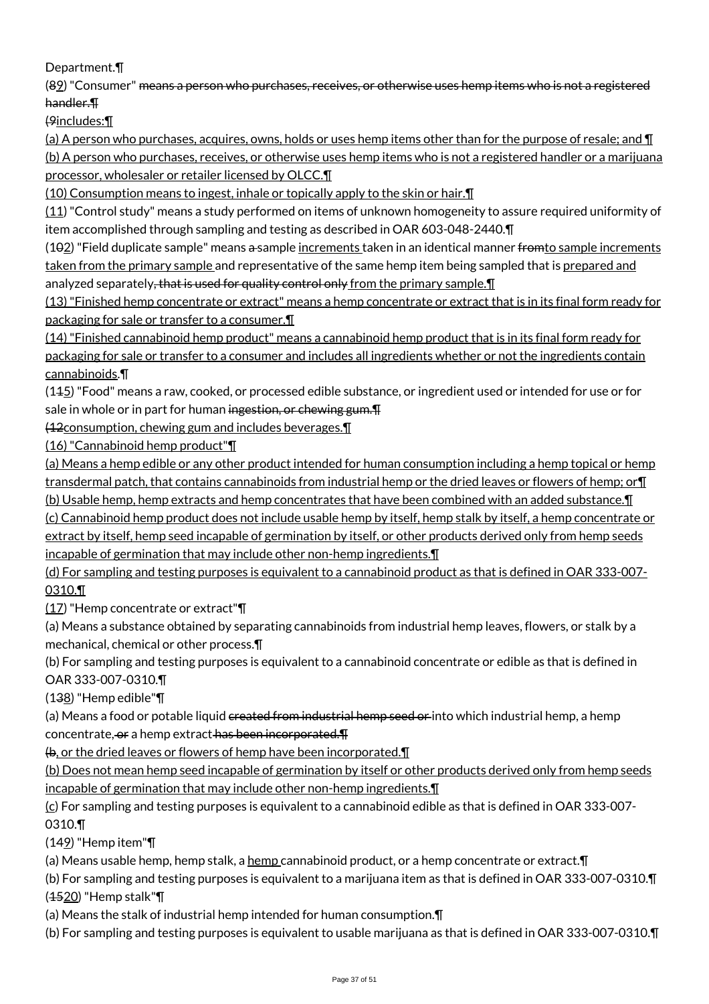Department.¶

(89) "Consumer" means a person who purchases, receives, or otherwise uses hemp items who is not a registered handler.¶

(9includes:¶

(a) A person who purchases, acquires, owns, holds or uses hemp items other than for the purpose of resale; and ¶ (b) A person who purchases, receives, or otherwise uses hemp items who is not a registered handler or a marijuana processor, wholesaler or retailer licensed by OLCC.¶

(10) Consumption means to ingest, inhale or topically apply to the skin or hair.¶

(11) "Control study" means a study performed on items of unknown homogeneity to assure required uniformity of item accomplished through sampling and testing as described in OAR 603-048-2440.¶

(102) "Field duplicate sample" means a sample increments taken in an identical manner fromto sample increments taken from the primary sample and representative of the same hemp item being sampled that is prepared and analyzed separately, that is used for quality control only from the primary sample.  $\P$ 

(13) "Finished hemp concentrate or extract" means a hemp concentrate or extract that is in its final form ready for packaging for sale or transfer to a consumer.¶

(14) "Finished cannabinoid hemp product" means a cannabinoid hemp product that is in its final form ready for packaging for sale or transfer to a consumer and includes all ingredients whether or not the ingredients contain cannabinoids.¶

 $(145)$  "Food" means a raw, cooked, or processed edible substance, or ingredient used or intended for use or for sale in whole or in part for human ingestion, or chewing gum.

(12consumption, chewing gum and includes beverages.¶

(16) "Cannabinoid hemp product"¶

(a) Means a hemp edible or any other product intended for human consumption including a hemp topical or hemp transdermal patch, that contains cannabinoids from industrial hemp or the dried leaves or flowers of hemp; or¶

(b) Usable hemp, hemp extracts and hemp concentrates that have been combined with an added substance.¶

(c) Cannabinoid hemp product does not include usable hemp by itself, hemp stalk by itself, a hemp concentrate or extract by itself, hemp seed incapable of germination by itself, or other products derived only from hemp seeds incapable of germination that may include other non-hemp ingredients.¶

(d) For sampling and testing purposes is equivalent to a cannabinoid product as that is defined in OAR 333-007- 0310.¶

(17) "Hemp concentrate or extract"¶

(a) Means a substance obtained by separating cannabinoids from industrial hemp leaves, flowers, or stalk by a mechanical, chemical or other process.¶

(b) For sampling and testing purposes is equivalent to a cannabinoid concentrate or edible as that is defined in OAR 333-007-0310.¶

(138) "Hemp edible"¶

(a) Means a food or potable liquid created from industrial hemp seed or into which industrial hemp, a hemp concentrate, or a hemp extract has been incorporated.  $\textsf{F}$ 

 $\Theta$ , or the dried leaves or flowers of hemp have been incorporated.

(b) Does not mean hemp seed incapable of germination by itself or other products derived only from hemp seeds incapable of germination that may include other non-hemp ingredients.¶

 $(c)$  For sampling and testing purposes is equivalent to a cannabinoid edible as that is defined in OAR 333-007-0310.¶

(149) "Hemp item"¶

(a) Means usable hemp, hemp stalk, a hemp cannabinoid product, or a hemp concentrate or extract.¶

(b) For sampling and testing purposes is equivalent to a marijuana item as that is defined in OAR 333-007-0310.¶ (1520) "Hemp stalk"¶

(a) Means the stalk of industrial hemp intended for human consumption.¶

(b) For sampling and testing purposes is equivalent to usable marijuana as that is defined in OAR 333-007-0310.¶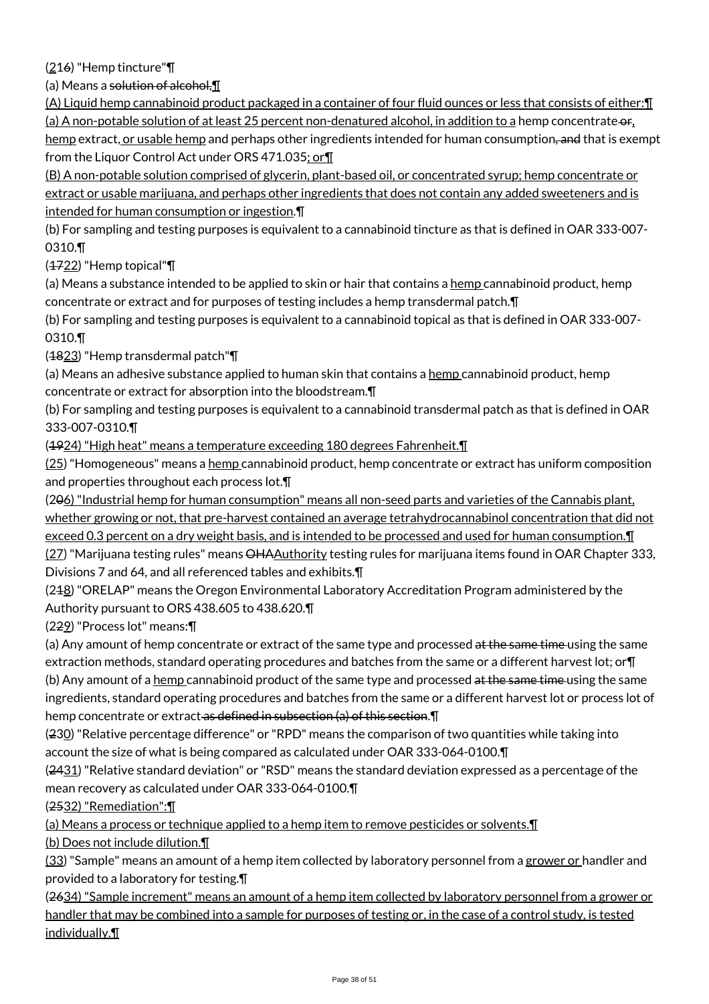(216) "Hemp tincture"¶

(a) Means a solution of alcohol,¶

(A) Liquid hemp cannabinoid product packaged in a container of four fluid ounces or less that consists of either:¶ (a) A non-potable solution of at least 25 percent non-denatured alcohol, in addition to a hemp concentrate or, hemp extract, or usable hemp and perhaps other ingredients intended for human consumption<del>, and</del> that is exempt from the Liquor Control Act under ORS 471.035; or T

(B) A non-potable solution comprised of glycerin, plant-based oil, or concentrated syrup; hemp concentrate or extract or usable marijuana, and perhaps other ingredients that does not contain any added sweeteners and is intended for human consumption or ingestion.¶

(b) For sampling and testing purposes is equivalent to a cannabinoid tincture as that is defined in OAR 333-007- 0310.¶

 $(4722)$  "Hemp topical" $\P$ 

(a) Means a substance intended to be applied to skin or hair that contains a hemp cannabinoid product, hemp concentrate or extract and for purposes of testing includes a hemp transdermal patch.¶

(b) For sampling and testing purposes is equivalent to a cannabinoid topical as that is defined in OAR 333-007- 0310.¶

(1823) "Hemp transdermal patch"¶

(a) Means an adhesive substance applied to human skin that contains a hemp cannabinoid product, hemp concentrate or extract for absorption into the bloodstream.¶

(b) For sampling and testing purposes is equivalent to a cannabinoid transdermal patch as that is defined in OAR 333-007-0310.¶

(1924) "High heat" means a temperature exceeding 180 degrees Fahrenheit.¶

(25) "Homogeneous" means a hemp cannabinoid product, hemp concentrate or extract has uniform composition and properties throughout each process lot.¶

(206) "Industrial hemp for human consumption" means all non-seed parts and varieties of the Cannabis plant, whether growing or not, that pre-harvest contained an average tetrahydrocannabinol concentration that did not exceed 0.3 percent on a dry weight basis, and is intended to be processed and used for human consumption. I

(27) "Marijuana testing rules" means OHAAuthority testing rules for marijuana items found in OAR Chapter 333, Divisions 7 and 64, and all referenced tables and exhibits.¶

(248) "ORELAP" means the Oregon Environmental Laboratory Accreditation Program administered by the Authority pursuant to ORS 438.605 to 438.620.¶

(229) "Process lot" means:¶

(a) Any amount of hemp concentrate or extract of the same type and processed at the same time using the same extraction methods, standard operating procedures and batches from the same or a different harvest lot; or¶ (b) Any amount of a hemp cannabinoid product of the same type and processed at the same time using the same ingredients, standard operating procedures and batches from the same or a different harvest lot or process lot of hemp concentrate or extract as defined in subsection (a) of this section. I

(230) "Relative percentage difference" or "RPD" means the comparison of two quantities while taking into account the size of what is being compared as calculated under OAR 333-064-0100.¶

 $(2431)$  "Relative standard deviation" or "RSD" means the standard deviation expressed as a percentage of the mean recovery as calculated under OAR 333-064-0100.¶

(2532) "Remediation":¶

(a) Means a process or technique applied to a hemp item to remove pesticides or solvents.¶

(b) Does not include dilution.¶

(33) "Sample" means an amount of a hemp item collected by laboratory personnel from a grower or handler and provided to a laboratory for testing.¶

(2634) "Sample increment" means an amount of a hemp item collected by laboratory personnel from a grower or handler that may be combined into a sample for purposes of testing or, in the case of a control study, is tested individually.¶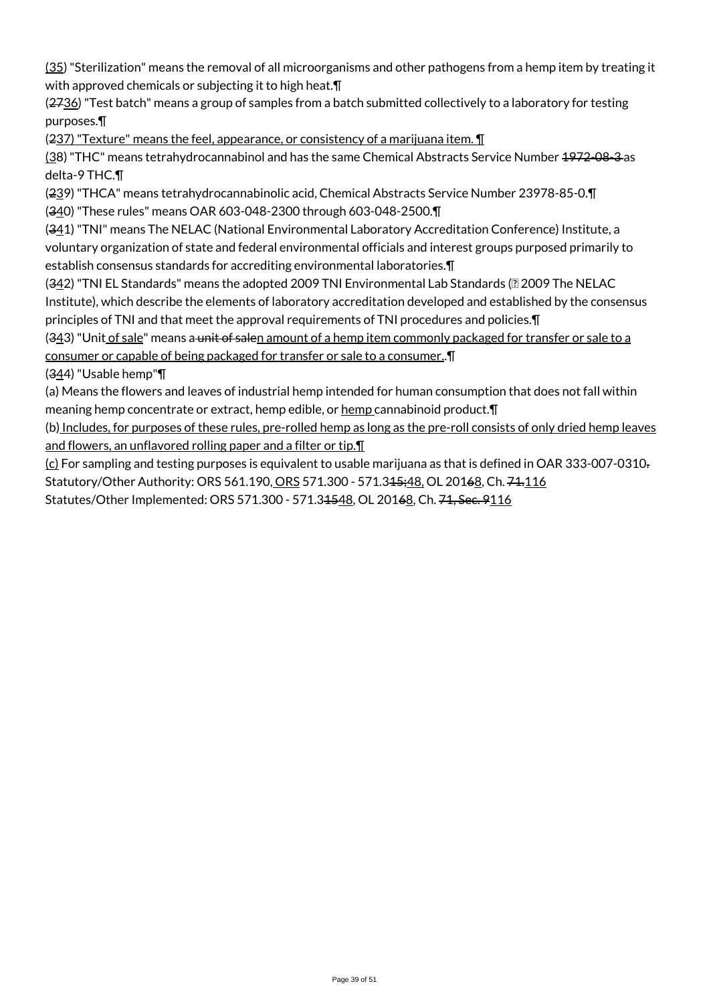(35) "Sterilization" means the removal of all microorganisms and other pathogens from a hemp item by treating it with approved chemicals or subjecting it to high heat.¶

 $(2736)$  "Test batch" means a group of samples from a batch submitted collectively to a laboratory for testing purposes.¶

(237) "Texture" means the feel, appearance, or consistency of a marijuana item. ¶

(38) "THC" means tetrahydrocannabinol and has the same Chemical Abstracts Service Number 1972-08-3 as delta-9 THC.¶

(239) "THCA" means tetrahydrocannabinolic acid, Chemical Abstracts Service Number 23978-85-0.¶

(340) "These rules" means OAR 603-048-2300 through 603-048-2500.¶

(341) "TNI" means The NELAC (National Environmental Laboratory Accreditation Conference) Institute, a voluntary organization of state and federal environmental officials and interest groups purposed primarily to establish consensus standards for accrediting environmental laboratories.¶

(342) "TNI EL Standards" means the adopted 2009 TNI Environmental Lab Standards (2 2009 The NELAC Institute), which describe the elements of laboratory accreditation developed and established by the consensus principles of TNI and that meet the approval requirements of TNI procedures and policies.¶

(343) "Unit of sale" means a unit of salen amount of a hemp item commonly packaged for transfer or sale to a consumer or capable of being packaged for transfer or sale to a consumer..¶

(344) "Usable hemp"¶

(a) Means the flowers and leaves of industrial hemp intended for human consumption that does not fall within meaning hemp concentrate or extract, hemp edible, or hemp cannabinoid product. T

(b) Includes, for purposes of these rules, pre-rolled hemp as long as the pre-roll consists of only dried hemp leaves and flowers, an unflavored rolling paper and a filter or tip.

(c) For sampling and testing purposes is equivalent to usable marijuana as that is defined in OAR 333-007-0310. Statutory/Other Authority: ORS 561.190, ORS 571.300 - 571.345; 48, OL 20168, Ch. 74.116 Statutes/Other Implemented: ORS 571.300 - 571.31548, OL 20168, Ch. 71, Sec. 9116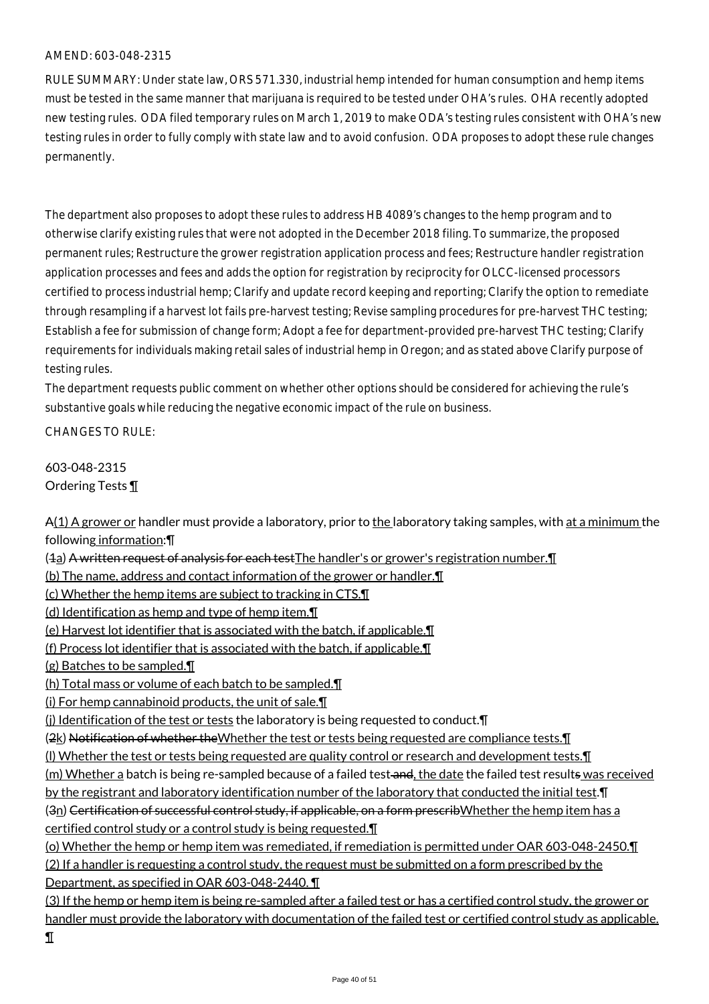RULE SUMMARY: Under state law, ORS 571.330, industrial hemp intended for human consumption and hemp items must be tested in the same manner that marijuana is required to be tested under OHA's rules. OHA recently adopted new testing rules. ODA filed temporary rules on March 1, 2019 to make ODA's testing rules consistent with OHA's new testing rules in order to fully comply with state law and to avoid confusion. ODA proposes to adopt these rule changes permanently.

The department also proposes to adopt these rules to address HB 4089's changes to the hemp program and to otherwise clarify existing rules that were not adopted in the December 2018 filing. To summarize, the proposed permanent rules; Restructure the grower registration application process and fees; Restructure handler registration application processes and fees and adds the option for registration by reciprocity for OLCC-licensed processors certified to process industrial hemp; Clarify and update record keeping and reporting; Clarify the option to remediate through resampling if a harvest lot fails pre-harvest testing; Revise sampling procedures for pre-harvest THC testing; Establish a fee for submission of change form; Adopt a fee for department-provided pre-harvest THC testing; Clarify requirements for individuals making retail sales of industrial hemp in Oregon; and as stated above Clarify purpose of testing rules.

The department requests public comment on whether other options should be considered for achieving the rule's substantive goals while reducing the negative economic impact of the rule on business.

CHANGES TO RULE:

603-048-2315 Ordering Tests ¶

A(1) A grower or handler must provide a laboratory, prior to the laboratory taking samples, with at a minimum the following information:¶

(1a) A written request of analysis for each testThe handler's or grower's registration number.¶

(b) The name, address and contact information of the grower or handler.¶

(c) Whether the hemp items are subject to tracking in CTS.¶

(d) Identification as hemp and type of hemp item.¶

(e) Harvest lot identifier that is associated with the batch, if applicable.¶

(f) Process lot identifier that is associated with the batch, if applicable.¶

(g) Batches to be sampled.¶

(h) Total mass or volume of each batch to be sampled.¶

(i) For hemp cannabinoid products, the unit of sale.¶

(j) Identification of the test or tests the laboratory is being requested to conduct. [1]

(2k) Notification of whether theWhether the test or tests being requested are compliance tests. I

(l) Whether the test or tests being requested are quality control or research and development tests.¶

(m) Whether a batch is being re-sampled because of a failed test and, the date the failed test results was received

by the registrant and laboratory identification number of the laboratory that conducted the initial test.¶

(3n) Certification of successful control study, if applicable, on a form prescribWhether the hemp item has a certified control study or a control study is being requested.¶

(o) Whether the hemp or hemp item was remediated, if remediation is permitted under OAR 603-048-2450.¶ (2) If a handler is requesting a control study, the request must be submitted on a form prescribed by the Department, as specified in OAR 603-048-2440. ¶

(3) If the hemp or hemp item is being re-sampled after a failed test or has a certified control study, the grower or handler must provide the laboratory with documentation of the failed test or certified control study as applicable. ¶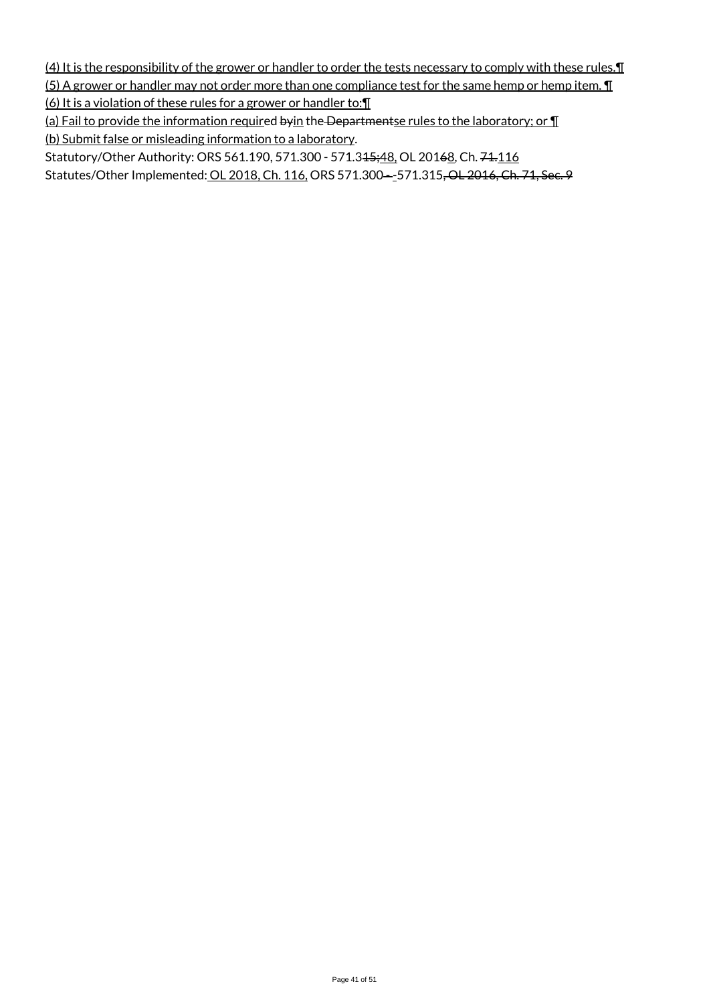(4) It is the responsibility of the grower or handler to order the tests necessary to comply with these rules.¶

(5) A grower or handler may not order more than one compliance test for the same hemp or hemp item.  $\P$ 

(6) It is a violation of these rules for a grower or handler to:¶

(a) Fail to provide the information required byin the Departmentse rules to the laboratory; or  $\P$ (b) Submit false or misleading information to a laboratory.

Statutory/Other Authority: ORS 561.190, 571.300 - 571.345;48, OL 20168, Ch. 74.116

Statutes/Other Implemented: OL 2018, Ch. 116, ORS 571.300--571.315, OL 2016, Ch. 71, Sec. 9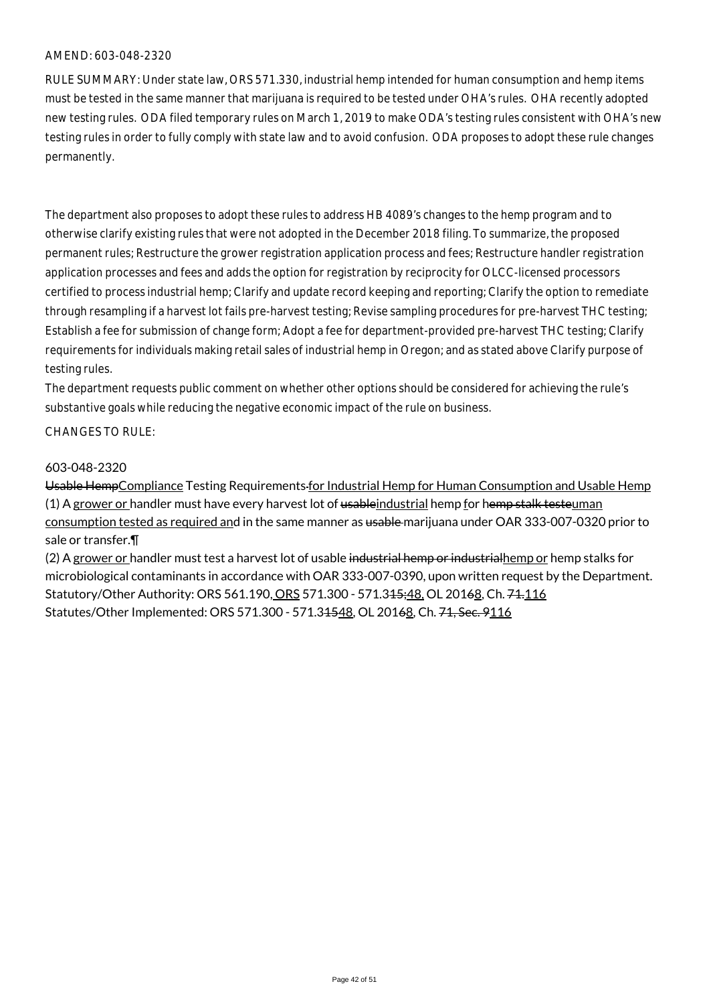RULE SUMMARY: Under state law, ORS 571.330, industrial hemp intended for human consumption and hemp items must be tested in the same manner that marijuana is required to be tested under OHA's rules. OHA recently adopted new testing rules. ODA filed temporary rules on March 1, 2019 to make ODA's testing rules consistent with OHA's new testing rules in order to fully comply with state law and to avoid confusion. ODA proposes to adopt these rule changes permanently.

The department also proposes to adopt these rules to address HB 4089's changes to the hemp program and to otherwise clarify existing rules that were not adopted in the December 2018 filing. To summarize, the proposed permanent rules; Restructure the grower registration application process and fees; Restructure handler registration application processes and fees and adds the option for registration by reciprocity for OLCC-licensed processors certified to process industrial hemp; Clarify and update record keeping and reporting; Clarify the option to remediate through resampling if a harvest lot fails pre-harvest testing; Revise sampling procedures for pre-harvest THC testing; Establish a fee for submission of change form; Adopt a fee for department-provided pre-harvest THC testing; Clarify requirements for individuals making retail sales of industrial hemp in Oregon; and as stated above Clarify purpose of testing rules.

The department requests public comment on whether other options should be considered for achieving the rule's substantive goals while reducing the negative economic impact of the rule on business.

CHANGES TO RULE:

#### 603-048-2320

Usable HempCompliance Testing Requirements for Industrial Hemp for Human Consumption and Usable Hemp (1) A grower or handler must have every harvest lot of usableindustrial hemp for hemp stalk testeuman consumption tested as required and in the same manner as usable marijuana under OAR 333-007-0320 prior to sale or transfer.¶

(2) A grower or handler must test a harvest lot of usable industrial hemp or industrial hemp or hemp stalks for microbiological contaminants in accordance with OAR 333-007-0390, upon written request by the Department. Statutory/Other Authority: ORS 561.190, ORS 571.300 - 571.345;48, OL 20168, Ch. 74.116 Statutes/Other Implemented: ORS 571.300 - 571.31548, OL 20168, Ch. 71, Sec. 9116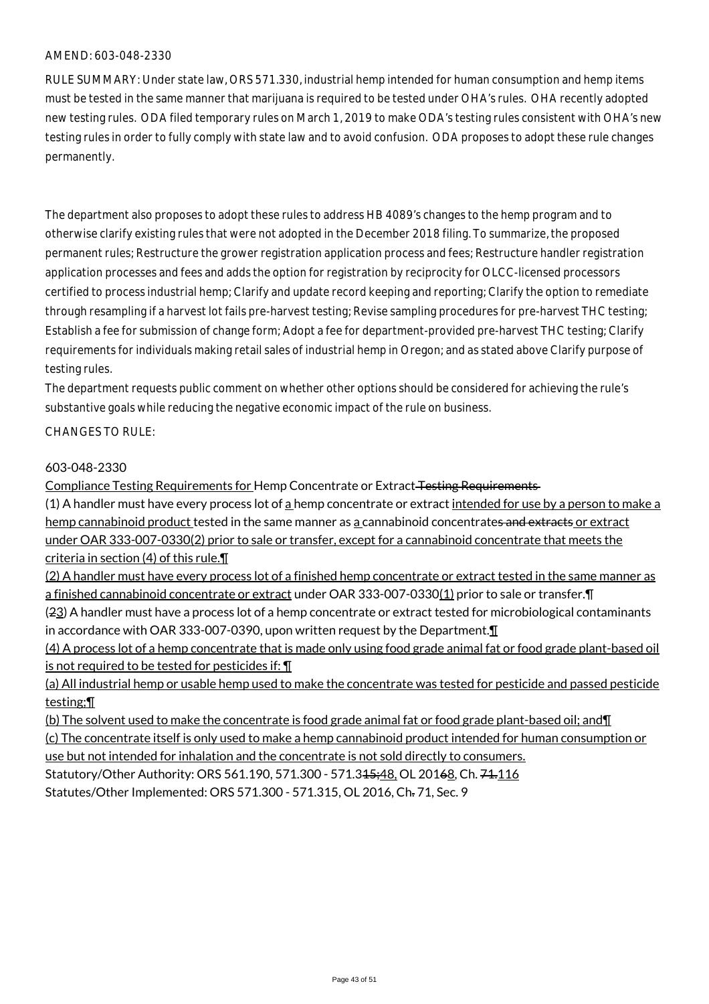RULE SUMMARY: Under state law, ORS 571.330, industrial hemp intended for human consumption and hemp items must be tested in the same manner that marijuana is required to be tested under OHA's rules. OHA recently adopted new testing rules. ODA filed temporary rules on March 1, 2019 to make ODA's testing rules consistent with OHA's new testing rules in order to fully comply with state law and to avoid confusion. ODA proposes to adopt these rule changes permanently.

The department also proposes to adopt these rules to address HB 4089's changes to the hemp program and to otherwise clarify existing rules that were not adopted in the December 2018 filing. To summarize, the proposed permanent rules; Restructure the grower registration application process and fees; Restructure handler registration application processes and fees and adds the option for registration by reciprocity for OLCC-licensed processors certified to process industrial hemp; Clarify and update record keeping and reporting; Clarify the option to remediate through resampling if a harvest lot fails pre-harvest testing; Revise sampling procedures for pre-harvest THC testing; Establish a fee for submission of change form; Adopt a fee for department-provided pre-harvest THC testing; Clarify requirements for individuals making retail sales of industrial hemp in Oregon; and as stated above Clarify purpose of testing rules.

The department requests public comment on whether other options should be considered for achieving the rule's substantive goals while reducing the negative economic impact of the rule on business.

CHANGES TO RULE:

#### 603-048-2330

Compliance Testing Requirements for Hemp Concentrate or Extract Testing Requirements

(1) A handler must have every process lot of  $\frac{1}{2}$  hemp concentrate or extract intended for use by a person to make a hemp cannabinoid product tested in the same manner as a cannabinoid concentrates and extracts or extract under OAR 333-007-0330(2) prior to sale or transfer, except for a cannabinoid concentrate that meets the criteria in section (4) of this rule.¶

(2) A handler must have every process lot of a finished hemp concentrate or extract tested in the same manner as a finished cannabinoid concentrate or extract under OAR 333-007-0330(1) prior to sale or transfer.¶

(23) A handler must have a process lot of a hemp concentrate or extract tested for microbiological contaminants in accordance with OAR 333-007-0390, upon written request by the Department.¶

(4) A process lot of a hemp concentrate that is made only using food grade animal fat or food grade plant-based oil is not required to be tested for pesticides if: ¶

(a) All industrial hemp or usable hemp used to make the concentrate was tested for pesticide and passed pesticide testing;¶

(b) The solvent used to make the concentrate is food grade animal fat or food grade plant-based oil; and¶ (c) The concentrate itself is only used to make a hemp cannabinoid product intended for human consumption or use but not intended for inhalation and the concentrate is not sold directly to consumers. Statutory/Other Authority: ORS 561.190, 571.300 - 571.345;48, OL 20168, Ch. 74.116 Statutes/Other Implemented: ORS 571.300 - 571.315, OL 2016, Ch. 71, Sec. 9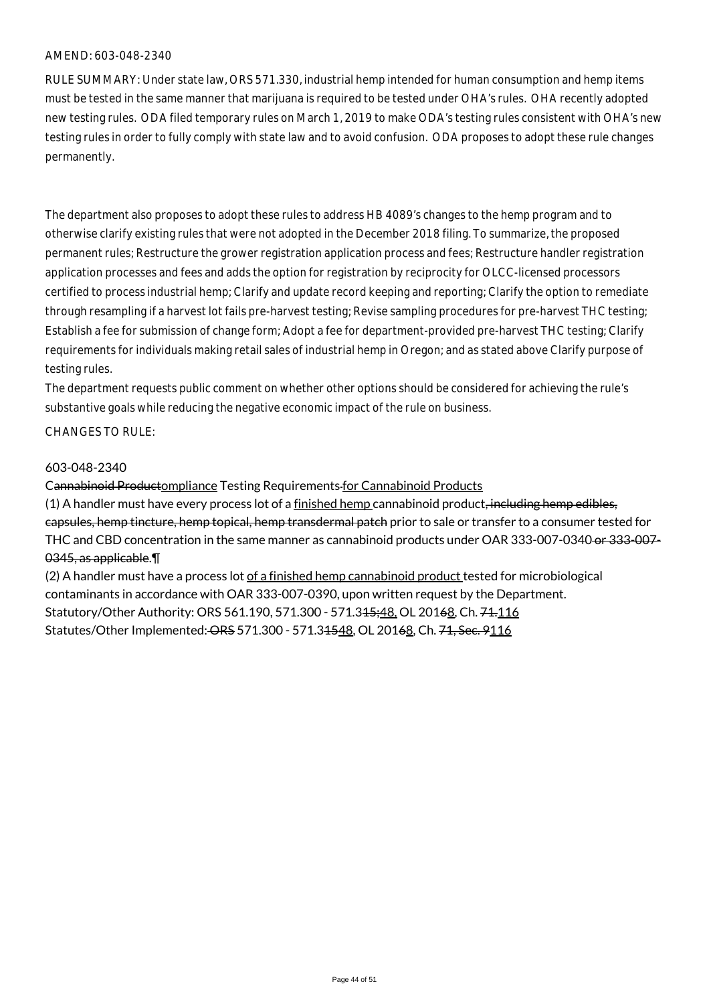RULE SUMMARY: Under state law, ORS 571.330, industrial hemp intended for human consumption and hemp items must be tested in the same manner that marijuana is required to be tested under OHA's rules. OHA recently adopted new testing rules. ODA filed temporary rules on March 1, 2019 to make ODA's testing rules consistent with OHA's new testing rules in order to fully comply with state law and to avoid confusion. ODA proposes to adopt these rule changes permanently.

The department also proposes to adopt these rules to address HB 4089's changes to the hemp program and to otherwise clarify existing rules that were not adopted in the December 2018 filing. To summarize, the proposed permanent rules; Restructure the grower registration application process and fees; Restructure handler registration application processes and fees and adds the option for registration by reciprocity for OLCC-licensed processors certified to process industrial hemp; Clarify and update record keeping and reporting; Clarify the option to remediate through resampling if a harvest lot fails pre-harvest testing; Revise sampling procedures for pre-harvest THC testing; Establish a fee for submission of change form; Adopt a fee for department-provided pre-harvest THC testing; Clarify requirements for individuals making retail sales of industrial hemp in Oregon; and as stated above Clarify purpose of testing rules.

The department requests public comment on whether other options should be considered for achieving the rule's substantive goals while reducing the negative economic impact of the rule on business.

CHANGES TO RULE:

#### 603-048-2340

#### Cannabinoid Productompliance Testing Requirements for Cannabinoid Products

(1) A handler must have every process lot of a finished hemp cannabinoid product, including hemp edibles, capsules, hemp tincture, hemp topical, hemp transdermal patch prior to sale or transfer to a consumer tested for THC and CBD concentration in the same manner as cannabinoid products under OAR 333-007-0340 or 333-007- 0345, as applicable.¶

(2) A handler must have a process lot of a finished hemp cannabinoid product tested for microbiological contaminants in accordance with OAR 333-007-0390, upon written request by the Department. Statutory/Other Authority: ORS 561.190, 571.300 - 571.345;48, OL 20168, Ch. 74.116 Statutes/Other Implemented: ORS 571.300 - 571.31548, OL 20168, Ch. 71, Sec. 9116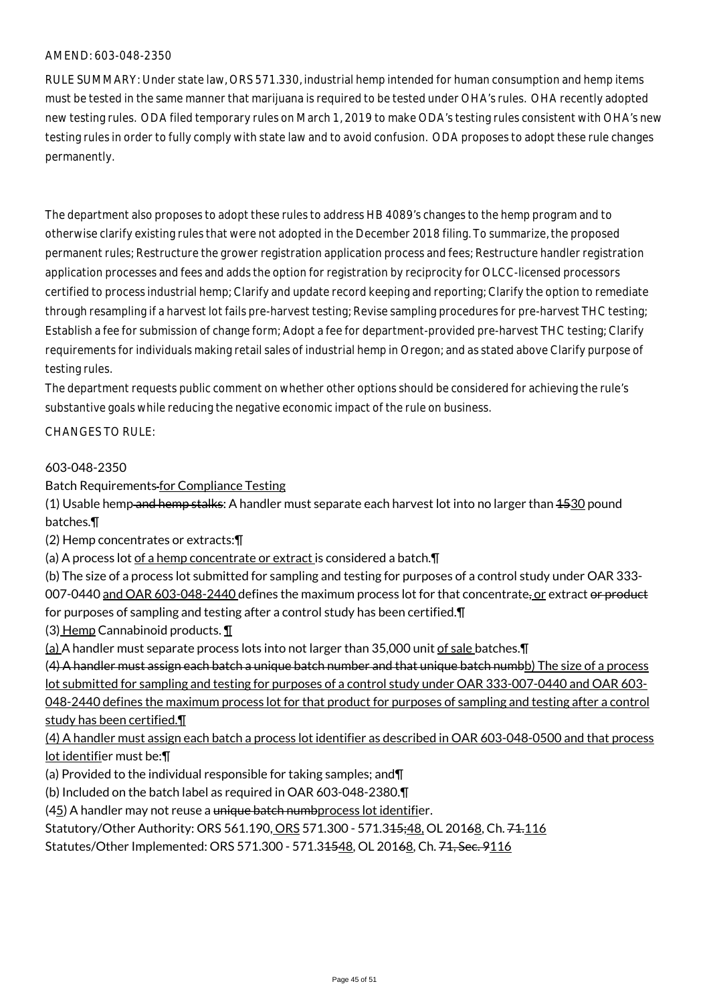RULE SUMMARY: Under state law, ORS 571.330, industrial hemp intended for human consumption and hemp items must be tested in the same manner that marijuana is required to be tested under OHA's rules. OHA recently adopted new testing rules. ODA filed temporary rules on March 1, 2019 to make ODA's testing rules consistent with OHA's new testing rules in order to fully comply with state law and to avoid confusion. ODA proposes to adopt these rule changes permanently.

The department also proposes to adopt these rules to address HB 4089's changes to the hemp program and to otherwise clarify existing rules that were not adopted in the December 2018 filing. To summarize, the proposed permanent rules; Restructure the grower registration application process and fees; Restructure handler registration application processes and fees and adds the option for registration by reciprocity for OLCC-licensed processors certified to process industrial hemp; Clarify and update record keeping and reporting; Clarify the option to remediate through resampling if a harvest lot fails pre-harvest testing; Revise sampling procedures for pre-harvest THC testing; Establish a fee for submission of change form; Adopt a fee for department-provided pre-harvest THC testing; Clarify requirements for individuals making retail sales of industrial hemp in Oregon; and as stated above Clarify purpose of testing rules.

The department requests public comment on whether other options should be considered for achieving the rule's substantive goals while reducing the negative economic impact of the rule on business.

#### CHANGES TO RULE:

#### 603-048-2350

Batch Requirements for Compliance Testing

(1) Usable hemp and hemp stalks: A handler must separate each harvest lot into no larger than  $4530$  pound batches.¶

(2) Hemp concentrates or extracts:¶

(a) A process lot of a hemp concentrate or extract is considered a batch.¶

(b) The size of a process lot submitted for sampling and testing for purposes of a control study under OAR 333- 007-0440 and OAR 603-048-2440 defines the maximum process lot for that concentrate, or extract or product for purposes of sampling and testing after a control study has been certified.¶

(3) Hemp Cannabinoid products. ¶

(a) A handler must separate process lots into not larger than 35,000 unit of sale batches.¶

(4) A handler must assign each batch a unique batch number and that unique batch numbb) The size of a process lot submitted for sampling and testing for purposes of a control study under OAR 333-007-0440 and OAR 603- 048-2440 defines the maximum process lot for that product for purposes of sampling and testing after a control study has been certified.¶

(4) A handler must assign each batch a process lot identifier as described in OAR 603-048-0500 and that process lot identifier must be:¶

(a) Provided to the individual responsible for taking samples; and¶

(b) Included on the batch label as required in OAR 603-048-2380.¶

(45) A handler may not reuse a unique batch numbprocess lot identifier.

Statutory/Other Authority: ORS 561.190, ORS 571.300 - 571.345;48, OL 20168, Ch. 74.116

Statutes/Other Implemented: ORS 571.300 - 571.34548, OL 20168, Ch. 71, Sec. 9116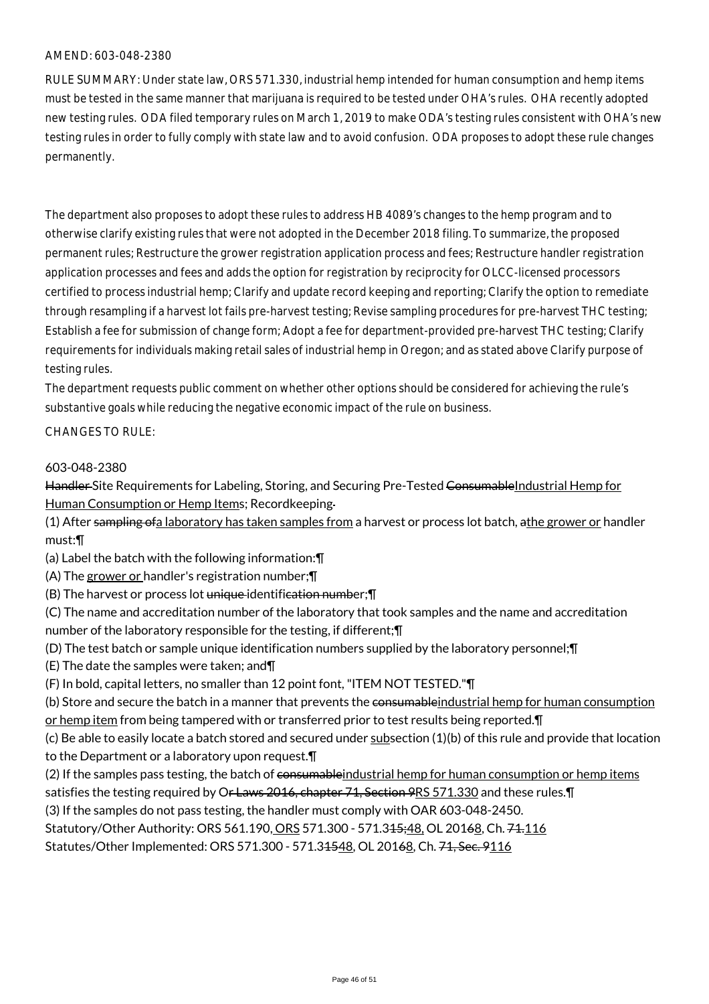RULE SUMMARY: Under state law, ORS 571.330, industrial hemp intended for human consumption and hemp items must be tested in the same manner that marijuana is required to be tested under OHA's rules. OHA recently adopted new testing rules. ODA filed temporary rules on March 1, 2019 to make ODA's testing rules consistent with OHA's new testing rules in order to fully comply with state law and to avoid confusion. ODA proposes to adopt these rule changes permanently.

The department also proposes to adopt these rules to address HB 4089's changes to the hemp program and to otherwise clarify existing rules that were not adopted in the December 2018 filing. To summarize, the proposed permanent rules; Restructure the grower registration application process and fees; Restructure handler registration application processes and fees and adds the option for registration by reciprocity for OLCC-licensed processors certified to process industrial hemp; Clarify and update record keeping and reporting; Clarify the option to remediate through resampling if a harvest lot fails pre-harvest testing; Revise sampling procedures for pre-harvest THC testing; Establish a fee for submission of change form; Adopt a fee for department-provided pre-harvest THC testing; Clarify requirements for individuals making retail sales of industrial hemp in Oregon; and as stated above Clarify purpose of testing rules.

The department requests public comment on whether other options should be considered for achieving the rule's substantive goals while reducing the negative economic impact of the rule on business.

#### CHANGES TO RULE:

#### 603-048-2380

Handler-Site Requirements for Labeling, Storing, and Securing Pre-Tested ConsumableIndustrial Hemp for Human Consumption or Hemp Items; Recordkeeping

- (1) After sampling of a laboratory has taken samples from a harvest or process lot batch, athe grower or handler must:¶
- (a) Label the batch with the following information:¶
- (A) The grower or handler's registration number;¶
- (B) The harvest or process lot unique identification number;¶
- (C) The name and accreditation number of the laboratory that took samples and the name and accreditation number of the laboratory responsible for the testing, if different;¶
- (D) The test batch or sample unique identification numbers supplied by the laboratory personnel;¶
- (E) The date the samples were taken; and¶
- (F) In bold, capital letters, no smaller than 12 point font, "ITEM NOT TESTED."¶

(b) Store and secure the batch in a manner that prevents the consumable industrial hemp for human consumption or hemp item from being tampered with or transferred prior to test results being reported.  $\P$ 

(c) Be able to easily locate a batch stored and secured under subsection (1)(b) of this rule and provide that location to the Department or a laboratory upon request.¶

(2) If the samples pass testing, the batch of consumableindustrial hemp for human consumption or hemp items

satisfies the testing required by O<del>r Laws 2016, chapter 71, Section 9</del>RS 571.330 and these rules. IT

(3) If the samples do not pass testing, the handler must comply with OAR 603-048-2450.

Statutory/Other Authority: ORS 561.190, ORS 571.300 - 571.345;48, OL 20168, Ch. 74.116

Statutes/Other Implemented: ORS 571.300 - 571.34548, OL 20168, Ch. 71, Sec. 9116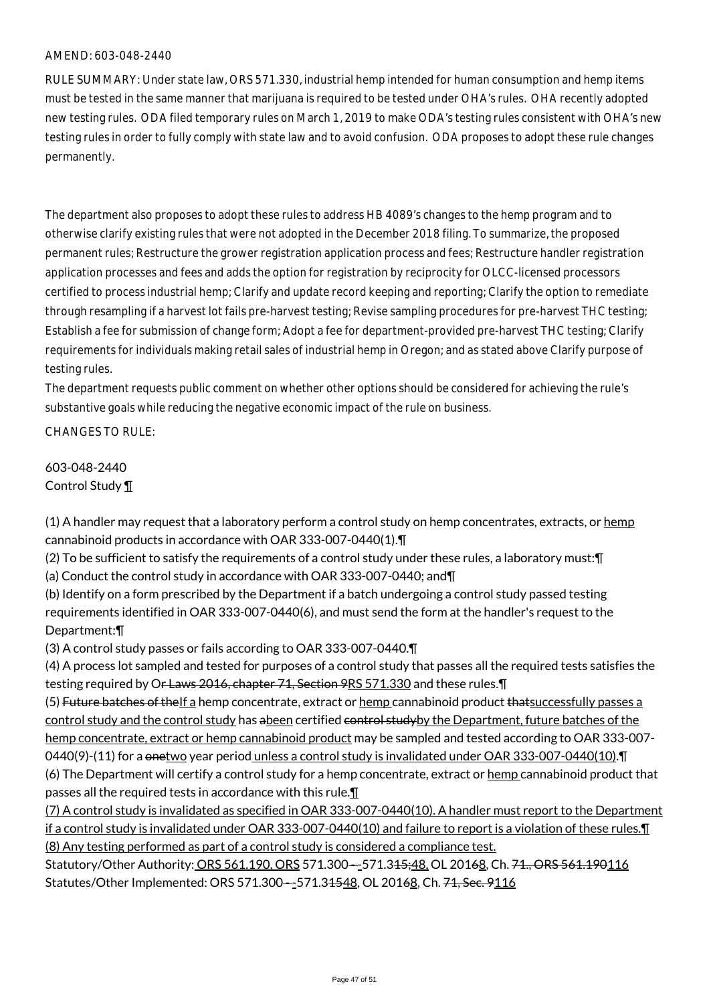RULE SUMMARY: Under state law, ORS 571.330, industrial hemp intended for human consumption and hemp items must be tested in the same manner that marijuana is required to be tested under OHA's rules. OHA recently adopted new testing rules. ODA filed temporary rules on March 1, 2019 to make ODA's testing rules consistent with OHA's new testing rules in order to fully comply with state law and to avoid confusion. ODA proposes to adopt these rule changes permanently.

The department also proposes to adopt these rules to address HB 4089's changes to the hemp program and to otherwise clarify existing rules that were not adopted in the December 2018 filing. To summarize, the proposed permanent rules; Restructure the grower registration application process and fees; Restructure handler registration application processes and fees and adds the option for registration by reciprocity for OLCC-licensed processors certified to process industrial hemp; Clarify and update record keeping and reporting; Clarify the option to remediate through resampling if a harvest lot fails pre-harvest testing; Revise sampling procedures for pre-harvest THC testing; Establish a fee for submission of change form; Adopt a fee for department-provided pre-harvest THC testing; Clarify requirements for individuals making retail sales of industrial hemp in Oregon; and as stated above Clarify purpose of testing rules.

The department requests public comment on whether other options should be considered for achieving the rule's substantive goals while reducing the negative economic impact of the rule on business.

CHANGES TO RULE:

603-048-2440 Control Study ¶

 $(1)$  A handler may request that a laboratory perform a control study on hemp concentrates, extracts, or  $h$ emp cannabinoid products in accordance with OAR 333-007-0440(1).¶

(2) To be sufficient to satisfy the requirements of a control study under these rules, a laboratory must:¶ (a) Conduct the control study in accordance with OAR 333-007-0440; and¶

(b) Identify on a form prescribed by the Department if a batch undergoing a control study passed testing requirements identified in OAR 333-007-0440(6), and must send the form at the handler's request to the Department:¶

(3) A control study passes or fails according to OAR 333-007-0440.¶

(4) A process lot sampled and tested for purposes of a control study that passes all the required tests satisfies the testing required by Or Laws 2016, chapter 71, Section 9RS 571.330 and these rules.

(5) Future batches of the If a hemp concentrate, extract or hemp cannabinoid product that successfully passes a control study and the control study has abeen certified control studyby the Department, future batches of the hemp concentrate, extract or hemp cannabinoid product may be sampled and tested according to OAR 333-007- 0440(9)-(11) for a onetwo year period unless a control study is invalidated under OAR 333-007-0440(10). T (6) The Department will certify a control study for a hemp concentrate, extract or hemp cannabinoid product that passes all the required tests in accordance with this rule.¶

(7) A control study is invalidated as specified in OAR 333-007-0440(10). A handler must report to the Department if a control study is invalidated under OAR 333-007-0440(10) and failure to report is a violation of these rules.¶ (8) Any testing performed as part of a control study is considered a compliance test.

Statutory/Other Authority: ORS 561.190, ORS 571.300--571.345;48, OL 20168, Ch. 71., ORS 561.190116 Statutes/Other Implemented: ORS 571.300---571.31548, OL 20168, Ch. 71, Sec. 9116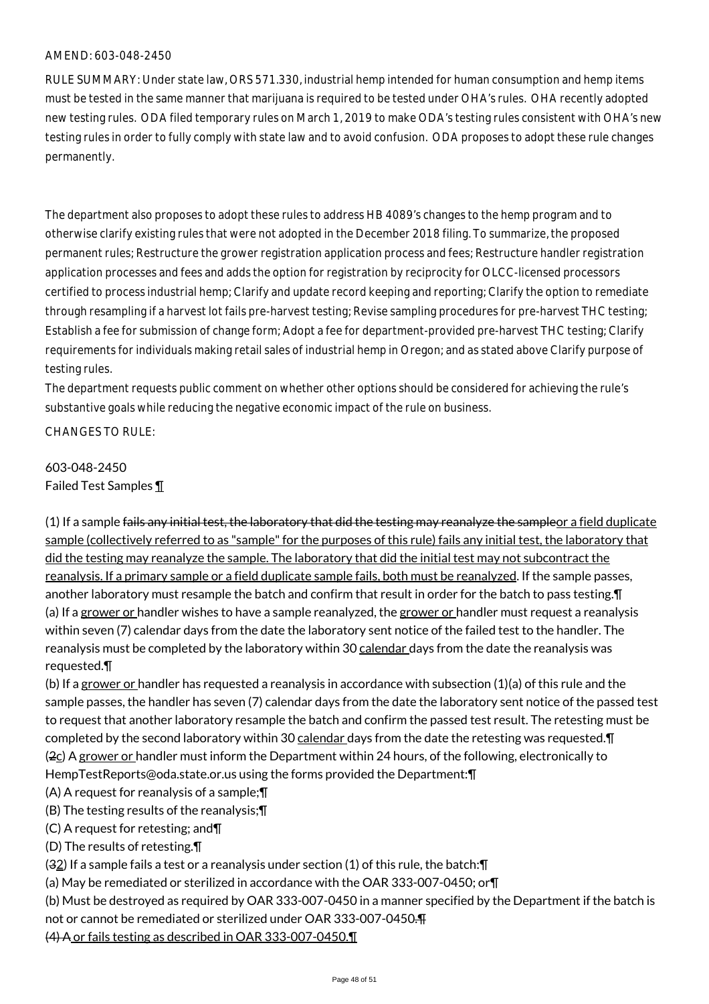RULE SUMMARY: Under state law, ORS 571.330, industrial hemp intended for human consumption and hemp items must be tested in the same manner that marijuana is required to be tested under OHA's rules. OHA recently adopted new testing rules. ODA filed temporary rules on March 1, 2019 to make ODA's testing rules consistent with OHA's new testing rules in order to fully comply with state law and to avoid confusion. ODA proposes to adopt these rule changes permanently.

The department also proposes to adopt these rules to address HB 4089's changes to the hemp program and to otherwise clarify existing rules that were not adopted in the December 2018 filing. To summarize, the proposed permanent rules; Restructure the grower registration application process and fees; Restructure handler registration application processes and fees and adds the option for registration by reciprocity for OLCC-licensed processors certified to process industrial hemp; Clarify and update record keeping and reporting; Clarify the option to remediate through resampling if a harvest lot fails pre-harvest testing; Revise sampling procedures for pre-harvest THC testing; Establish a fee for submission of change form; Adopt a fee for department-provided pre-harvest THC testing; Clarify requirements for individuals making retail sales of industrial hemp in Oregon; and as stated above Clarify purpose of testing rules.

The department requests public comment on whether other options should be considered for achieving the rule's substantive goals while reducing the negative economic impact of the rule on business.

CHANGES TO RULE:

# 603-048-2450 Failed Test Samples ¶

 $(1)$  If a sample fails any initial test, the laboratory that did the testing may reanalyze the sampleor a field duplicate sample (collectively referred to as "sample" for the purposes of this rule) fails any initial test, the laboratory that did the testing may reanalyze the sample. The laboratory that did the initial test may not subcontract the reanalysis. If a primary sample or a field duplicate sample fails, both must be reanalyzed. If the sample passes, another laboratory must resample the batch and confirm that result in order for the batch to pass testing.¶ (a) If a grower or handler wishes to have a sample reanalyzed, the grower or handler must request a reanalysis within seven (7) calendar days from the date the laboratory sent notice of the failed test to the handler. The reanalysis must be completed by the laboratory within 30 calendar days from the date the reanalysis was requested.¶

(b) If a grower or handler has requested a reanalysis in accordance with subsection (1)(a) of this rule and the sample passes, the handler has seven (7) calendar days from the date the laboratory sent notice of the passed test to request that another laboratory resample the batch and confirm the passed test result. The retesting must be completed by the second laboratory within 30 calendar days from the date the retesting was requested.¶ ( $2c$ ) A grower or handler must inform the Department within 24 hours, of the following, electronically to HempTestReports@oda.state.or.us using the forms provided the Department:¶

(A) A request for reanalysis of a sample;¶

(B) The testing results of the reanalysis;¶

(C) A request for retesting; and¶

(D) The results of retesting.¶

 $(32)$  If a sample fails a test or a reanalysis under section (1) of this rule, the batch: $\P$ 

(a) May be remediated or sterilized in accordance with the OAR 333-007-0450; or¶

(b) Must be destroyed as required by OAR 333-007-0450 in a manner specified by the Department if the batch is

not or cannot be remediated or sterilized under OAR 333-007-0450.¶

(4) A or fails testing as described in OAR 333-007-0450.¶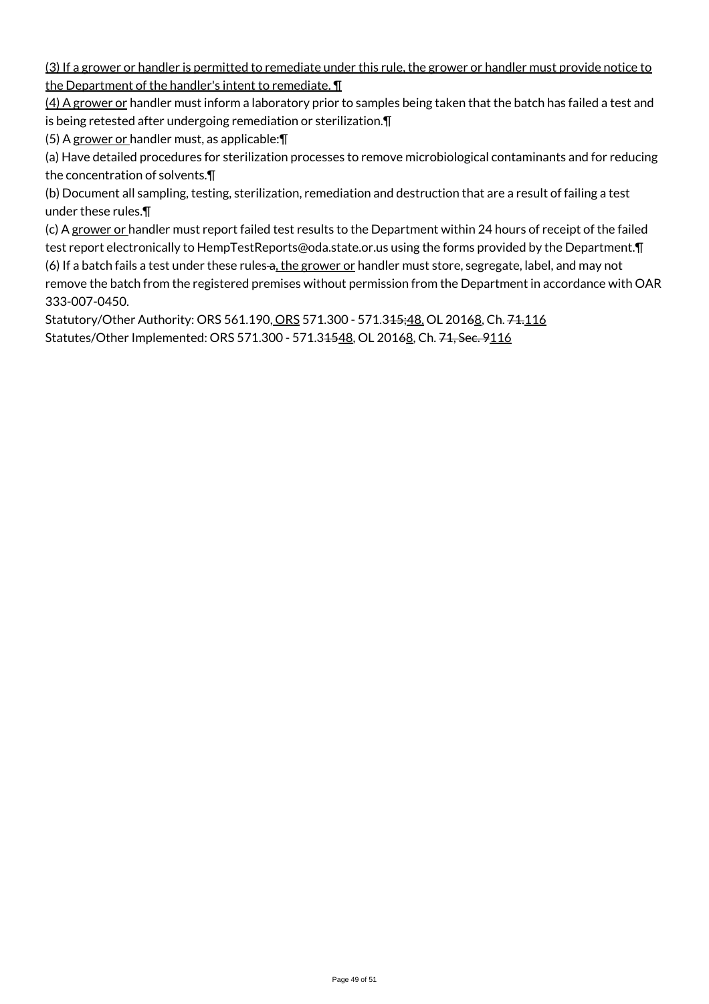(3) If a grower or handler is permitted to remediate under this rule, the grower or handler must provide notice to the Department of the handler's intent to remediate. ¶

(4) A grower or handler must inform a laboratory prior to samples being taken that the batch has failed a test and is being retested after undergoing remediation or sterilization.¶

(5) A grower or handler must, as applicable:¶

(a) Have detailed procedures for sterilization processes to remove microbiological contaminants and for reducing the concentration of solvents.¶

(b) Document all sampling, testing, sterilization, remediation and destruction that are a result of failing a test under these rules.¶

(c) A grower or handler must report failed test results to the Department within 24 hours of receipt of the failed test report electronically to HempTestReports@oda.state.or.us using the forms provided by the Department.¶ (6) If a batch fails a test under these rules a, the grower or handler must store, segregate, label, and may not remove the batch from the registered premises without permission from the Department in accordance with OAR 333-007-0450.

Statutory/Other Authority: ORS 561.190, ORS 571.300 - 571.345;48, OL 20168, Ch. 74.116 Statutes/Other Implemented: ORS 571.300 - 571.31548, OL 20168, Ch. 71, Sec. 9116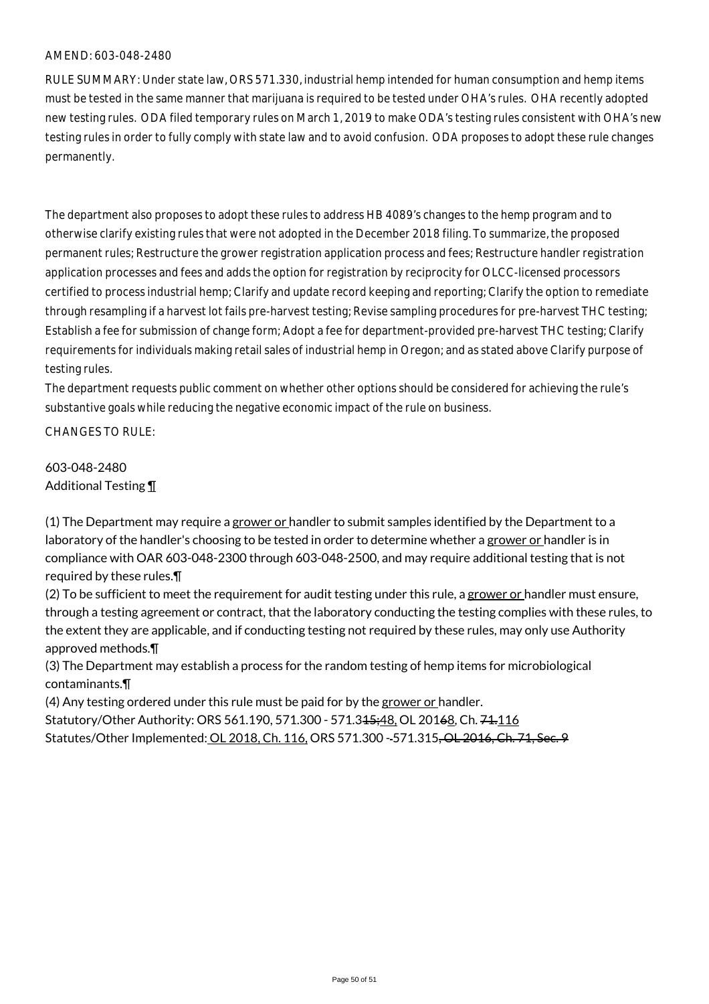RULE SUMMARY: Under state law, ORS 571.330, industrial hemp intended for human consumption and hemp items must be tested in the same manner that marijuana is required to be tested under OHA's rules. OHA recently adopted new testing rules. ODA filed temporary rules on March 1, 2019 to make ODA's testing rules consistent with OHA's new testing rules in order to fully comply with state law and to avoid confusion. ODA proposes to adopt these rule changes permanently.

The department also proposes to adopt these rules to address HB 4089's changes to the hemp program and to otherwise clarify existing rules that were not adopted in the December 2018 filing. To summarize, the proposed permanent rules; Restructure the grower registration application process and fees; Restructure handler registration application processes and fees and adds the option for registration by reciprocity for OLCC-licensed processors certified to process industrial hemp; Clarify and update record keeping and reporting; Clarify the option to remediate through resampling if a harvest lot fails pre-harvest testing; Revise sampling procedures for pre-harvest THC testing; Establish a fee for submission of change form; Adopt a fee for department-provided pre-harvest THC testing; Clarify requirements for individuals making retail sales of industrial hemp in Oregon; and as stated above Clarify purpose of testing rules.

The department requests public comment on whether other options should be considered for achieving the rule's substantive goals while reducing the negative economic impact of the rule on business.

CHANGES TO RULE:

603-048-2480 Additional Testing ¶

 $(1)$  The Department may require a grower or handler to submit samples identified by the Department to a laboratory of the handler's choosing to be tested in order to determine whether a grower or handler is in compliance with OAR 603-048-2300 through 603-048-2500, and may require additional testing that is not required by these rules.¶

(2) To be sufficient to meet the requirement for audit testing under this rule, a grower or handler must ensure, through a testing agreement or contract, that the laboratory conducting the testing complies with these rules, to the extent they are applicable, and if conducting testing not required by these rules, may only use Authority approved methods.¶

(3) The Department may establish a process for the random testing of hemp items for microbiological contaminants.¶

(4) Any testing ordered under this rule must be paid for by the grower or handler.

Statutory/Other Authority: ORS 561.190, 571.300 - 571.345;48, OL 20168, Ch. 74.116 Statutes/Other Implemented: OL 2018, Ch. 116, ORS 571.300 - 571.315<del>, OL 2016, Ch. 71, Sec. 9</del>